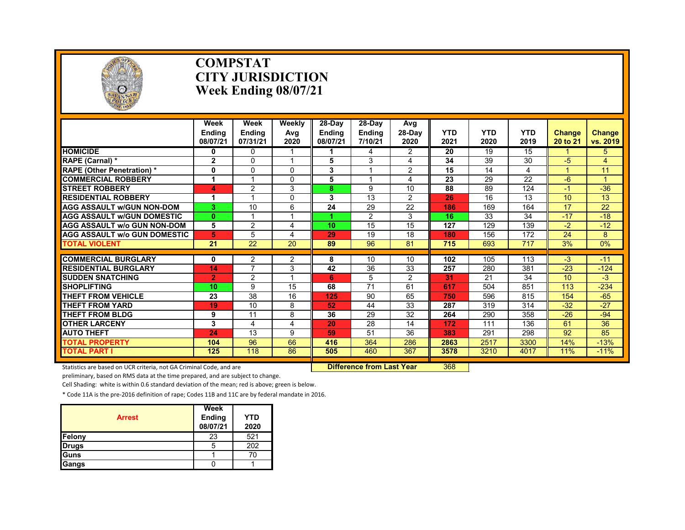

#### **COMPSTAT CITY JURISDICTION Week Ending 08/07/21**

|                                     | Week<br><b>Endina</b><br>08/07/21 | Week<br><b>Ending</b><br>07/31/21 | Weekly<br>Avg<br>2020 | 28-Day<br>Endina<br>08/07/21 | 28-Day<br><b>Ending</b><br>7/10/21 | Avg<br>$28-Dav$<br>2020 | <b>YTD</b><br>2021 | <b>YTD</b><br>2020 | <b>YTD</b><br>2019 | <b>Change</b><br>20 to 21 | <b>Change</b><br>vs. 2019 |
|-------------------------------------|-----------------------------------|-----------------------------------|-----------------------|------------------------------|------------------------------------|-------------------------|--------------------|--------------------|--------------------|---------------------------|---------------------------|
| <b>HOMICIDE</b>                     | 0                                 | 0                                 |                       |                              | 4                                  | $\overline{2}$          | 20                 | 19                 | 15                 |                           | 5                         |
| RAPE (Carnal) *                     | $\mathbf{2}$                      | 0                                 |                       | 5                            | 3                                  | 4                       | 34                 | 39                 | 30                 | -5                        | $\overline{4}$            |
| <b>RAPE (Other Penetration)*</b>    | 0                                 | 0                                 | $\Omega$              | 3                            |                                    | $\overline{2}$          | 15                 | 14                 | 4                  |                           | 11                        |
| <b>COMMERCIAL ROBBERY</b>           | 1                                 | $\overline{\mathbf{A}}$           | $\Omega$              | 5                            |                                    | 4                       | 23                 | 29                 | 22                 | -6                        |                           |
| <b>STREET ROBBERY</b>               | 4                                 | $\overline{2}$                    | 3                     | 8.                           | 9                                  | 10                      | 88                 | 89                 | 124                | $-1$                      | $-36$                     |
| <b>RESIDENTIAL ROBBERY</b>          |                                   |                                   | $\Omega$              | 3                            | 13                                 | $\overline{2}$          | 26                 | 16                 | 13                 | 10                        | 13                        |
| <b>AGG ASSAULT w/GUN NON-DOM</b>    | 3.                                | 10                                | 6                     | 24                           | 29                                 | 22                      | 186                | 169                | 164                | 17                        | 22                        |
| <b>AGG ASSAULT W/GUN DOMESTIC</b>   | $\mathbf{0}$                      |                                   |                       |                              | 2                                  | 3                       | 16                 | 33                 | 34                 | $-17$                     | $-18$                     |
| <b>AGG ASSAULT w/o GUN NON-DOM</b>  | 5                                 | $\overline{2}$                    | 4                     | 10                           | 15                                 | 15                      | 127                | 129                | 139                | $-2$                      | $-12$                     |
| <b>AGG ASSAULT W/o GUN DOMESTIC</b> | 5                                 | 5                                 | 4                     | 29                           | 19                                 | 18                      | 180                | 156                | 172                | 24                        | 8                         |
| <b>TOTAL VIOLENT</b>                | 21                                | 22                                | 20                    | 89                           | 96                                 | 81                      | 715                | 693                | 717                | 3%                        | 0%                        |
|                                     |                                   |                                   |                       |                              |                                    |                         |                    |                    |                    |                           |                           |
| <b>COMMERCIAL BURGLARY</b>          | $\bf{0}$                          | 2                                 | 2                     | 8                            | 10                                 | 10                      | 102                | 105                | 113                | $-3$                      | $-11$                     |
| <b>RESIDENTIAL BURGLARY</b>         | 14                                | 7                                 | 3                     | 42                           | 36                                 | 33                      | 257                | 280                | 381                | $-23$                     | $-124$                    |
| <b>SUDDEN SNATCHING</b>             | $\overline{2}$                    | $\overline{2}$                    |                       | 6                            | 5                                  | 2                       | 31                 | 21                 | 34                 | 10                        | -3                        |
| <b>SHOPLIFTING</b>                  | 10                                | 9                                 | 15                    | 68                           | $\overline{71}$                    | 61                      | 617                | 504                | 851                | 113                       | $-234$                    |
| <b>THEFT FROM VEHICLE</b>           | 23                                | $\overline{38}$                   | 16                    | 125                          | 90                                 | 65                      | 750                | 596                | 815                | 154                       | $-65$                     |
| <b>THEFT FROM YARD</b>              | 19                                | 10                                | 8                     | 52                           | 44                                 | 33                      | 287                | 319                | 314                | $-32$                     | $-27$                     |
| THEFT FROM BLDG                     | 9                                 | 11                                | 8                     | 36                           | 29                                 | 32                      | 264                | 290                | 358                | $-26$                     | $-94$                     |
| <b>OTHER LARCENY</b>                | 3                                 | 4                                 | 4                     | 20                           | 28                                 | 14                      | 172                | 111                | 136                | 61                        | 36                        |
| <b>AUTO THEFT</b>                   | 24                                | 13                                | 9                     | 59                           | 51                                 | 36                      | 383                | 291                | 298                | 92                        | 85                        |
| <b>TOTAL PROPERTY</b>               | 104                               | 96                                | 66                    | 416                          | 364                                | 286                     | 2863               | 2517               | 3300               | 14%                       | $-13%$                    |
| <b>TOTAL PART I</b>                 | 125                               | 118                               | 86                    | 505                          | 460                                | 367                     | 3578               | 3210               | 4017               | 11%                       | $-11%$                    |

Statistics are based on UCR criteria, not GA Criminal Code, and are **Difference from Last Year** 368

preliminary, based on RMS data at the time prepared, and are subject to change.

Cell Shading: white is within 0.6 standard deviation of the mean; red is above; green is below.

| <b>Arrest</b> | Week<br>Ending<br>08/07/21 | <b>YTD</b><br>2020 |
|---------------|----------------------------|--------------------|
| <b>Felony</b> | 23                         | 521                |
| <b>Drugs</b>  | 5                          | 202                |
| <b>Guns</b>   |                            | 70                 |
| <b>Gangs</b>  |                            |                    |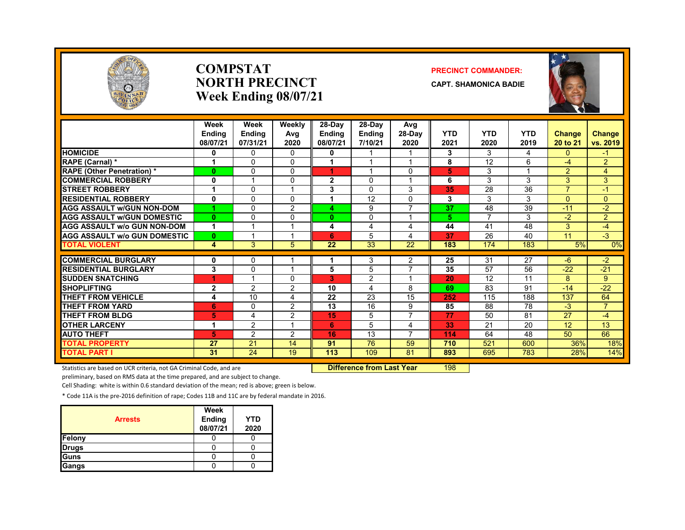

#### **COMPSTATNORTH PRECINCTWeek Ending 08/07/21**

#### **PRECINCT COMMANDER:**

**CAPT. SHAMONICA BADIE**



|                                     | Week<br><b>Endina</b><br>08/07/21 | Week<br><b>Ending</b><br>07/31/21 | Weekly<br>Avg<br>2020 | 28-Day<br><b>Ending</b><br>08/07/21 | 28-Day<br><b>Ending</b><br>7/10/21 | Avg<br>$28-Dav$<br>2020  | <b>YTD</b><br>2021 | <b>YTD</b><br>2020 | <b>YTD</b><br>2019 | <b>Change</b><br>20 to 21 | <b>Change</b><br>vs. 2019 |
|-------------------------------------|-----------------------------------|-----------------------------------|-----------------------|-------------------------------------|------------------------------------|--------------------------|--------------------|--------------------|--------------------|---------------------------|---------------------------|
| <b>HOMICIDE</b>                     | 0                                 | $\Omega$                          | 0                     | 0                                   |                                    |                          | 3                  | 3                  | 4                  | 0                         | $-1$                      |
| <b>RAPE (Carnal) *</b>              | 1                                 | $\Omega$                          | $\Omega$              |                                     |                                    |                          | 8                  | 12                 | 6                  | $-4$                      | $\overline{2}$            |
| <b>RAPE (Other Penetration) *</b>   | $\mathbf{0}$                      | $\Omega$                          | 0                     | 4                                   |                                    | $\Omega$                 | 5                  | 3                  |                    | $\overline{2}$            | $\overline{4}$            |
| <b>COMMERCIAL ROBBERY</b>           | 0                                 |                                   | 0                     | 2                                   | 0                                  |                          | 6                  | 3                  | 3                  | 3                         | 3                         |
| <b>STREET ROBBERY</b>               |                                   | 0                                 |                       | 3                                   | $\Omega$                           | 3                        | 35                 | 28                 | 36                 | $\overline{7}$            | $-1$                      |
| <b>RESIDENTIAL ROBBERY</b>          | $\mathbf 0$                       | $\Omega$                          | 0                     |                                     | 12                                 | $\Omega$                 | 3                  | 3                  | 3                  | $\Omega$                  | $\Omega$                  |
| <b>AGG ASSAULT w/GUN NON-DOM</b>    | 1                                 | 0                                 | $\overline{2}$        | 4                                   | 9                                  | $\overline{\phantom{a}}$ | 37                 | 48                 | 39                 | $-11$                     | $-2$                      |
| <b>AGG ASSAULT W/GUN DOMESTIC</b>   | $\mathbf{0}$                      | $\mathbf 0$                       | 0                     | $\bf{0}$                            | 0                                  |                          | 5                  | $\overline{7}$     | 3                  | $-2$                      | $\overline{2}$            |
| <b>AGG ASSAULT w/o GUN NON-DOM</b>  | 1                                 |                                   |                       | 4                                   | 4                                  | 4                        | 44                 | 41                 | 48                 | 3                         | $-4$                      |
| <b>AGG ASSAULT W/o GUN DOMESTIC</b> | $\mathbf{0}$                      |                                   |                       | 6                                   | 5                                  | 4                        | 37                 | 26                 | 40                 | 11                        | $-3$                      |
| <b>TOTAL VIOLENT</b>                | 4                                 | 3                                 | 5.                    | 22                                  | 33                                 | 22                       | 183                | 174                | 183                | 5%                        | 0%                        |
|                                     |                                   |                                   |                       |                                     |                                    |                          |                    |                    |                    |                           |                           |
| <b>COMMERCIAL BURGLARY</b>          | 0                                 | 0                                 |                       |                                     | 3                                  | 2                        | 25                 | 31                 | $\overline{27}$    | $-6$                      | $-2$                      |
| <b>RESIDENTIAL BURGLARY</b>         | 3                                 | $\Omega$                          |                       | 5                                   | 5                                  | $\overline{7}$           | 35                 | 57                 | 56                 | $-22$                     | $-21$                     |
| <b>SUDDEN SNATCHING</b>             | 4                                 |                                   | <sup>0</sup>          | 3                                   | 2                                  |                          | 20                 | 12                 | 11                 | 8                         | 9                         |
| <b>SHOPLIFTING</b>                  | $\mathbf{2}$                      | $\overline{2}$                    | 2                     | 10                                  | 4                                  | 8                        | 69                 | 83                 | 91                 | $-14$                     | $-22$                     |
| <b>THEFT FROM VEHICLE</b>           | 4                                 | 10                                | 4                     | 22                                  | 23                                 | 15                       | 252                | 115                | 188                | 137                       | 64                        |
| <b>THEFT FROM YARD</b>              | 6                                 | $\Omega$                          | 2                     | 13                                  | 16                                 | 9                        | 85                 | 88                 | 78                 | $-3$                      | $\overline{7}$            |
| <b>THEFT FROM BLDG</b>              | 5                                 | 4                                 | 2                     | 15                                  | 5                                  | 7                        | 77                 | 50                 | 81                 | 27                        | $-4$                      |
| <b>OTHER LARCENY</b>                | 1                                 | $\overline{2}$                    |                       | 6                                   | 5                                  | 4                        | 33                 | 21                 | 20                 | 12 <sup>2</sup>           | 13                        |
| <b>AUTO THEFT</b>                   | 5                                 | $\overline{2}$                    | 2                     | 16                                  | 13                                 | $\overline{\phantom{a}}$ | 114                | 64                 | 48                 | 50                        | 66                        |
| TOTAL PROPERTY                      | 27                                | 21                                | 14                    | 91                                  | 76                                 | 59                       | 710                | 521                | 600                | 36%                       | 18%                       |
| <b>TOTAL PART I</b>                 | 31                                | $\overline{24}$                   | 19                    | 113                                 | 109                                | 81                       | 893                | 695                | 783                | 28%                       | 14%                       |

Statistics are based on UCR criteria, not GA Criminal Code, and are **Difference from Last Year** 198

preliminary, based on RMS data at the time prepared, and are subject to change.

Cell Shading: white is within 0.6 standard deviation of the mean; red is above; green is below.

| <b>Arrests</b> | Week<br>Ending<br>08/07/21 | <b>YTD</b><br>2020 |
|----------------|----------------------------|--------------------|
| <b>Felony</b>  |                            |                    |
| <b>Drugs</b>   |                            |                    |
| Guns           |                            |                    |
| <b>Gangs</b>   |                            |                    |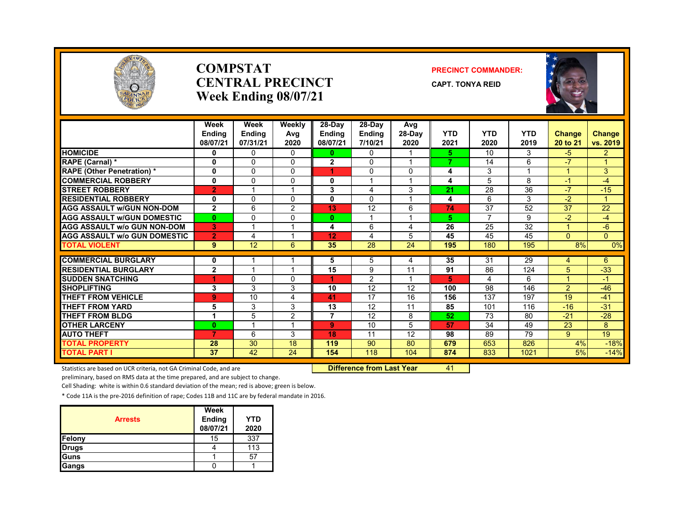

#### **COMPSTATCENTRAL PRECINCTWeek Ending 08/07/21**

#### **PRECINCT COMMANDER:**

**CAPT. TONYA REID**



|                                     | Week<br><b>Endina</b><br>08/07/21 | Week<br><b>Ending</b><br>07/31/21 | Weekly<br>Avg<br>2020 | 28-Day<br><b>Ending</b><br>08/07/21 | 28-Day<br><b>Ending</b><br>7/10/21 | Avg<br>28-Day<br>2020 | <b>YTD</b><br>2021 | <b>YTD</b><br>2020 | <b>YTD</b><br>2019 | <b>Change</b><br>20 to 21 | <b>Change</b><br>vs. 2019 |
|-------------------------------------|-----------------------------------|-----------------------------------|-----------------------|-------------------------------------|------------------------------------|-----------------------|--------------------|--------------------|--------------------|---------------------------|---------------------------|
| <b>HOMICIDE</b>                     | 0                                 | $\mathbf{0}$                      | $\mathbf{0}$          | $\mathbf{0}$                        | $\mathbf{0}$                       |                       | 5.                 | 10                 | 3                  | $-5$                      | $\overline{2}$            |
| <b>RAPE (Carnal) *</b>              | 0                                 | $\Omega$                          | $\Omega$              | $\mathbf{2}$                        | $\Omega$                           |                       | 7                  | 14                 | 6                  | $-7$                      | $\overline{A}$            |
| <b>RAPE (Other Penetration)*</b>    | 0                                 | $\mathbf{0}$                      | $\Omega$              |                                     | $\mathbf{0}$                       | 0                     | 4                  | 3                  |                    |                           | 3                         |
| <b>COMMERCIAL ROBBERY</b>           | 0                                 | $\Omega$                          | $\Omega$              | 0                                   |                                    |                       | 4                  | 5                  | 8                  | $-1$                      | $-4$                      |
| <b>STREET ROBBERY</b>               | $\overline{2}$                    |                                   |                       | 3                                   | 4                                  | 3                     | 21                 | 28                 | 36                 | $-7$                      | $-15$                     |
| <b>RESIDENTIAL ROBBERY</b>          | 0                                 | $\mathbf{0}$                      | $\Omega$              | 0                                   | $\Omega$                           |                       | 4                  | 6                  | 3                  | $-2$                      | и                         |
| <b>AGG ASSAULT W/GUN NON-DOM</b>    | $\mathbf{2}$                      | 6                                 | $\overline{2}$        | 13                                  | 12                                 | 6                     | 74                 | 37                 | 52                 | 37                        | 22                        |
| <b>AGG ASSAULT w/GUN DOMESTIC</b>   | $\bf{0}$                          | $\Omega$                          | $\Omega$              | $\mathbf{0}$                        |                                    |                       | 5                  | 7                  | 9                  | $-2$                      | -4                        |
| <b>AGG ASSAULT w/o GUN NON-DOM</b>  | 3                                 |                                   |                       | 4                                   | 6                                  | 4                     | 26                 | 25                 | 32                 |                           | $-6$                      |
| <b>AGG ASSAULT W/o GUN DOMESTIC</b> | $\overline{2}$                    | 4                                 |                       | 12                                  | 4                                  | 5                     | 45                 | 45                 | 45                 | $\overline{0}$            | $\overline{0}$            |
| <b>TOTAL VIOLENT</b>                | 9                                 | 12                                | 6                     | 35                                  | 28                                 | 24                    | 195                | 180                | 195                | 8%                        | $0\%$                     |
|                                     |                                   |                                   |                       |                                     |                                    |                       |                    |                    |                    |                           |                           |
| <b>COMMERCIAL BURGLARY</b>          | 0                                 |                                   |                       | 5                                   | 5                                  | 4                     | 35                 | 31                 | 29                 | 4                         | 6                         |
| <b>RESIDENTIAL BURGLARY</b>         | $\overline{2}$                    |                                   |                       | 15                                  | 9                                  | 11                    | 91                 | 86                 | 124                | 5                         | $-33$                     |
| <b>SUDDEN SNATCHING</b>             | 4                                 | $\Omega$                          | $\Omega$              |                                     | 2                                  |                       | 5                  | 4                  | 6                  |                           | $-1$                      |
| <b>SHOPLIFTING</b>                  | 3                                 | 3                                 | 3                     | 10                                  | 12                                 | 12                    | 100                | 98                 | 146                | $\overline{2}$            | $-46$                     |
| <b>THEFT FROM VEHICLE</b>           | 9                                 | 10                                | 4                     | 41                                  | 17                                 | 16                    | 156                | 137                | 197                | 19                        | $-41$                     |
| THEFT FROM YARD                     | 5                                 | 3                                 | 3                     | 13                                  | 12                                 | 11                    | 85                 | 101                | 116                | $-16$                     | $-31$                     |
| <b>THEFT FROM BLDG</b>              | 1                                 | 5                                 | $\overline{2}$        | $\overline{7}$                      | 12                                 | 8                     | 52                 | 73                 | 80                 | $-21$                     | $-28$                     |
| <b>OTHER LARCENY</b>                | $\bf{0}$                          |                                   |                       | 9                                   | 10                                 | 5                     | 57                 | 34                 | 49                 | 23                        | 8                         |
| <b>AUTO THEFT</b>                   | $\overline{7}$                    | 6                                 | 3                     | 18                                  | 11                                 | 12                    | 98                 | 89                 | 79                 | 9                         | 19                        |
| <b>TOTAL PROPERTY</b>               | 28                                | $\overline{30}$                   | 18                    | 119                                 | 90                                 | 80                    | 679                | 653                | 826                | 4%                        | $-18%$                    |
| <b>TOTAL PART I</b>                 | 37                                | 42                                | 24                    | 154                                 | 118                                | 104                   | 874                | 833                | 1021               | 5%                        | $-14%$                    |

Statistics are based on UCR criteria, not GA Criminal Code, and are **Difference from Last Year** 41

preliminary, based on RMS data at the time prepared, and are subject to change.

Cell Shading: white is within 0.6 standard deviation of the mean; red is above; green is below.

|                | Week               |                    |
|----------------|--------------------|--------------------|
| <b>Arrests</b> | Ending<br>08/07/21 | <b>YTD</b><br>2020 |
|                |                    |                    |
| Felony         | 15                 | 337                |
| <b>Drugs</b>   |                    | 113                |
| Guns           |                    | 57                 |
| Gangs          |                    |                    |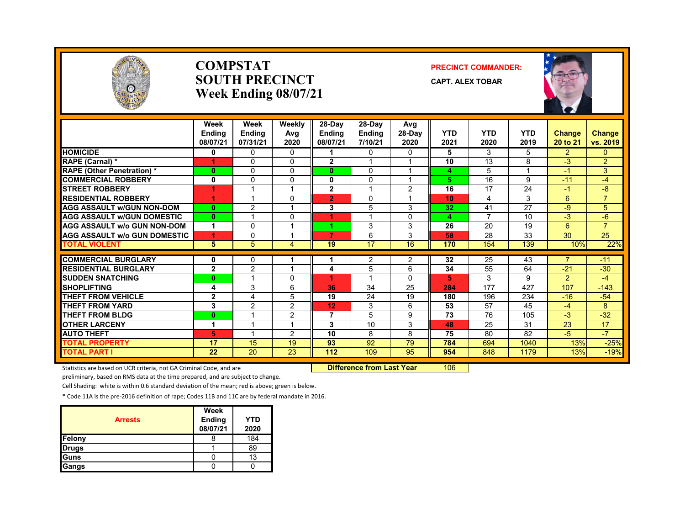

#### **COMPSTATSOUTH PRECINCTWeek Ending 08/07/21**

#### **PRECINCT COMMANDER:**

**CAPT. ALEX TOBAR**



|                                     | Week<br><b>Endina</b><br>08/07/21 | Week<br><b>Ending</b><br>07/31/21 | Weekly<br>Avg<br>2020 | $28-Dav$<br><b>Endina</b><br>08/07/21 | 28-Day<br><b>Ending</b><br>7/10/21 | Avg<br>$28-Dav$<br>2020 | <b>YTD</b><br>2021 | <b>YTD</b><br>2020 | <b>YTD</b><br>2019 | <b>Change</b><br>20 to 21 | <b>Change</b><br>vs. 2019 |
|-------------------------------------|-----------------------------------|-----------------------------------|-----------------------|---------------------------------------|------------------------------------|-------------------------|--------------------|--------------------|--------------------|---------------------------|---------------------------|
| <b>HOMICIDE</b>                     | 0                                 | $\mathbf{0}$                      | $\mathbf{0}$          |                                       | 0                                  | $\mathbf{0}$            | 5                  | 3                  | 5                  | $\overline{2}$            | $\Omega$                  |
| RAPE (Carnal) *                     |                                   | $\Omega$                          | $\Omega$              | $\overline{2}$                        |                                    |                         | 10                 | 13                 | 8                  | $-3$                      | $\overline{2}$            |
| <b>RAPE (Other Penetration)*</b>    | $\bf{0}$                          | $\Omega$                          | 0                     | 0                                     | $\Omega$                           |                         | 4                  | 5                  |                    | $-1$                      | 3                         |
| <b>COMMERCIAL ROBBERY</b>           | 0                                 | $\mathbf{0}$                      | 0                     | 0                                     | 0                                  |                         | 5                  | 16                 | 9                  | $-11$                     | -4                        |
| <b>STREET ROBBERY</b>               |                                   |                                   |                       | $\mathbf{2}$                          |                                    | $\overline{2}$          | 16                 | 17                 | 24                 | $-1$                      | -8                        |
| <b>RESIDENTIAL ROBBERY</b>          |                                   |                                   | $\Omega$              | $\overline{2}$                        | $\Omega$                           |                         | 10                 | 4                  | 3                  | 6                         | $\overline{7}$            |
| <b>AGG ASSAULT w/GUN NON-DOM</b>    | $\bf{0}$                          | $\overline{c}$                    |                       | 3                                     | 5                                  | 3                       | 32                 | 41                 | $\overline{27}$    | $-9$                      | 5                         |
| <b>AGG ASSAULT W/GUN DOMESTIC</b>   | $\mathbf{0}$                      |                                   | $\Omega$              |                                       |                                    | 0                       | 4                  | $\overline{7}$     | 10                 | $-3$                      | $-6$                      |
| <b>AGG ASSAULT w/o GUN NON-DOM</b>  | 1                                 | $\Omega$                          | и                     |                                       | 3                                  | 3                       | 26                 | 20                 | 19                 | 6                         | $\overline{7}$            |
| <b>AGG ASSAULT w/o GUN DOMESTIC</b> | 1                                 | 0                                 | ۰                     | 7                                     | 6                                  | 3                       | 58                 | 28                 | 33                 | 30                        | 25                        |
| <b>TOTAL VIOLENT</b>                | 5                                 | 5                                 | 4                     | 19                                    | 17                                 | 16                      | 170                | 154                | 139                | 10%                       | 22%                       |
|                                     |                                   |                                   |                       |                                       |                                    |                         |                    |                    |                    |                           |                           |
| <b>COMMERCIAL BURGLARY</b>          | 0                                 | 0                                 |                       |                                       | 2                                  | 2                       | 32                 | 25                 | 43                 | $\overline{7}$            | $-11$                     |
| <b>RESIDENTIAL BURGLARY</b>         | $\mathbf{2}$                      | $\overline{2}$                    |                       | 4                                     | 5                                  | 6                       | 34                 | 55                 | 64                 | $-21$                     | $-30$                     |
| <b>SUDDEN SNATCHING</b>             | $\mathbf{0}$                      |                                   | 0                     |                                       |                                    | $\Omega$                | 5                  | 3                  | 9                  | $\mathcal{P}$             | $-4$                      |
| <b>SHOPLIFTING</b>                  | 4                                 | 3                                 | 6                     | 36                                    | 34                                 | 25                      | 284                | 177                | 427                | 107                       | $-143$                    |
| THEFT FROM VEHICLE                  | $\mathbf{2}$                      | 4                                 | 5                     | 19                                    | 24                                 | 19                      | 180                | 196                | 234                | $-16$                     | $-54$                     |
| <b>THEFT FROM YARD</b>              | 3                                 | $\overline{2}$                    | $\overline{2}$        | 12                                    | 3                                  | 6                       | 53                 | 57                 | 45                 | $-4$                      | 8                         |
| <b>THEFT FROM BLDG</b>              | $\mathbf{0}$                      |                                   | $\overline{2}$        | 7                                     | 5                                  | 9                       | 73                 | 76                 | 105                | $-3$                      | $-32$                     |
| <b>OTHER LARCENY</b>                | 1                                 |                                   |                       | 3                                     | 10                                 | 3                       | 48                 | 25                 | 31                 | 23                        | 17                        |
| <b>AUTO THEFT</b>                   | 5                                 |                                   | 2                     | 10                                    | 8                                  | 8                       | 75                 | 80                 | 82                 | $-5$                      | $-7$                      |
| <b>TOTAL PROPERTY</b>               | 17                                | 15                                | 19                    | 93                                    | 92                                 | 79                      | 784                | 694                | 1040               | 13%                       | $-25%$                    |
| <b>TOTAL PART I</b>                 | 22                                | 20                                | 23                    | 112                                   | 109                                | 95                      | 954                | 848                | 1179               | 13%                       | $-19%$                    |

Statistics are based on UCR criteria, not GA Criminal Code, and are **Difference from Last Year** 106

preliminary, based on RMS data at the time prepared, and are subject to change.

Cell Shading: white is within 0.6 standard deviation of the mean; red is above; green is below.

| <b>Arrests</b> | Week<br><b>Ending</b><br>08/07/21 | <b>YTD</b><br>2020 |
|----------------|-----------------------------------|--------------------|
| Felony         | Õ                                 | 184                |
| <b>Drugs</b>   |                                   | 89                 |
| Guns           |                                   | 13                 |
| Gangs          |                                   |                    |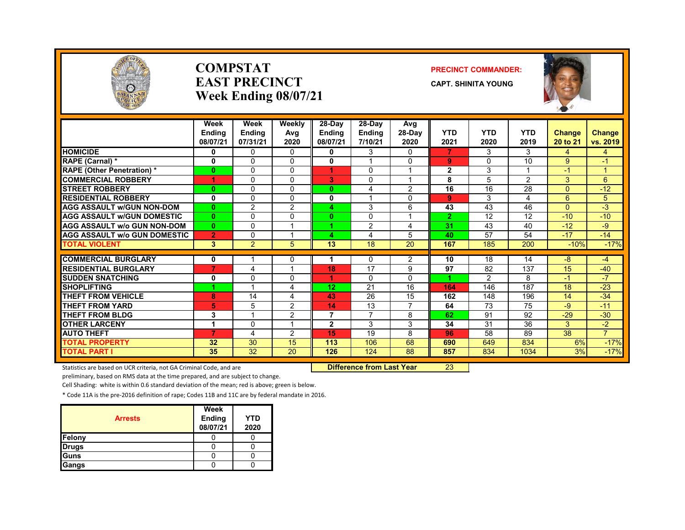

#### **COMPSTATEAST PRECINCTWeek Ending 08/07/21**

#### **PRECINCT COMMANDER:**

**CAPT. SHINITA YOUNG**



|                                     | Week<br><b>Ending</b><br>08/07/21 | Week<br><b>Ending</b><br>07/31/21 | Weekly<br>Avg<br>2020 | $28-Day$<br><b>Ending</b><br>08/07/21 | $28-Dav$<br><b>Ending</b><br>7/10/21 | Avg<br>$28-Dav$<br>2020 | <b>YTD</b><br>2021 | <b>YTD</b><br>2020 | <b>YTD</b><br>2019 | <b>Change</b><br>20 to 21 | <b>Change</b><br>vs. 2019 |
|-------------------------------------|-----------------------------------|-----------------------------------|-----------------------|---------------------------------------|--------------------------------------|-------------------------|--------------------|--------------------|--------------------|---------------------------|---------------------------|
| <b>HOMICIDE</b>                     | 0                                 | 0                                 | 0                     | 0                                     | 3                                    | 0                       | 7                  | 3                  | 3                  | 4                         | 4                         |
| RAPE (Carnal) *                     | 0                                 | 0                                 | $\Omega$              | $\mathbf{0}$                          |                                      | $\Omega$                | 9                  | $\Omega$           | 10                 | 9                         | $-1$                      |
| <b>RAPE (Other Penetration) *</b>   | $\mathbf{0}$                      | 0                                 | $\Omega$              |                                       | 0                                    | $\overline{ }$          | $\mathbf{2}$       | 3                  |                    | $-1$                      | и                         |
| <b>COMMERCIAL ROBBERY</b>           | 1                                 | 0                                 | $\Omega$              | G.                                    | $\Omega$                             | 1                       | 8                  | 5                  | $\overline{2}$     | 3                         | 6                         |
| <b>STREET ROBBERY</b>               | $\mathbf{0}$                      | 0                                 | $\Omega$              | $\mathbf{0}$                          | 4                                    | $\overline{2}$          | 16                 | 16                 | 28                 | $\Omega$                  | $-12$                     |
| <b>RESIDENTIAL ROBBERY</b>          | 0                                 | 0                                 | $\Omega$              | 0                                     |                                      | 0                       | 9                  | 3                  | 4                  | 6                         | 5                         |
| <b>AGG ASSAULT w/GUN NON-DOM</b>    | $\mathbf{0}$                      | $\overline{2}$                    | 2                     | 4.                                    | 3                                    | 6                       | 43                 | 43                 | 46                 | $\Omega$                  | $-3$                      |
| <b>AGG ASSAULT W/GUN DOMESTIC</b>   | $\mathbf{0}$                      | 0                                 | $\Omega$              | $\mathbf{0}$                          | $\Omega$                             | 1                       | $\overline{2}$     | 12                 | 12                 | $-10$                     | $-10$                     |
| <b>AGG ASSAULT w/o GUN NON-DOM</b>  | $\mathbf{0}$                      | $\Omega$                          | $\overline{ }$        |                                       | $\overline{2}$                       | 4                       | 31                 | 43                 | 40                 | $-12$                     | -9                        |
| <b>AGG ASSAULT W/o GUN DOMESTIC</b> | $\overline{2}$                    | $\Omega$                          | и                     | 4                                     | 4                                    | 5                       | 40                 | 57                 | 54                 | $-17$                     | $-14$                     |
| <b>TOTAL VIOLENT</b>                | 3                                 | $\overline{2}$                    | 5                     | 13                                    | 18                                   | 20                      | 167                | 185                | 200                | $-10%$                    | $-17%$                    |
|                                     |                                   |                                   |                       |                                       |                                      |                         |                    |                    |                    |                           |                           |
| <b>COMMERCIAL BURGLARY</b>          | 0<br>$\overline{7}$               |                                   | 0                     |                                       | 0                                    | 2                       | 10                 | 18                 | 14                 | $-8$                      | -4                        |
| <b>RESIDENTIAL BURGLARY</b>         |                                   | 4                                 |                       | 18                                    | 17                                   | 9                       | 97                 | 82                 | 137                | 15                        | $-40$                     |
| <b>SUDDEN SNATCHING</b>             | 0                                 | 0                                 | $\Omega$              |                                       | $\Omega$                             | $\Omega$                |                    | $\mathcal{P}$      | 8                  | $-1$                      | $-7$                      |
| <b>SHOPLIFTING</b>                  | 4                                 |                                   | 4                     | 12                                    | 21                                   | 16                      | 164                | 146                | 187                | 18                        | $-23$                     |
| <b>THEFT FROM VEHICLE</b>           | 8                                 | 14                                | 4                     | 43                                    | 26                                   | 15                      | 162                | 148                | 196                | 14                        | $-34$                     |
| <b>THEFT FROM YARD</b>              | 5                                 | 5                                 | $\overline{2}$        | 14                                    | 13                                   | $\overline{ }$          | 64                 | 73                 | 75                 | $-9$                      | $-11$                     |
| <b>THEFT FROM BLDG</b>              | 3                                 | $\overline{\mathbf{A}}$           | $\overline{2}$        | $\overline{7}$                        | 7                                    | 8                       | 62                 | 91                 | 92                 | $-29$                     | $-30$                     |
| <b>OTHER LARCENY</b>                | 1                                 | 0                                 | $\overline{ }$        | $\overline{2}$                        | 3                                    | 3                       | 34                 | 31                 | 36                 | 3                         | $-2$                      |
| <b>AUTO THEFT</b>                   | $\overline{7}$                    | 4                                 | 2                     | 15                                    | 19                                   | 8                       | 96                 | 58                 | 89                 | 38                        | $\overline{7}$            |
| <b>TOTAL PROPERTY</b>               | 32                                | 30                                | 15                    | 113                                   | 106                                  | 68                      | 690                | 649                | 834                | 6%                        | $-17%$                    |
| <b>TOTAL PART I</b>                 | 35                                | 32                                | 20                    | 126                                   | 124                                  | 88                      | 857                | 834                | 1034               | 3%                        | $-17%$                    |

Statistics are based on UCR criteria, not GA Criminal Code, and are **Difference from Last Year** 23

preliminary, based on RMS data at the time prepared, and are subject to change.

Cell Shading: white is within 0.6 standard deviation of the mean; red is above; green is below.

| <b>Arrests</b> | Week<br><b>Ending</b><br>08/07/21 | YTD<br>2020 |
|----------------|-----------------------------------|-------------|
| Felony         |                                   |             |
| <b>Drugs</b>   |                                   |             |
| <b>Guns</b>    |                                   |             |
| Gangs          |                                   |             |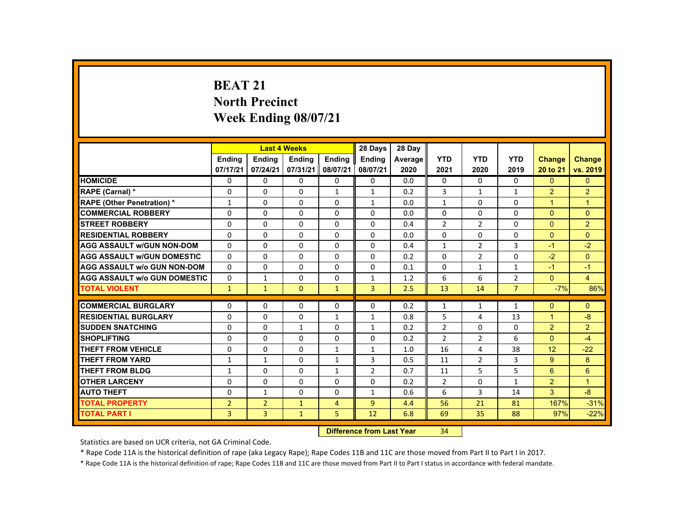## **BEAT 21 North Precinct Week Ending 08/07/21**

|                                     |                | <b>Last 4 Weeks</b> |               |                | 28 Days                          | 28 Day  |                |                |                |                |                |
|-------------------------------------|----------------|---------------------|---------------|----------------|----------------------------------|---------|----------------|----------------|----------------|----------------|----------------|
|                                     | <b>Ending</b>  | <b>Ending</b>       | <b>Ending</b> | <b>Ending</b>  | <b>Ending</b>                    | Average | <b>YTD</b>     | <b>YTD</b>     | <b>YTD</b>     | <b>Change</b>  | <b>Change</b>  |
|                                     | 07/17/21       | 07/24/21            | 07/31/21      | 08/07/21       | 08/07/21                         | 2020    | 2021           | 2020           | 2019           | 20 to 21       | vs. 2019       |
| <b>HOMICIDE</b>                     | 0              | $\Omega$            | $\Omega$      | $\mathbf 0$    | $\mathbf 0$                      | 0.0     | 0              | $\mathbf 0$    | 0              | $\Omega$       | $\overline{0}$ |
| RAPE (Carnal) *                     | $\Omega$       | $\Omega$            | $\Omega$      | $\mathbf{1}$   | $\mathbf{1}$                     | 0.2     | 3              | $\mathbf{1}$   | $\mathbf{1}$   | $\overline{2}$ | $\overline{2}$ |
| <b>RAPE (Other Penetration) *</b>   | $\mathbf{1}$   | $\Omega$            | $\Omega$      | $\Omega$       | $\mathbf{1}$                     | 0.0     | $\mathbf{1}$   | $\Omega$       | 0              | $\overline{1}$ | $\mathbf{1}$   |
| <b>COMMERCIAL ROBBERY</b>           | $\Omega$       | $\Omega$            | $\Omega$      | $\Omega$       | $\Omega$                         | 0.0     | $\Omega$       | $\Omega$       | $\Omega$       | $\Omega$       | $\Omega$       |
| <b>ISTREET ROBBERY</b>              | 0              | $\Omega$            | $\Omega$      | $\Omega$       | 0                                | 0.4     | $\overline{2}$ | $\overline{2}$ | 0              | $\mathbf{0}$   | $\overline{2}$ |
| <b>RESIDENTIAL ROBBERY</b>          | $\Omega$       | $\Omega$            | $\Omega$      | $\Omega$       | $\Omega$                         | 0.0     | 0              | 0              | $\Omega$       | $\Omega$       | $\Omega$       |
| <b>AGG ASSAULT W/GUN NON-DOM</b>    | $\mathbf{0}$   | $\Omega$            | $\Omega$      | $\Omega$       | $\Omega$                         | 0.4     | $\mathbf{1}$   | $\overline{2}$ | 3              | $-1$           | $-2$           |
| <b>AGG ASSAULT W/GUN DOMESTIC</b>   | $\Omega$       | $\Omega$            | $\Omega$      | $\Omega$       | $\Omega$                         | 0.2     | $\Omega$       | $\overline{2}$ | $\Omega$       | $-2$           | $\Omega$       |
| <b>AGG ASSAULT w/o GUN NON-DOM</b>  | 0              | $\Omega$            | $\mathbf{0}$  | $\mathbf{0}$   | 0                                | 0.1     | $\Omega$       | $\mathbf{1}$   | $\mathbf{1}$   | $-1$           | $-1$           |
| <b>AGG ASSAULT W/o GUN DOMESTIC</b> | $\Omega$       | $\mathbf{1}$        | $\Omega$      | $\Omega$       | $\mathbf{1}$                     | 1.2     | 6              | 6              | $\overline{2}$ | $\mathbf{0}$   | $\overline{4}$ |
| <b>TOTAL VIOLENT</b>                | $\mathbf{1}$   | $\mathbf{1}$        | $\mathbf{0}$  | $\mathbf{1}$   | $\overline{3}$                   | 2.5     | 13             | 14             | $\overline{7}$ | $-7%$          | 86%            |
| <b>COMMERCIAL BURGLARY</b>          | $\mathbf{0}$   | $\mathbf{0}$        | $\mathbf{0}$  | 0              | 0                                | 0.2     | 1              | 1              | 1              | $\mathbf{0}$   | $\Omega$       |
| <b>RESIDENTIAL BURGLARY</b>         | $\Omega$       | $\Omega$            | $\Omega$      | $\mathbf{1}$   | $\mathbf{1}$                     | 0.8     | 5              | 4              | 13             | $\overline{1}$ | $-8$           |
| <b>SUDDEN SNATCHING</b>             | $\Omega$       | $\Omega$            | $\mathbf{1}$  | $\Omega$       | $\mathbf{1}$                     | 0.2     | $\overline{2}$ | $\Omega$       | $\Omega$       | $\overline{2}$ | $\overline{2}$ |
| <b>SHOPLIFTING</b>                  | 0              | $\mathbf{0}$        | $\mathbf{0}$  | $\mathbf{0}$   | 0                                | 0.2     | $\overline{2}$ | $\overline{2}$ | 6              | $\mathbf{0}$   | $-4$           |
| THEFT FROM VEHICLE                  | $\Omega$       | $\Omega$            | $\Omega$      | $\mathbf{1}$   | $\mathbf{1}$                     | 1.0     | 16             | 4              | 38             | 12             | $-22$          |
| <b>THEFT FROM YARD</b>              | $\mathbf{1}$   | $\mathbf{1}$        | $\Omega$      | $\mathbf{1}$   | 3                                | 0.5     | 11             | $\overline{2}$ | 3              | 9              | 8              |
| <b>THEFT FROM BLDG</b>              | $\mathbf{1}$   | $\Omega$            | $\Omega$      | $\mathbf{1}$   | $\overline{2}$                   | 0.7     | 11             | 5              | 5              | 6              | 6              |
| <b>OTHER LARCENY</b>                | $\Omega$       | $\Omega$            | $\Omega$      | $\Omega$       | $\Omega$                         | 0.2     | $\overline{2}$ | 0              | $\mathbf{1}$   | $\overline{2}$ | $\mathbf{1}$   |
| <b>AUTO THEFT</b>                   | $\Omega$       | $\mathbf{1}$        | $\Omega$      | $\Omega$       | $\mathbf{1}$                     | 0.6     | 6              | 3              | 14             | $\overline{3}$ | $-8$           |
| <b>TOTAL PROPERTY</b>               | $\overline{2}$ | $\overline{2}$      | $\mathbf{1}$  | $\overline{4}$ | $\overline{9}$                   | 4.4     | 56             | 21             | 81             | 167%           | $-31%$         |
| <b>TOTAL PART I</b>                 | $\overline{3}$ | $\overline{3}$      | $\mathbf{1}$  | 5              | 12                               | 6.8     | 69             | 35             | 88             | 97%            | $-22%$         |
|                                     |                |                     |               |                | <b>Difference from Last Year</b> |         | 34             |                |                |                |                |

 **Difference from Last Year**

Statistics are based on UCR criteria, not GA Criminal Code.

\* Rape Code 11A is the historical definition of rape (aka Legacy Rape); Rape Codes 11B and 11C are those moved from Part II to Part I in 2017.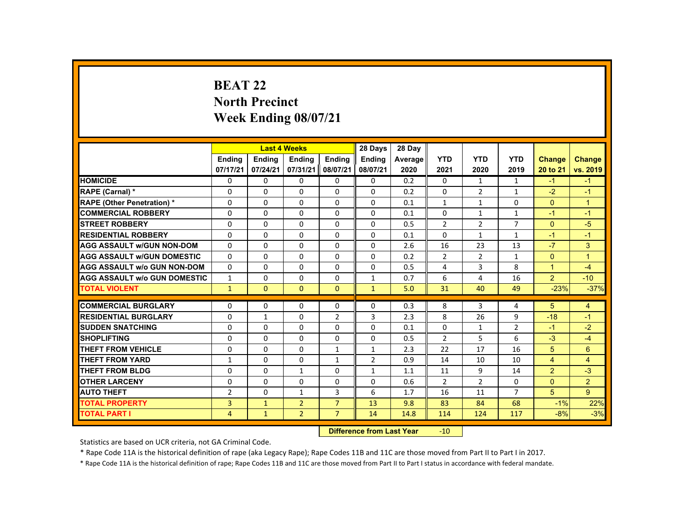# **BEAT 22North Precinct Week Ending 08/07/21**

|                                     |                |               | <b>Last 4 Weeks</b> |                | 28 Days       | 28 Day  |                |                |                |                |                |
|-------------------------------------|----------------|---------------|---------------------|----------------|---------------|---------|----------------|----------------|----------------|----------------|----------------|
|                                     | <b>Endina</b>  | <b>Ending</b> | <b>Ending</b>       | Ending         | <b>Ending</b> | Average | <b>YTD</b>     | <b>YTD</b>     | <b>YTD</b>     | <b>Change</b>  | <b>Change</b>  |
|                                     | 07/17/21       | 07/24/21      | 07/31/21            | 08/07/21       | 08/07/21      | 2020    | 2021           | 2020           | 2019           | 20 to 21       | vs. 2019       |
| <b>HOMICIDE</b>                     | 0              | $\Omega$      | $\Omega$            | $\Omega$       | 0             | 0.2     | 0              | $\mathbf{1}$   | $\mathbf{1}$   | $-1$           | $-1$           |
| RAPE (Carnal) *                     | 0              | $\Omega$      | $\mathbf{0}$        | $\mathbf{0}$   | 0             | 0.2     | $\Omega$       | 2              | 1              | $-2$           | $-1$           |
| <b>RAPE (Other Penetration) *</b>   | $\Omega$       | $\Omega$      | $\Omega$            | $\Omega$       | $\Omega$      | 0.1     | $\mathbf{1}$   | $\mathbf{1}$   | $\Omega$       | $\Omega$       | $\overline{1}$ |
| <b>COMMERCIAL ROBBERY</b>           | $\Omega$       | $\Omega$      | $\Omega$            | $\Omega$       | $\Omega$      | 0.1     | $\Omega$       | $\mathbf{1}$   | $\mathbf{1}$   | $-1$           | $-1$           |
| <b>STREET ROBBERY</b>               | $\Omega$       | $\Omega$      | $\Omega$            | $\Omega$       | $\Omega$      | 0.5     | $\overline{2}$ | $\overline{2}$ | $\overline{7}$ | $\Omega$       | $-5$           |
| <b>RESIDENTIAL ROBBERY</b>          | 0              | $\mathbf{0}$  | $\mathbf{0}$        | 0              | 0             | 0.1     | 0              | $\mathbf{1}$   | $\mathbf{1}$   | $-1$           | $-1$           |
| <b>AGG ASSAULT W/GUN NON-DOM</b>    | 0              | $\Omega$      | $\Omega$            | $\Omega$       | 0             | 2.6     | 16             | 23             | 13             | $-7$           | 3              |
| <b>AGG ASSAULT W/GUN DOMESTIC</b>   | $\Omega$       | $\Omega$      | $\Omega$            | $\Omega$       | $\Omega$      | 0.2     | $\overline{2}$ | 2              | $\mathbf{1}$   | $\Omega$       | $\overline{1}$ |
| <b>AGG ASSAULT w/o GUN NON-DOM</b>  | $\Omega$       | $\Omega$      | $\Omega$            | $\Omega$       | $\Omega$      | 0.5     | 4              | 3              | 8              | $\mathbf{1}$   | $-4$           |
| <b>AGG ASSAULT W/o GUN DOMESTIC</b> | $\mathbf{1}$   | $\Omega$      | $\Omega$            | $\Omega$       | $\mathbf{1}$  | 0.7     | 6              | 4              | 16             | $\overline{2}$ | $-10$          |
| <b>TOTAL VIOLENT</b>                | $\mathbf{1}$   | $\mathbf{0}$  | $\Omega$            | $\Omega$       | $\mathbf{1}$  | 5.0     | 31             | 40             | 49             | $-23%$         | $-37%$         |
|                                     |                |               |                     |                |               |         |                |                |                |                |                |
| <b>COMMERCIAL BURGLARY</b>          | 0              | $\mathbf{0}$  | $\Omega$            | $\Omega$       | $\Omega$      | 0.3     | 8              | 3              | 4              | 5              | 4              |
| <b>RESIDENTIAL BURGLARY</b>         | $\Omega$       | $\mathbf{1}$  | $\Omega$            | $\overline{2}$ | 3             | 2.3     | 8              | 26             | 9              | $-18$          | $-1$           |
| <b>SUDDEN SNATCHING</b>             | 0              | $\mathbf{0}$  | $\mathbf{0}$        | 0              | 0             | 0.1     | 0              | $\mathbf{1}$   | $\overline{2}$ | $-1$           | $-2$           |
| <b>SHOPLIFTING</b>                  | $\Omega$       | $\Omega$      | $\Omega$            | $\Omega$       | 0             | 0.5     | $\overline{2}$ | 5              | 6              | $-3$           | $-4$           |
| <b>THEFT FROM VEHICLE</b>           | $\Omega$       | $\Omega$      | $\Omega$            | $\mathbf{1}$   | $\mathbf{1}$  | 2.3     | 22             | 17             | 16             | 5              | $6\phantom{1}$ |
| <b>THEFT FROM YARD</b>              | $\mathbf{1}$   | $\Omega$      | $\Omega$            | $\mathbf{1}$   | 2             | 0.9     | 14             | 10             | 10             | $\overline{4}$ | $\overline{4}$ |
| <b>THEFT FROM BLDG</b>              | 0              | $\Omega$      | $\mathbf{1}$        | $\Omega$       | $\mathbf{1}$  | 1.1     | 11             | 9              | 14             | $\overline{2}$ | $-3$           |
| <b>OTHER LARCENY</b>                | $\Omega$       | $\Omega$      | $\Omega$            | 0              | $\Omega$      | 0.6     | $\overline{2}$ | $\overline{2}$ | 0              | $\mathbf{0}$   | $\overline{2}$ |
| <b>AUTO THEFT</b>                   | $\overline{2}$ | $\Omega$      | $\mathbf{1}$        | $\overline{3}$ | 6             | 1.7     | 16             | 11             | $\overline{7}$ | 5              | 9              |
| <b>TOTAL PROPERTY</b>               | 3              | $\mathbf{1}$  | $\overline{2}$      | $\overline{7}$ | 13            | 9.8     | 83             | 84             | 68             | $-1%$          | 22%            |
| <b>TOTAL PART I</b>                 | 4              | $\mathbf{1}$  | $\overline{2}$      | $\overline{7}$ | 14            | 14.8    | 114            | 124            | 117            | $-8%$          | $-3%$          |
|                                     | <b>CARLES</b>  |               |                     |                |               |         |                |                |                |                |                |

 **Difference from Last Year**r -10

Statistics are based on UCR criteria, not GA Criminal Code.

\* Rape Code 11A is the historical definition of rape (aka Legacy Rape); Rape Codes 11B and 11C are those moved from Part II to Part I in 2017.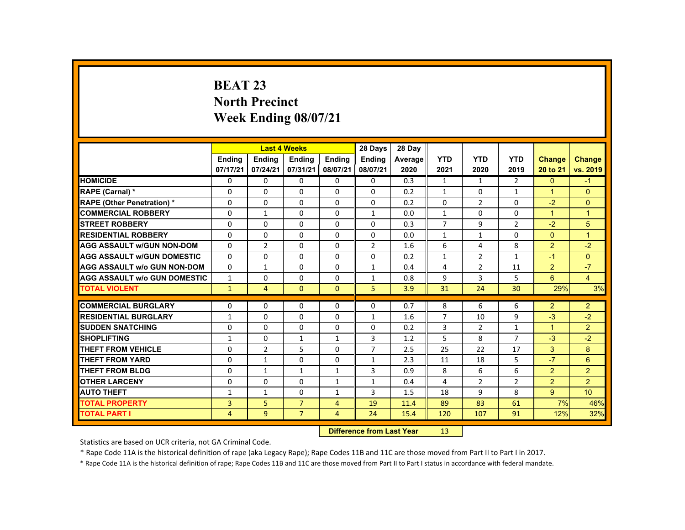# **BEAT 23 North Precinct Week Ending 08/07/21**

|                                     |                |                | <b>Last 4 Weeks</b> |                | 28 Days                   | 28 Day  |                |                |                |                      |                 |
|-------------------------------------|----------------|----------------|---------------------|----------------|---------------------------|---------|----------------|----------------|----------------|----------------------|-----------------|
|                                     | <b>Endina</b>  | Ending         | Ending              | Ending         | <b>Endina</b>             | Average | <b>YTD</b>     | <b>YTD</b>     | <b>YTD</b>     | <b>Change</b>        | <b>Change</b>   |
|                                     | 07/17/21       | 07/24/21       | 07/31/21            | 08/07/21       | 08/07/21                  | 2020    | 2021           | 2020           | 2019           | 20 to 21             | vs. 2019        |
| <b>HOMICIDE</b>                     | 0              | $\Omega$       | $\Omega$            | $\Omega$       | 0                         | 0.3     | $\mathbf{1}$   | $\mathbf{1}$   | $\overline{2}$ | $\mathbf{0}$         | $-1$            |
| RAPE (Carnal) *                     | 0              | $\Omega$       | $\Omega$            | $\Omega$       | 0                         | 0.2     | $\mathbf{1}$   | $\mathbf{0}$   | $\mathbf{1}$   | $\blacktriangleleft$ | $\mathbf{0}$    |
| <b>RAPE (Other Penetration) *</b>   | $\Omega$       | $\Omega$       | $\mathbf{0}$        | $\Omega$       | $\Omega$                  | 0.2     | $\Omega$       | $\overline{2}$ | $\Omega$       | $-2$                 | $\mathbf{0}$    |
| <b>COMMERCIAL ROBBERY</b>           | $\Omega$       | $\mathbf{1}$   | $\Omega$            | $\Omega$       | $\mathbf{1}$              | 0.0     | $\mathbf{1}$   | $\Omega$       | $\Omega$       | $\mathbf{1}$         | $\overline{1}$  |
| <b>STREET ROBBERY</b>               | $\Omega$       | $\Omega$       | $\Omega$            | $\Omega$       | $\Omega$                  | 0.3     | $\overline{7}$ | 9              | $\overline{2}$ | $-2$                 | 5               |
| <b>RESIDENTIAL ROBBERY</b>          | $\Omega$       | $\Omega$       | $\mathbf{0}$        | $\mathbf{0}$   | 0                         | 0.0     | $\mathbf{1}$   | $\mathbf{1}$   | 0              | $\Omega$             | $\overline{1}$  |
| <b>AGG ASSAULT w/GUN NON-DOM</b>    | $\Omega$       | $\overline{2}$ | $\Omega$            | $\Omega$       | $\overline{2}$            | 1.6     | 6              | 4              | 8              | $\overline{2}$       | $-2$            |
| <b>AGG ASSAULT W/GUN DOMESTIC</b>   | $\Omega$       | $\Omega$       | $\Omega$            | $\Omega$       | $\Omega$                  | 0.2     | $\mathbf{1}$   | $\overline{2}$ | $\mathbf{1}$   | $-1$                 | $\overline{0}$  |
| <b>AGG ASSAULT w/o GUN NON-DOM</b>  | $\Omega$       | $\mathbf{1}$   | $\Omega$            | $\Omega$       | $\mathbf{1}$              | 0.4     | 4              | $\overline{2}$ | 11             | $\overline{2}$       | $-7$            |
| <b>AGG ASSAULT w/o GUN DOMESTIC</b> | $\mathbf{1}$   | $\mathbf{0}$   | 0                   | $\mathbf{0}$   | 1                         | 0.8     | 9              | 3              | 5              | 6                    | $\overline{4}$  |
| <b>TOTAL VIOLENT</b>                | $\mathbf{1}$   | $\overline{4}$ | $\Omega$            | $\Omega$       | 5                         | 3.9     | 31             | 24             | 30             | 29%                  | 3%              |
| <b>COMMERCIAL BURGLARY</b>          | $\Omega$       | $\Omega$       | $\Omega$            | $\Omega$       | $\Omega$                  | 0.7     | 8              | 6              | 6              | $\overline{2}$       | $\overline{2}$  |
| <b>RESIDENTIAL BURGLARY</b>         | $\mathbf{1}$   | $\Omega$       | $\Omega$            | $\Omega$       | $\mathbf{1}$              | 1.6     | $\overline{7}$ | 10             | 9              | $-3$                 | $-2$            |
| <b>SUDDEN SNATCHING</b>             | $\Omega$       | $\Omega$       | $\Omega$            | $\Omega$       | $\Omega$                  | 0.2     | 3              | $\overline{2}$ | $\mathbf{1}$   | $\mathbf{1}$         | $\overline{2}$  |
| <b>SHOPLIFTING</b>                  | $\mathbf{1}$   | $\Omega$       | $\mathbf{1}$        | $\mathbf{1}$   | 3                         | 1.2     | 5              | 8              | $\overline{7}$ | $-3$                 | $-2$            |
| <b>THEFT FROM VEHICLE</b>           | $\Omega$       | $\overline{2}$ | 5                   | $\Omega$       | $\overline{7}$            | 2.5     | 25             | 22             | 17             | 3                    | 8               |
| <b>THEFT FROM YARD</b>              | $\Omega$       | $\mathbf{1}$   | $\Omega$            | $\Omega$       | $\mathbf{1}$              | 2.3     | 11             | 18             | 5              | $-7$                 | 6               |
| <b>THEFT FROM BLDG</b>              | $\Omega$       | $\mathbf{1}$   | $\mathbf{1}$        | $\mathbf{1}$   | 3                         | 0.9     | 8              | 6              | 6              | $\overline{2}$       | $\overline{2}$  |
| <b>OTHER LARCENY</b>                | $\Omega$       | $\Omega$       | $\Omega$            | $\mathbf{1}$   | $\mathbf{1}$              | 0.4     | 4              | 2              | $\overline{2}$ | $\overline{2}$       | $\overline{2}$  |
| <b>AUTO THEFT</b>                   | $\mathbf{1}$   | $\mathbf{1}$   | $\Omega$            | $\mathbf{1}$   | 3                         | 1.5     | 18             | 9              | 8              | $9^{\circ}$          | 10 <sup>1</sup> |
| <b>TOTAL PROPERTY</b>               | 3              | 5              | $\overline{7}$      | $\overline{4}$ | 19                        | 11.4    | 89             | 83             | 61             | 7%                   | 46%             |
| <b>TOTAL PART I</b>                 | $\overline{4}$ | 9              | $\overline{7}$      | 4              | 24                        | 15.4    | 120            | 107            | 91             | 12%                  | 32%             |
|                                     |                |                |                     |                | Difference from Loot Voor |         | 12             |                |                |                      |                 |

 **Difference from Last Year**r 13

Statistics are based on UCR criteria, not GA Criminal Code.

\* Rape Code 11A is the historical definition of rape (aka Legacy Rape); Rape Codes 11B and 11C are those moved from Part II to Part I in 2017.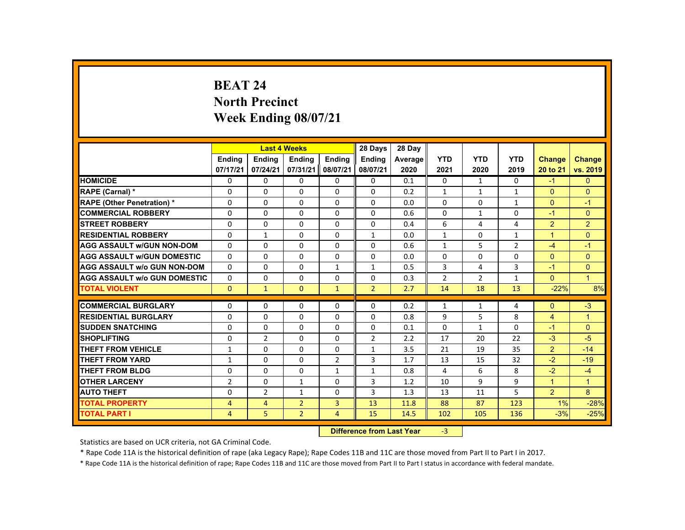# **BEAT 24North Precinct Week Ending 08/07/21**

|                                     |                |                | <b>Last 4 Weeks</b> |                   | 28 Days        | 28 Day  |                |                |                |                |                |
|-------------------------------------|----------------|----------------|---------------------|-------------------|----------------|---------|----------------|----------------|----------------|----------------|----------------|
|                                     | <b>Ending</b>  | <b>Ending</b>  | <b>Ending</b>       | Ending            | <b>Ending</b>  | Average | <b>YTD</b>     | <b>YTD</b>     | <b>YTD</b>     | Change         | <b>Change</b>  |
|                                     | 07/17/21       | 07/24/21       | 07/31/21            | 08/07/21          | 08/07/21       | 2020    | 2021           | 2020           | 2019           | 20 to 21       | vs. 2019       |
| <b>HOMICIDE</b>                     | 0              | $\Omega$       | $\Omega$            | $\Omega$          | 0              | 0.1     | 0              | $\mathbf{1}$   | $\Omega$       | $-1$           | $\Omega$       |
| <b>RAPE (Carnal) *</b>              | 0              | $\Omega$       | $\Omega$            | $\Omega$          | 0              | 0.2     | $\mathbf{1}$   | $\mathbf{1}$   | $\mathbf{1}$   | $\mathbf{0}$   | $\Omega$       |
| <b>RAPE (Other Penetration) *</b>   | $\Omega$       | $\Omega$       | $\Omega$            | $\Omega$          | $\Omega$       | 0.0     | $\Omega$       | $\Omega$       | $\mathbf{1}$   | $\Omega$       | $-1$           |
| <b>COMMERCIAL ROBBERY</b>           | $\Omega$       | $\Omega$       | $\Omega$            | $\Omega$          | $\Omega$       | 0.6     | $\Omega$       | $\mathbf{1}$   | $\Omega$       | $-1$           | $\mathbf{0}$   |
| <b>STREET ROBBERY</b>               | $\Omega$       | $\Omega$       | $\Omega$            | $\Omega$          | $\Omega$       | 0.4     | 6              | 4              | 4              | $\overline{2}$ | $\overline{2}$ |
| <b>RESIDENTIAL ROBBERY</b>          | 0              | 1              | $\mathbf{0}$        | 0                 | $\mathbf{1}$   | 0.0     | $\mathbf{1}$   | 0              | $\mathbf{1}$   | $\mathbf{1}$   | $\overline{0}$ |
| <b>AGG ASSAULT w/GUN NON-DOM</b>    | $\Omega$       | $\Omega$       | $\Omega$            | $\Omega$          | $\Omega$       | 0.6     | $\mathbf{1}$   | 5              | $\overline{2}$ | $-4$           | $-1$           |
| <b>AGG ASSAULT W/GUN DOMESTIC</b>   | $\Omega$       | $\Omega$       | $\Omega$            | $\Omega$          | $\Omega$       | 0.0     | $\Omega$       | $\Omega$       | 0              | $\mathbf{0}$   | $\Omega$       |
| <b>AGG ASSAULT w/o GUN NON-DOM</b>  | $\Omega$       | $\Omega$       | $\Omega$            | $\mathbf{1}$      | $\mathbf{1}$   | 0.5     | 3              | 4              | 3              | $-1$           | $\mathbf{0}$   |
| <b>AGG ASSAULT W/o GUN DOMESTIC</b> | 0              | $\Omega$       | $\Omega$            | $\Omega$          | $\Omega$       | 0.3     | $\overline{2}$ | $\overline{2}$ | $\mathbf{1}$   | $\Omega$       | $\overline{1}$ |
| <b>TOTAL VIOLENT</b>                | $\Omega$       | $\mathbf{1}$   | $\Omega$            | $\mathbf{1}$      | $\overline{2}$ | 2.7     | 14             | 18             | 13             | $-22%$         | 8%             |
|                                     |                |                |                     |                   |                |         |                |                |                |                |                |
| <b>COMMERCIAL BURGLARY</b>          | 0              | $\Omega$       | $\Omega$            | $\Omega$          | $\Omega$       | 0.2     | $\mathbf{1}$   | $\mathbf{1}$   | 4              | $\mathbf{0}$   | $-3$           |
| <b>RESIDENTIAL BURGLARY</b>         | $\Omega$       | $\Omega$       | $\Omega$            | $\Omega$          | $\Omega$       | 0.8     | 9              | 5              | 8              | $\overline{4}$ | $\overline{1}$ |
| <b>SUDDEN SNATCHING</b>             | 0              | $\mathbf{0}$   | $\mathbf{0}$        | 0                 | 0              | 0.1     | $\Omega$       | 1              | 0              | $-1$           | $\mathbf{0}$   |
| <b>SHOPLIFTING</b>                  | 0              | $\overline{2}$ | $\Omega$            | $\Omega$          | $\overline{2}$ | 2.2     | 17             | 20             | 22             | $-3$           | $-5$           |
| <b>THEFT FROM VEHICLE</b>           | $\mathbf{1}$   | $\Omega$       | $\Omega$            | $\Omega$          | $\mathbf{1}$   | 3.5     | 21             | 19             | 35             | $\overline{2}$ | $-14$          |
| <b>THEFT FROM YARD</b>              | $\mathbf{1}$   | $\Omega$       | $\Omega$            | $\overline{2}$    | 3              | 1.7     | 13             | 15             | 32             | $-2$           | $-19$          |
| <b>THEFT FROM BLDG</b>              | $\Omega$       | $\Omega$       | $\Omega$            | $\mathbf{1}$      | $\mathbf{1}$   | 0.8     | 4              | 6              | 8              | $-2$           | $-4$           |
| <b>OTHER LARCENY</b>                | $\overline{2}$ | $\Omega$       | 1                   | $\Omega$          | 3              | 1.2     | 10             | 9              | 9              | $\mathbf{1}$   | $\overline{1}$ |
| <b>AUTO THEFT</b>                   | $\Omega$       | $\overline{2}$ | $\mathbf{1}$        | $\Omega$          | 3              | 1.3     | 13             | 11             | 5              | $\overline{2}$ | 8              |
| <b>TOTAL PROPERTY</b>               | $\overline{4}$ | $\overline{4}$ | $\overline{2}$      | 3                 | 13             | 11.8    | 88             | 87             | 123            | 1%             | $-28%$         |
| <b>TOTAL PART I</b>                 | $\overline{4}$ | 5              | $\overline{2}$      | $\overline{4}$    | 15             | 14.5    | 102            | 105            | 136            | $-3%$          | $-25%$         |
|                                     |                |                |                     | <b>STATISTICS</b> |                |         |                |                |                |                |                |

 **Difference from Last Year**r -3

Statistics are based on UCR criteria, not GA Criminal Code.

\* Rape Code 11A is the historical definition of rape (aka Legacy Rape); Rape Codes 11B and 11C are those moved from Part II to Part I in 2017.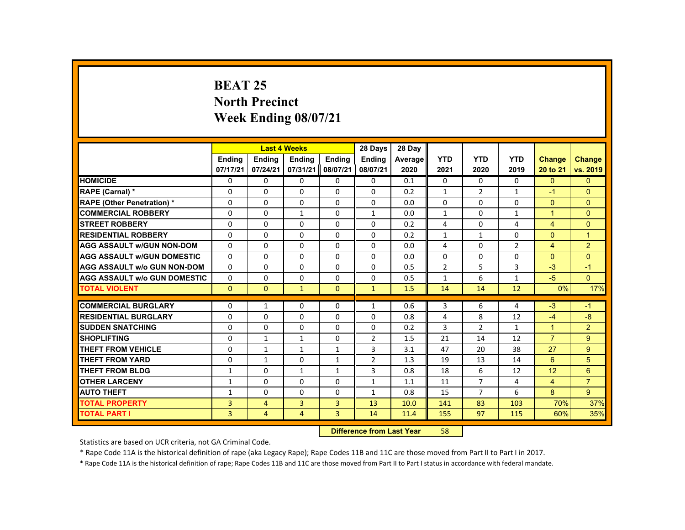## **BEAT 25 North Precinct Week Ending 08/07/21**

|                                     |               |                | <b>Last 4 Weeks</b> |                | 28 Days        | 28 Day  |                |                |                |                |                |
|-------------------------------------|---------------|----------------|---------------------|----------------|----------------|---------|----------------|----------------|----------------|----------------|----------------|
|                                     | <b>Ending</b> | <b>Ending</b>  | <b>Ending</b>       | <b>Ending</b>  | <b>Endina</b>  | Average | <b>YTD</b>     | <b>YTD</b>     | <b>YTD</b>     | <b>Change</b>  | <b>Change</b>  |
|                                     | 07/17/21      | 07/24/21       | 07/31/21            | 08/07/21       | 08/07/21       | 2020    | 2021           | 2020           | 2019           | 20 to 21       | vs. 2019       |
| <b>HOMICIDE</b>                     | $\Omega$      | $\Omega$       | $\Omega$            | $\Omega$       | 0              | 0.1     | 0              | $\Omega$       | $\Omega$       | $\Omega$       | $\Omega$       |
| RAPE (Carnal) *                     | $\Omega$      | $\Omega$       | $\Omega$            | $\mathbf{0}$   | $\Omega$       | 0.2     | $\mathbf{1}$   | $\overline{2}$ | $\mathbf{1}$   | $-1$           | $\mathbf{0}$   |
| <b>RAPE (Other Penetration) *</b>   | $\Omega$      | $\Omega$       | $\Omega$            | $\Omega$       | $\Omega$       | 0.0     | $\Omega$       | $\Omega$       | $\Omega$       | $\Omega$       | $\Omega$       |
| <b>COMMERCIAL ROBBERY</b>           | $\Omega$      | $\Omega$       | $\mathbf{1}$        | $\Omega$       | $\mathbf{1}$   | 0.0     | $\mathbf{1}$   | $\Omega$       | $\mathbf{1}$   | $\overline{1}$ | $\overline{0}$ |
| <b>STREET ROBBERY</b>               | $\Omega$      | $\Omega$       | $\Omega$            | $\Omega$       | $\Omega$       | 0.2     | 4              | $\Omega$       | 4              | $\overline{4}$ | $\Omega$       |
| <b>RESIDENTIAL ROBBERY</b>          | $\mathbf{0}$  | $\Omega$       | $\mathbf{0}$        | 0              | 0              | 0.2     | $\mathbf{1}$   | 1              | 0              | $\mathbf{0}$   | $\mathbf{1}$   |
| <b>AGG ASSAULT W/GUN NON-DOM</b>    | $\mathbf{0}$  | $\Omega$       | $\Omega$            | $\Omega$       | $\Omega$       | 0.0     | 4              | $\Omega$       | $\overline{2}$ | $\overline{4}$ | $\overline{2}$ |
| <b>AGG ASSAULT W/GUN DOMESTIC</b>   | $\Omega$      | $\Omega$       | $\Omega$            | $\Omega$       | $\Omega$       | 0.0     | $\Omega$       | $\Omega$       | $\Omega$       | $\Omega$       | $\Omega$       |
| <b>AGG ASSAULT w/o GUN NON-DOM</b>  | $\Omega$      | $\Omega$       | $\Omega$            | $\Omega$       | $\Omega$       | 0.5     | $\overline{2}$ | 5              | $\overline{3}$ | $-3$           | $-1$           |
| <b>AGG ASSAULT W/o GUN DOMESTIC</b> | 0             | $\Omega$       | $\mathbf{0}$        | $\mathbf{0}$   | 0              | 0.5     | $\mathbf{1}$   | 6              | $\mathbf{1}$   | $-5$           | $\Omega$       |
| <b>TOTAL VIOLENT</b>                | $\mathbf{0}$  | $\mathbf{0}$   | $\mathbf{1}$        | $\Omega$       | $\mathbf{1}$   | 1.5     | 14             | 14             | 12             | 0%             | 17%            |
| <b>COMMERCIAL BURGLARY</b>          | $\Omega$      | $\mathbf{1}$   | $\Omega$            | $\Omega$       | $\mathbf{1}$   | 0.6     | 3              | 6              | 4              | $-3$           | $-1$           |
| <b>RESIDENTIAL BURGLARY</b>         | 0             | $\Omega$       | $\mathbf{0}$        | $\Omega$       | $\Omega$       | 0.8     | 4              | 8              | 12             | $-4$           | $-8$           |
| <b>SUDDEN SNATCHING</b>             | $\Omega$      | $\Omega$       | $\Omega$            | $\Omega$       | $\Omega$       | 0.2     | 3              | $\overline{2}$ | $\mathbf{1}$   | $\mathbf{1}$   | 2 <sup>1</sup> |
| <b>SHOPLIFTING</b>                  | $\Omega$      | $\mathbf{1}$   | $\mathbf{1}$        | $\Omega$       | $\overline{2}$ | 1.5     | 21             | 14             | 12             | $\overline{7}$ | 9              |
| <b>THEFT FROM VEHICLE</b>           | $\Omega$      | $\mathbf{1}$   | $\mathbf{1}$        | $\mathbf{1}$   | 3              | 3.1     | 47             | 20             | 38             | 27             | 9              |
| <b>THEFT FROM YARD</b>              | $\Omega$      | $\mathbf{1}$   | $\Omega$            | $\mathbf{1}$   | $\overline{2}$ | 1.3     | 19             | 13             | 14             | 6              | 5              |
| <b>THEFT FROM BLDG</b>              | 1             | $\Omega$       | $\mathbf{1}$        | $\mathbf{1}$   | 3              | 0.8     | 18             | 6              | 12             | 12             | $6^{\circ}$    |
| <b>OTHER LARCENY</b>                | 1             | $\Omega$       | $\Omega$            | $\Omega$       | $\mathbf{1}$   | 1.1     | 11             | $\overline{7}$ | 4              | $\overline{4}$ | $\overline{7}$ |
| <b>AUTO THEFT</b>                   | $\mathbf{1}$  | $\Omega$       | $\Omega$            | $\Omega$       | $\mathbf{1}$   | 0.8     | 15             | $\overline{7}$ | 6              | 8              | 9              |
| <b>TOTAL PROPERTY</b>               | 3             | $\overline{4}$ | $\overline{3}$      | $\overline{3}$ | 13             | 10.0    | 141            | 83             | 103            | 70%            | 37%            |
| <b>TOTAL PART I</b>                 | 3             | $\overline{4}$ | $\overline{4}$      | $\overline{3}$ | 14             | 11.4    | 155            | 97             | 115            | 60%            | 35%            |
|                                     |               |                |                     |                |                |         |                |                |                |                |                |

 **Difference from Last Year**r 58

Statistics are based on UCR criteria, not GA Criminal Code.

\* Rape Code 11A is the historical definition of rape (aka Legacy Rape); Rape Codes 11B and 11C are those moved from Part II to Part I in 2017.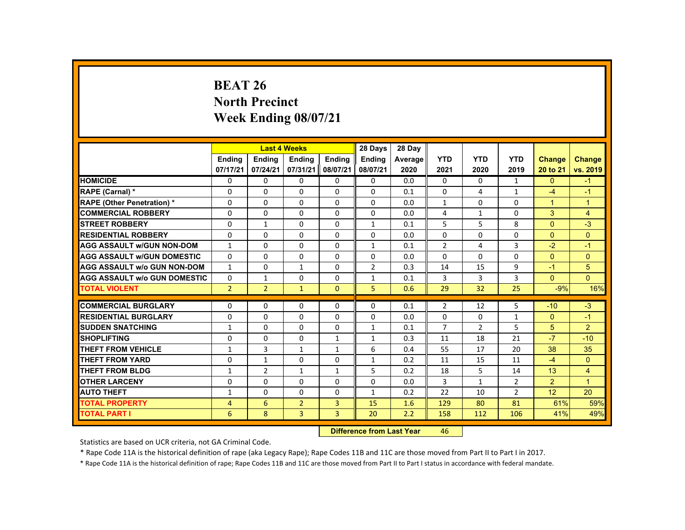# **BEAT 26 North Precinct Week Ending 08/07/21**

|                                     |                | <b>Last 4 Weeks</b> |                |                | 28 Days        | 28 Day  |                |                |                |                |                      |
|-------------------------------------|----------------|---------------------|----------------|----------------|----------------|---------|----------------|----------------|----------------|----------------|----------------------|
|                                     | Ending         | <b>Ending</b>       | <b>Ending</b>  | Ending         | <b>Ending</b>  | Average | <b>YTD</b>     | <b>YTD</b>     | <b>YTD</b>     | <b>Change</b>  | <b>Change</b>        |
|                                     | 07/17/21       | 07/24/21            | 07/31/21       | 08/07/21       | 08/07/21       | 2020    | 2021           | 2020           | 2019           | 20 to 21       | vs. 2019             |
| <b>HOMICIDE</b>                     | 0              | $\Omega$            | $\Omega$       | 0              | 0              | 0.0     | $\Omega$       | $\Omega$       | $\mathbf{1}$   | $\Omega$       | $-1$                 |
| <b>RAPE (Carnal) *</b>              | $\Omega$       | $\Omega$            | $\Omega$       | $\Omega$       | $\Omega$       | 0.1     | $\Omega$       | 4              | $\mathbf{1}$   | $-4$           | $-1$                 |
| <b>RAPE (Other Penetration) *</b>   | $\Omega$       | $\Omega$            | $\Omega$       | $\Omega$       | $\Omega$       | 0.0     | $\mathbf{1}$   | $\Omega$       | $\Omega$       | $\overline{1}$ | $\mathbf{1}$         |
| <b>COMMERCIAL ROBBERY</b>           | $\Omega$       | $\Omega$            | $\Omega$       | $\Omega$       | $\Omega$       | 0.0     | 4              | 1              | $\Omega$       | 3              | $\overline{4}$       |
| <b>STREET ROBBERY</b>               | $\Omega$       | $\mathbf{1}$        | $\Omega$       | $\Omega$       | $\mathbf{1}$   | 0.1     | 5              | 5              | 8              | $\Omega$       | $-3$                 |
| <b>RESIDENTIAL ROBBERY</b>          | 0              | $\mathbf{0}$        | $\mathbf{0}$   | 0              | 0              | 0.0     | $\Omega$       | 0              | 0              | $\Omega$       | $\overline{0}$       |
| <b>AGG ASSAULT W/GUN NON-DOM</b>    | 1              | $\Omega$            | $\Omega$       | $\Omega$       | $\mathbf{1}$   | 0.1     | $\overline{2}$ | 4              | 3              | $-2$           | $-1$                 |
| <b>AGG ASSAULT W/GUN DOMESTIC</b>   | $\Omega$       | $\Omega$            | $\Omega$       | $\Omega$       | $\Omega$       | 0.0     | $\Omega$       | $\Omega$       | $\Omega$       | $\Omega$       | $\Omega$             |
| <b>AGG ASSAULT W/o GUN NON-DOM</b>  | $\mathbf{1}$   | $\Omega$            | $\mathbf{1}$   | $\Omega$       | $\overline{2}$ | 0.3     | 14             | 15             | 9              | $-1$           | 5                    |
| <b>AGG ASSAULT w/o GUN DOMESTIC</b> | $\Omega$       | $\mathbf{1}$        | $\Omega$       | $\Omega$       | $\mathbf{1}$   | 0.1     | 3              | $\overline{3}$ | 3              | $\Omega$       | $\Omega$             |
| <b>TOTAL VIOLENT</b>                | 2 <sup>1</sup> | 2 <sup>1</sup>      | $\mathbf{1}$   | $\mathbf{0}$   | 5              | 0.6     | 29             | 32             | 25             | $-9%$          | 16%                  |
| <b>COMMERCIAL BURGLARY</b>          |                |                     |                |                |                |         |                |                |                |                | $-3$                 |
|                                     | $\mathbf{0}$   | $\Omega$            | $\Omega$       | 0              | $\Omega$       | 0.1     | $\overline{2}$ | 12             | 5              | $-10$          |                      |
| <b>RESIDENTIAL BURGLARY</b>         | $\Omega$       | $\Omega$            | $\Omega$       | $\Omega$       | $\Omega$       | 0.0     | $\Omega$       | $\Omega$       | $\mathbf{1}$   | $\Omega$       | $-1$                 |
| <b>SUDDEN SNATCHING</b>             | $\mathbf{1}$   | $\mathbf{0}$        | $\mathbf{0}$   | 0              | $\mathbf{1}$   | 0.1     | 7              | $\overline{2}$ | 5              | 5 <sup>5</sup> | $\overline{2}$       |
| <b>SHOPLIFTING</b>                  | $\Omega$       | $\Omega$            | $\Omega$       | $\mathbf{1}$   | $\mathbf{1}$   | 0.3     | 11             | 18             | 21             | $-7$           | $-10$                |
| <b>THEFT FROM VEHICLE</b>           | $\mathbf{1}$   | 3                   | $\mathbf{1}$   | 1              | 6              | 0.4     | 55             | 17             | 20             | 38             | 35                   |
| <b>THEFT FROM YARD</b>              | $\Omega$       | $\mathbf{1}$        | $\Omega$       | $\Omega$       | $\mathbf{1}$   | 0.2     | 11             | 15             | 11             | $-4$           | $\Omega$             |
| <b>THEFT FROM BLDG</b>              | $\mathbf{1}$   | $\overline{2}$      | $\mathbf{1}$   | $\mathbf{1}$   | 5              | 0.2     | 18             | 5              | 14             | 13             | $\overline{4}$       |
| <b>OTHER LARCENY</b>                | $\Omega$       | $\Omega$            | $\Omega$       | 0              | 0              | 0.0     | 3              | 1              | $\overline{2}$ | $\overline{2}$ | $\blacktriangleleft$ |
| <b>AUTO THEFT</b>                   | $\mathbf{1}$   | $\Omega$            | $\Omega$       | $\Omega$       | 1              | 0.2     | 22             | 10             | $\overline{2}$ | 12             | 20                   |
| <b>TOTAL PROPERTY</b>               | 4              | 6                   | $\overline{2}$ | 3              | 15             | 1.6     | 129            | 80             | 81             | 61%            | 59%                  |
| <b>TOTAL PART I</b>                 | 6              | 8                   | 3              | $\overline{3}$ | 20             | 2.2     | 158            | 112            | 106            | 41%            | 49%                  |
|                                     |                |                     |                |                |                |         |                |                |                |                |                      |

 **Difference from Last Year**r 46

Statistics are based on UCR criteria, not GA Criminal Code.

\* Rape Code 11A is the historical definition of rape (aka Legacy Rape); Rape Codes 11B and 11C are those moved from Part II to Part I in 2017.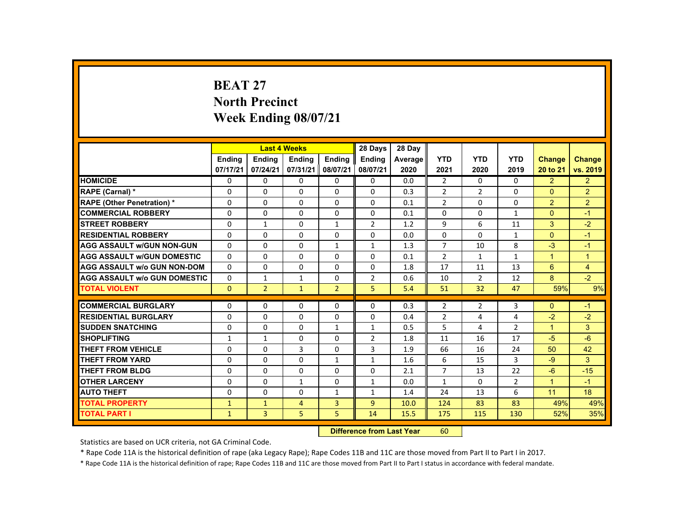#### **BEAT 27 North Precinct Week Ending 08/07/21**

|                                     |               |                | <b>Last 4 Weeks</b> |                | 28 Days        | 28 Day  |                |                |                |                      |                |
|-------------------------------------|---------------|----------------|---------------------|----------------|----------------|---------|----------------|----------------|----------------|----------------------|----------------|
|                                     | <b>Ending</b> | <b>Ending</b>  | <b>Ending</b>       | Ending         | Ending         | Average | <b>YTD</b>     | <b>YTD</b>     | <b>YTD</b>     | <b>Change</b>        | <b>Change</b>  |
|                                     | 07/17/21      | 07/24/21       | 07/31/21            | 08/07/21       | 08/07/21       | 2020    | 2021           | 2020           | 2019           | 20 to 21             | vs. 2019       |
| <b>HOMICIDE</b>                     | $\Omega$      | $\Omega$       | $\Omega$            | $\Omega$       | 0              | 0.0     | $\overline{2}$ | $\Omega$       | $\Omega$       | 2                    | $\overline{2}$ |
| RAPE (Carnal) *                     | 0             | $\Omega$       | $\Omega$            | $\Omega$       | $\Omega$       | 0.3     | $\overline{2}$ | $\overline{2}$ | $\Omega$       | $\Omega$             | $\overline{2}$ |
| <b>RAPE (Other Penetration) *</b>   | $\Omega$      | $\Omega$       | $\Omega$            | $\Omega$       | $\Omega$       | 0.1     | $\overline{2}$ | $\Omega$       | $\Omega$       | $\overline{2}$       | $\overline{2}$ |
| <b>COMMERCIAL ROBBERY</b>           | $\Omega$      | $\Omega$       | $\Omega$            | $\Omega$       | $\Omega$       | 0.1     | 0              | 0              | $\mathbf{1}$   | $\Omega$             | $-1$           |
| <b>STREET ROBBERY</b>               | $\Omega$      | $\mathbf{1}$   | $\Omega$            | $\mathbf{1}$   | $\overline{2}$ | 1.2     | 9              | 6              | 11             | $\mathbf{3}$         | $-2$           |
| <b>RESIDENTIAL ROBBERY</b>          | $\Omega$      | $\Omega$       | $\Omega$            | $\Omega$       | $\Omega$       | 0.0     | 0              | 0              | $\mathbf{1}$   | $\mathbf{0}$         | $-1$           |
| <b>AGG ASSAULT W/GUN NON-GUN</b>    | $\Omega$      | $\Omega$       | $\Omega$            | $\mathbf{1}$   | $\mathbf{1}$   | 1.3     | $\overline{7}$ | 10             | 8              | $-3$                 | $-1$           |
| <b>AGG ASSAULT W/GUN DOMESTIC</b>   | $\Omega$      | $\Omega$       | $\Omega$            | $\Omega$       | $\Omega$       | 0.1     | $\overline{2}$ | $\mathbf{1}$   | $\mathbf{1}$   | $\blacktriangleleft$ | $\mathbf{1}$   |
| <b>AGG ASSAULT w/o GUN NON-DOM</b>  | $\Omega$      | $\Omega$       | $\Omega$            | $\Omega$       | $\Omega$       | 1.8     | 17             | 11             | 13             | 6                    | $\overline{4}$ |
| <b>AGG ASSAULT W/o GUN DOMESTIC</b> | $\Omega$      | $\mathbf{1}$   | $\mathbf{1}$        | $\Omega$       | 2              | 0.6     | 10             | $\overline{2}$ | 12             | 8                    | $-2$           |
| <b>TOTAL VIOLENT</b>                | $\Omega$      | $\overline{2}$ | $\mathbf{1}$        | $\overline{2}$ | 5              | 5.4     | 51             | 32             | 47             | 59%                  | 9%             |
| <b>COMMERCIAL BURGLARY</b>          | $\Omega$      | $\Omega$       | $\Omega$            | $\Omega$       | $\Omega$       | 0.3     | $\overline{2}$ | 2              | 3              | $\Omega$             | $-1$           |
| <b>RESIDENTIAL BURGLARY</b>         | $\Omega$      | $\Omega$       | $\Omega$            | $\Omega$       | $\Omega$       | 0.4     | $\overline{2}$ | 4              | 4              | $-2$                 | $-2$           |
| <b>SUDDEN SNATCHING</b>             | $\Omega$      | $\Omega$       | $\Omega$            | $\mathbf{1}$   | 1              | 0.5     | 5              | 4              | $\overline{2}$ | $\blacktriangleleft$ | $\mathbf{3}$   |
| <b>SHOPLIFTING</b>                  | $\mathbf{1}$  | $\mathbf{1}$   | $\Omega$            | $\Omega$       | $\overline{2}$ | 1.8     | 11             | 16             | 17             | $-5$                 | $-6$           |
| <b>THEFT FROM VEHICLE</b>           | $\Omega$      | $\Omega$       | 3                   | $\Omega$       | 3              | 1.9     | 66             | 16             | 24             | 50                   | 42             |
| <b>THEFT FROM YARD</b>              | $\mathbf{0}$  | $\Omega$       | $\Omega$            | $\mathbf{1}$   | $\mathbf{1}$   | 1.6     | 6              | 15             | $\overline{3}$ | $-9$                 | 3              |
| <b>THEFT FROM BLDG</b>              | $\mathbf{0}$  | $\Omega$       | $\Omega$            | $\Omega$       | $\Omega$       | 2.1     | $\overline{7}$ | 13             | 22             | $-6$                 | $-15$          |
| <b>OTHER LARCENY</b>                | $\Omega$      | $\Omega$       | $\mathbf{1}$        | $\Omega$       | $\mathbf{1}$   | 0.0     | $\mathbf{1}$   | $\Omega$       | $\overline{2}$ | $\blacktriangleleft$ | $-1$           |
| <b>AUTO THEFT</b>                   | $\Omega$      | $\Omega$       | $\Omega$            | $\mathbf{1}$   | $\mathbf{1}$   | 1.4     | 24             | 13             | 6              | 11                   | 18             |
| <b>TOTAL PROPERTY</b>               | $\mathbf{1}$  | $\mathbf{1}$   | $\overline{4}$      | $\overline{3}$ | $\overline{9}$ | 10.0    | 124            | 83             | 83             | 49%                  | 49%            |
| <b>TOTAL PART I</b>                 | $\mathbf{1}$  | 3              | 5                   | 5              | 14             | 15.5    | 175            | 115            | 130            | 52%                  | 35%            |
|                                     |               |                |                     |                |                |         |                |                |                |                      |                |

 **Difference from Last Year**r 60

Statistics are based on UCR criteria, not GA Criminal Code.

\* Rape Code 11A is the historical definition of rape (aka Legacy Rape); Rape Codes 11B and 11C are those moved from Part II to Part I in 2017.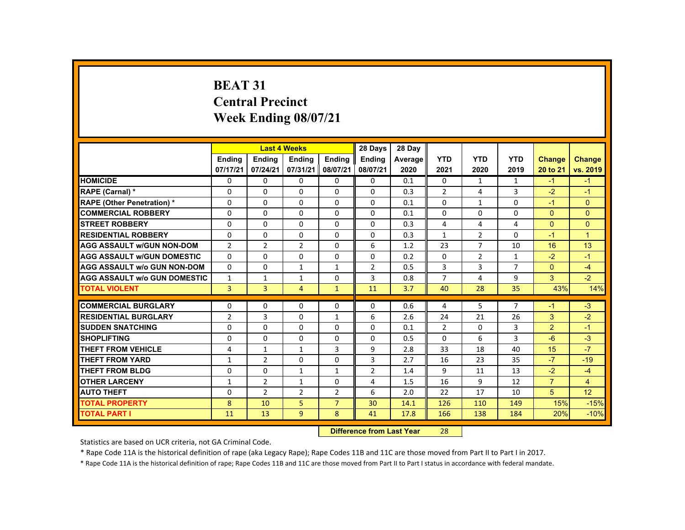# **BEAT 31 Central Precinct Week Ending 08/07/21**

|                                     |                |                                   | <b>Last 4 Weeks</b> |                          | 28 Days        | 28 Day     |                            |                |                |                        |                      |
|-------------------------------------|----------------|-----------------------------------|---------------------|--------------------------|----------------|------------|----------------------------|----------------|----------------|------------------------|----------------------|
|                                     | <b>Endina</b>  | <b>Ending</b>                     | <b>Ending</b>       | <b>Ending</b>            | Ending         | Average    | <b>YTD</b>                 | <b>YTD</b>     | <b>YTD</b>     | <b>Change</b>          | <b>Change</b>        |
|                                     | 07/17/21       | 07/24/21                          | 07/31/21            | 08/07/21                 | 08/07/21       | 2020       | 2021                       | 2020           | 2019           | 20 to 21               | vs. 2019             |
| <b>HOMICIDE</b>                     | $\Omega$       | $\Omega$                          | $\Omega$            | $\Omega$                 | $\mathbf{0}$   | 0.1        | $\Omega$                   | $\mathbf{1}$   | $\mathbf{1}$   | $-1$                   | $-1$                 |
| RAPE (Carnal) *                     | $\Omega$       | $\mathbf{0}$                      | $\Omega$            | $\Omega$                 | $\Omega$       | 0.3        | $\overline{2}$             | 4              | 3              | $-2$                   | $-1$                 |
| <b>RAPE (Other Penetration) *</b>   | $\Omega$       | $\Omega$                          | $\Omega$            | $\Omega$                 | $\Omega$       | 0.1        | $\Omega$                   | $\mathbf{1}$   | $\Omega$       | $-1$                   | $\Omega$             |
| <b>COMMERCIAL ROBBERY</b>           | $\Omega$       | $\Omega$                          | $\Omega$            | $\Omega$                 | $\Omega$       | 0.1        | $\Omega$                   | $\Omega$       | $\Omega$       | $\Omega$               | $\Omega$             |
| <b>STREET ROBBERY</b>               | $\Omega$       | $\Omega$                          | $\Omega$            | $\Omega$                 | $\Omega$       | 0.3        | 4                          | 4              | 4              | $\Omega$               | $\Omega$             |
| <b>RESIDENTIAL ROBBERY</b>          | $\Omega$       | $\mathbf{0}$                      | 0                   | $\mathbf{0}$             | $\mathbf{0}$   | 0.3        | 1                          | $\overline{2}$ | $\mathbf{0}$   | $-1$                   | $\blacktriangleleft$ |
| <b>AGG ASSAULT W/GUN NON-DOM</b>    | $\overline{2}$ | $\overline{2}$                    | 2                   | $\Omega$                 | 6              | 1.2        | 23                         | $\overline{7}$ | 10             | 16                     | 13                   |
| <b>AGG ASSAULT w/GUN DOMESTIC</b>   | $\Omega$       | $\Omega$                          | $\Omega$            | $\Omega$                 | $\Omega$       | 0.2        | $\Omega$                   | 2              | $\mathbf{1}$   | $-2$                   | $-1$                 |
| <b>AGG ASSAULT w/o GUN NON-DOM</b>  | $\Omega$       | $\Omega$                          | $\mathbf{1}$        | $\mathbf{1}$             | $\overline{2}$ | 0.5        | 3                          | 3              | $\overline{7}$ | $\Omega$               | $-4$                 |
| <b>AGG ASSAULT W/o GUN DOMESTIC</b> | $\mathbf{1}$   | $\mathbf{1}$                      | $\mathbf{1}$        | $\Omega$                 | 3              | 0.8        | $\overline{7}$             | 4              | 9              | 3                      | $-2$                 |
| <b>TOTAL VIOLENT</b>                | $\overline{3}$ | $\overline{3}$                    | $\overline{4}$      | $\mathbf{1}$             | 11             | 3.7        | 40                         | 28             | 35             | 43%                    | 14%                  |
| <b>COMMERCIAL BURGLARY</b>          | $\Omega$       | $\Omega$                          | $\Omega$            | $\Omega$                 | $\Omega$       | 0.6        | 4                          | 5              | $\overline{7}$ | $-1$                   | $-3$                 |
| <b>RESIDENTIAL BURGLARY</b>         | $\overline{2}$ | 3                                 | $\Omega$            |                          | 6              | 2.6        | 24                         | 21             | 26             | 3                      | $-2$                 |
| <b>SUDDEN SNATCHING</b>             | $\Omega$       | $\mathbf{0}$                      |                     | $\mathbf{1}$             | $\Omega$       |            |                            |                | 3              | $\overline{2}$         | $-1$                 |
| <b>SHOPLIFTING</b>                  | $\Omega$       | $\Omega$                          | 0<br>$\Omega$       | $\mathbf{0}$<br>$\Omega$ | $\Omega$       | 0.1<br>0.5 | $\overline{2}$<br>$\Omega$ | 0<br>6         | 3              | $-6$                   | $-3$                 |
| <b>THEFT FROM VEHICLE</b>           | 4              | $\mathbf{1}$                      | $\mathbf{1}$        | $\overline{3}$           | 9              | 2.8        | 33                         | 18             | 40             | 15                     | $-7$                 |
| <b>THEFT FROM YARD</b>              |                | $\overline{2}$                    | $\Omega$            | $\Omega$                 | 3              | 2.7        | 16                         | 23             | 35             | $-7$                   | $-19$                |
|                                     | $\mathbf{1}$   |                                   |                     |                          |                |            |                            |                |                |                        |                      |
| <b>THEFT FROM BLDG</b>              | $\Omega$       | $\Omega$                          | $\mathbf{1}$        | $\mathbf{1}$             | $\overline{2}$ | 1.4        | 9                          | 11             | 13             | $-2$<br>$\overline{7}$ | $-4$                 |
| <b>OTHER LARCENY</b>                | $\mathbf{1}$   | $\overline{2}$                    | $\mathbf{1}$        | $\Omega$                 | 4              | 1.5        | 16                         | 9              | 12             |                        | $\overline{4}$       |
| <b>AUTO THEFT</b>                   | $\Omega$       | $\overline{2}$                    | $\overline{2}$      | $\overline{2}$           | 6              | 2.0        | 22                         | 17             | 10             | 5                      | 12                   |
| <b>TOTAL PROPERTY</b>               | 8              | 10                                | 5                   | $\overline{7}$           | 30             | 14.1       | 126                        | 110            | 149            | 15%                    | $-15%$               |
| <b>TOTAL PART I</b>                 | 11             | 13                                | 9                   | 8                        | 41             | 17.8       | 166                        | 138            | 184            | 20%                    | $-10%$               |
|                                     |                | <b>Difference from Least Vanc</b> |                     | no.                      |                |            |                            |                |                |                        |                      |

 **Difference from Last Year**r 28

Statistics are based on UCR criteria, not GA Criminal Code.

\* Rape Code 11A is the historical definition of rape (aka Legacy Rape); Rape Codes 11B and 11C are those moved from Part II to Part I in 2017.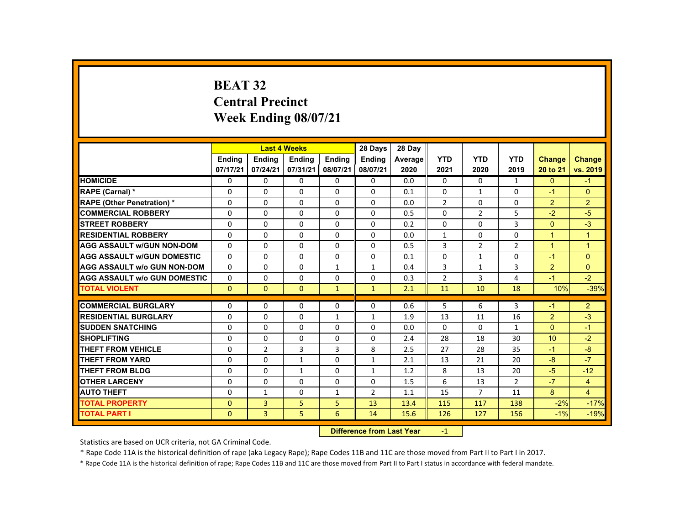# **BEAT 32 Central Precinct Week Ending 08/07/21**

|                                     |               |                | <b>Last 4 Weeks</b> |                 | 28 Days                                                                                                                                                                                                                        | 28 Day  |                |                |                |                |                |
|-------------------------------------|---------------|----------------|---------------------|-----------------|--------------------------------------------------------------------------------------------------------------------------------------------------------------------------------------------------------------------------------|---------|----------------|----------------|----------------|----------------|----------------|
|                                     | <b>Ending</b> | <b>Ending</b>  | <b>Ending</b>       | <b>Endina</b>   | <b>Ending</b>                                                                                                                                                                                                                  | Average | <b>YTD</b>     | <b>YTD</b>     | <b>YTD</b>     | <b>Change</b>  | <b>Change</b>  |
|                                     | 07/17/21      | 07/24/21       | 07/31/21            | 08/07/21        | 08/07/21                                                                                                                                                                                                                       | 2020    | 2021           | 2020           | 2019           | 20 to 21       | vs. 2019       |
| <b>HOMICIDE</b>                     | 0             | $\Omega$       | 0                   | $\Omega$        | 0                                                                                                                                                                                                                              | 0.0     | $\mathbf{0}$   | 0              | $\mathbf{1}$   | $\mathbf{0}$   | $-1$           |
| <b>RAPE (Carnal) *</b>              | 0             | $\Omega$       | 0                   | $\Omega$        | $\Omega$                                                                                                                                                                                                                       | 0.1     | $\Omega$       | $\mathbf{1}$   | 0              | $-1$           | $\Omega$       |
| <b>RAPE (Other Penetration) *</b>   | $\Omega$      | $\Omega$       | $\Omega$            | $\Omega$        | $\Omega$                                                                                                                                                                                                                       | 0.0     | $\overline{2}$ | $\Omega$       | $\Omega$       | $\overline{2}$ | $\overline{2}$ |
| <b>COMMERCIAL ROBBERY</b>           | $\Omega$      | $\Omega$       | $\Omega$            | $\Omega$        | $\Omega$                                                                                                                                                                                                                       | 0.5     | $\Omega$       | $\overline{2}$ | 5              | $-2$           | $-5$           |
| <b>STREET ROBBERY</b>               | $\Omega$      | $\Omega$       | $\Omega$            | $\Omega$        | $\Omega$                                                                                                                                                                                                                       | 0.2     | $\Omega$       | $\Omega$       | $\overline{3}$ | $\Omega$       | $-3$           |
| <b>RESIDENTIAL ROBBERY</b>          | 0             | $\mathbf{0}$   | 0                   | 0               | 0                                                                                                                                                                                                                              | 0.0     | $\mathbf{1}$   | 0              | 0              | $\mathbf{1}$   | $\overline{1}$ |
| <b>AGG ASSAULT W/GUN NON-DOM</b>    | $\Omega$      | $\Omega$       | 0                   | $\Omega$        | $\Omega$                                                                                                                                                                                                                       | 0.5     | 3              | 2              | $\overline{2}$ | $\mathbf{1}$   | $\mathbf{1}$   |
| <b>AGG ASSAULT W/GUN DOMESTIC</b>   | $\Omega$      | $\Omega$       | $\Omega$            | $\Omega$        | $\Omega$                                                                                                                                                                                                                       | 0.1     | $\Omega$       | $\mathbf{1}$   | $\Omega$       | $-1$           | $\Omega$       |
| <b>AGG ASSAULT W/o GUN NON-DOM</b>  | $\Omega$      | $\Omega$       | $\Omega$            | $\mathbf{1}$    | $\mathbf{1}$                                                                                                                                                                                                                   | 0.4     | 3              | $\mathbf{1}$   | $\overline{3}$ | 2              | $\Omega$       |
| <b>AGG ASSAULT W/o GUN DOMESTIC</b> | $\Omega$      | $\Omega$       | $\Omega$            | $\Omega$        | $\Omega$                                                                                                                                                                                                                       | 0.3     | $\overline{2}$ | 3              | 4              | $-1$           | $-2$           |
| <b>TOTAL VIOLENT</b>                | $\mathbf{0}$  | $\mathbf{0}$   | $\mathbf{0}$        | $\mathbf{1}$    | $\mathbf{1}$                                                                                                                                                                                                                   | 2.1     | 11             | 10             | 18             | 10%            | $-39%$         |
|                                     |               |                |                     |                 |                                                                                                                                                                                                                                |         |                |                |                |                |                |
| <b>COMMERCIAL BURGLARY</b>          | $\Omega$      | $\Omega$       | $\Omega$            | 0               | $\Omega$                                                                                                                                                                                                                       | 0.6     | 5              | 6              | 3              | $-1$           | $\overline{2}$ |
| <b>RESIDENTIAL BURGLARY</b>         | $\Omega$      | $\Omega$       | $\Omega$            | $\mathbf{1}$    | $\mathbf{1}$                                                                                                                                                                                                                   | 1.9     | 13             | 11             | 16             | $\overline{2}$ | $-3$           |
| <b>SUDDEN SNATCHING</b>             | 0             | $\mathbf{0}$   | 0                   | 0               | 0                                                                                                                                                                                                                              | 0.0     | 0              | 0              | $\mathbf{1}$   | $\Omega$       | $-1$           |
| <b>SHOPLIFTING</b>                  | $\Omega$      | $\Omega$       | $\Omega$            | $\Omega$        | $\Omega$                                                                                                                                                                                                                       | 2.4     | 28             | 18             | 30             | 10             | $-2$           |
| <b>THEFT FROM VEHICLE</b>           | $\Omega$      | $\overline{2}$ | 3                   | $\overline{3}$  | 8                                                                                                                                                                                                                              | 2.5     | 27             | 28             | 35             | $-1$           | $-8$           |
| <b>THEFT FROM YARD</b>              | $\Omega$      | $\Omega$       | $\mathbf{1}$        | $\Omega$        | $\mathbf{1}$                                                                                                                                                                                                                   | 2.1     | 13             | 21             | 20             | $-8$           | $-7$           |
| <b>THEFT FROM BLDG</b>              | $\Omega$      | $\Omega$       | $\mathbf{1}$        | 0               | $\mathbf{1}$                                                                                                                                                                                                                   | 1.2     | 8              | 13             | 20             | $-5$           | $-12$          |
| <b>OTHER LARCENY</b>                | $\Omega$      | $\Omega$       | $\Omega$            | $\Omega$        | 0                                                                                                                                                                                                                              | 1.5     | 6              | 13             | $\overline{2}$ | $-7$           | $\overline{4}$ |
| <b>AUTO THEFT</b>                   | $\Omega$      | $\mathbf{1}$   | $\Omega$            | $\mathbf{1}$    | $\overline{2}$                                                                                                                                                                                                                 | 1.1     | 15             | $\overline{7}$ | 11             | 8              | $\overline{4}$ |
| <b>TOTAL PROPERTY</b>               | $\Omega$      | $\overline{3}$ | 5                   | 5               | 13                                                                                                                                                                                                                             | 13.4    | 115            | 117            | 138            | $-2%$          | $-17%$         |
| <b>TOTAL PART I</b>                 | $\mathbf{0}$  | 3              | 5                   | 6               | 14                                                                                                                                                                                                                             | 15.6    | 126            | 127            | 156            | $-1%$          | $-19%$         |
|                                     |               |                |                     | <b>CALLED A</b> | and the second control of the second second the second second second second second second second second second second second second second second second second second second second second second second second second second |         |                |                |                |                |                |

 **Difference from Last Year**r -1

Statistics are based on UCR criteria, not GA Criminal Code.

\* Rape Code 11A is the historical definition of rape (aka Legacy Rape); Rape Codes 11B and 11C are those moved from Part II to Part I in 2017.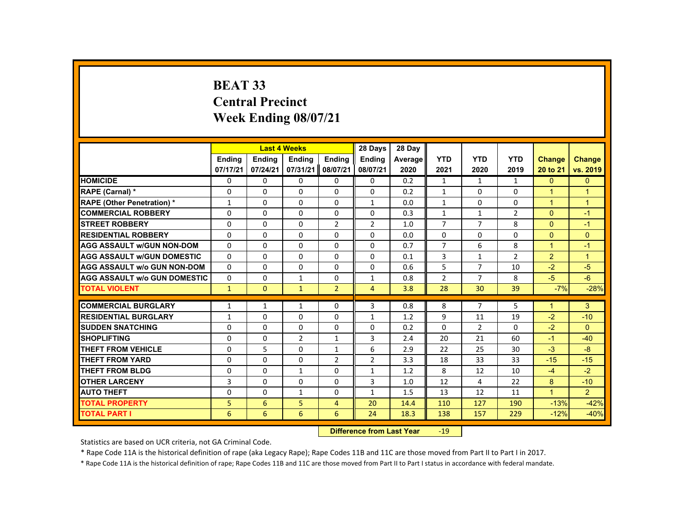# **BEAT 33 Central Precinct Week Ending 08/07/21**

|                                     |               |               | <b>Last 4 Weeks</b>              |                | 28 Days        | 28 Day  |                |                |                |                      |                |
|-------------------------------------|---------------|---------------|----------------------------------|----------------|----------------|---------|----------------|----------------|----------------|----------------------|----------------|
|                                     | <b>Endina</b> | <b>Ending</b> | <b>Ending</b>                    | <b>Ending</b>  | <b>Ending</b>  | Average | <b>YTD</b>     | <b>YTD</b>     | <b>YTD</b>     | <b>Change</b>        | <b>Change</b>  |
|                                     | 07/17/21      | 07/24/21      | 07/31/21                         | 08/07/21       | 08/07/21       | 2020    | 2021           | 2020           | 2019           | 20 to 21             | vs. 2019       |
| <b>HOMICIDE</b>                     | 0             | 0             | 0                                | 0              | 0              | 0.2     | $\mathbf{1}$   | 1              | $\mathbf{1}$   | $\mathbf{0}$         | $\overline{0}$ |
| RAPE (Carnal) *                     | 0             | $\Omega$      | 0                                | $\Omega$       | $\Omega$       | 0.2     | $\mathbf{1}$   | $\Omega$       | 0              | $\blacktriangleleft$ | $\overline{1}$ |
| <b>RAPE (Other Penetration) *</b>   | $\mathbf{1}$  | $\Omega$      | $\Omega$                         | $\Omega$       | $\mathbf{1}$   | 0.0     | $\mathbf{1}$   | $\Omega$       | $\Omega$       | $\overline{1}$       | $\overline{1}$ |
| <b>COMMERCIAL ROBBERY</b>           | $\Omega$      | $\Omega$      | $\Omega$                         | $\Omega$       | 0              | 0.3     | $\mathbf{1}$   | $\mathbf{1}$   | $\overline{2}$ | $\Omega$             | $-1$           |
| <b>STREET ROBBERY</b>               | 0             | $\Omega$      | 0                                | $\overline{2}$ | $\overline{2}$ | 1.0     | $\overline{7}$ | $\overline{7}$ | 8              | $\Omega$             | $-1$           |
| <b>RESIDENTIAL ROBBERY</b>          | $\Omega$      | $\Omega$      | $\Omega$                         | 0              | 0              | 0.0     | 0              | 0              | 0              | $\mathbf{0}$         | $\mathbf{0}$   |
| <b>AGG ASSAULT w/GUN NON-DOM</b>    | $\Omega$      | $\Omega$      | 0                                | $\Omega$       | 0              | 0.7     | $\overline{7}$ | 6              | 8              | $\overline{1}$       | $-1$           |
| <b>AGG ASSAULT w/GUN DOMESTIC</b>   | $\Omega$      | $\Omega$      | $\Omega$                         | $\Omega$       | $\Omega$       | 0.1     | 3              | $\mathbf{1}$   | $\overline{2}$ | $\overline{2}$       | $\overline{1}$ |
| <b>AGG ASSAULT w/o GUN NON-DOM</b>  | $\Omega$      | 0             | $\Omega$                         | 0              | 0              | 0.6     | 5              | $\overline{7}$ | 10             | $-2$                 | $-5$           |
| <b>AGG ASSAULT w/o GUN DOMESTIC</b> | $\Omega$      | 0             | $\mathbf{1}$                     | 0              | $\mathbf{1}$   | 0.8     | $\overline{2}$ | 7              | 8              | $-5$                 | $-6$           |
| <b>TOTAL VIOLENT</b>                | $\mathbf{1}$  | $\mathbf{0}$  | $\mathbf{1}$                     | $\overline{2}$ | $\overline{4}$ | 3.8     | 28             | 30             | 39             | $-7%$                | $-28%$         |
| <b>COMMERCIAL BURGLARY</b>          | 1             | 1             | 1                                | 0              | 3              | 0.8     | 8              | 7              | 5              | $\blacktriangleleft$ | 3              |
| <b>RESIDENTIAL BURGLARY</b>         | $\mathbf{1}$  | $\Omega$      | $\Omega$                         | $\Omega$       | $\mathbf{1}$   | 1.2     | 9              | 11             | 19             | $-2$                 | $-10$          |
| <b>SUDDEN SNATCHING</b>             | $\Omega$      | $\Omega$      | $\Omega$                         | $\Omega$       | $\Omega$       | 0.2     | $\Omega$       | $\overline{2}$ | $\Omega$       | $-2$                 | $\Omega$       |
| <b>SHOPLIFTING</b>                  | $\Omega$      | $\Omega$      | 2                                | $\mathbf{1}$   | 3              | 2.4     | 20             | 21             | 60             | $-1$                 | $-40$          |
| <b>THEFT FROM VEHICLE</b>           | 0             | 5             | $\Omega$                         | $\mathbf{1}$   | 6              | 2.9     | 22             | 25             | 30             | $-3$                 | $-8$           |
| <b>THEFT FROM YARD</b>              | $\Omega$      | $\Omega$      | $\Omega$                         | $\overline{2}$ | $\overline{2}$ | 3.3     | 18             | 33             | 33             | $-15$                | $-15$          |
| <b>THEFT FROM BLDG</b>              | $\Omega$      | $\Omega$      | $\mathbf{1}$                     | $\Omega$       | $\mathbf{1}$   | 1.2     | 8              | 12             | 10             | $-4$                 | $-2$           |
| <b>OTHER LARCENY</b>                | 3             | $\Omega$      | 0                                | 0              | 3              | 1.0     | 12             | 4              | 22             | 8                    | $-10$          |
| <b>AUTO THEFT</b>                   | 0             | 0             | 1                                | 0              | $\mathbf{1}$   | 1.5     | 13             | 12             | 11             | $\overline{1}$       | $\overline{2}$ |
| <b>TOTAL PROPERTY</b>               | 5             | 6             | 5                                | $\overline{4}$ | 20             | 14.4    | 110            | 127            | 190            | $-13%$               | $-42%$         |
| <b>TOTAL PART I</b>                 | 6             | 6             | 6                                | 6              | 24             | 18.3    | 138            | 157            | 229            | $-12%$               | $-40%$         |
|                                     |               |               | <b>Difference from Last Year</b> |                | $-19$          |         |                |                |                |                      |                |

Statistics are based on UCR criteria, not GA Criminal Code.

\* Rape Code 11A is the historical definition of rape (aka Legacy Rape); Rape Codes 11B and 11C are those moved from Part II to Part I in 2017.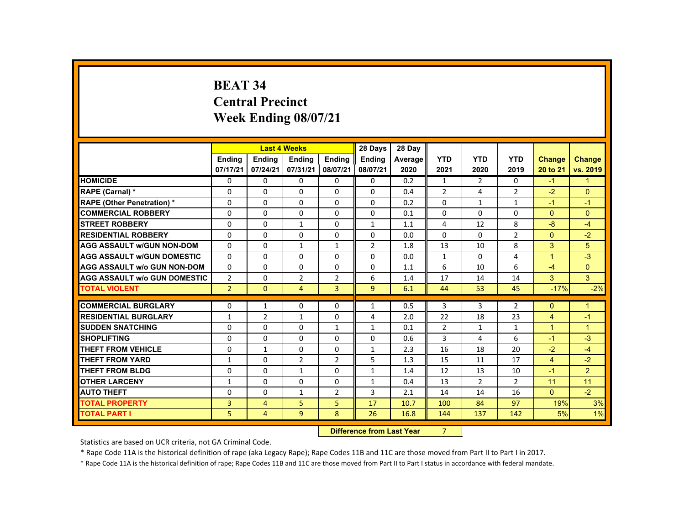# **BEAT 34 Central Precinct Week Ending 08/07/21**

|                                     |                |                | <b>Last 4 Weeks</b> |                | 28 Days        | 28 Day  |                |                |                |                      |                      |
|-------------------------------------|----------------|----------------|---------------------|----------------|----------------|---------|----------------|----------------|----------------|----------------------|----------------------|
|                                     | <b>Ending</b>  | <b>Ending</b>  | <b>Ending</b>       | <b>Ending</b>  | <b>Endina</b>  | Average | <b>YTD</b>     | <b>YTD</b>     | <b>YTD</b>     | <b>Change</b>        | <b>Change</b>        |
|                                     | 07/17/21       | 07/24/21       | 07/31/21            | 08/07/21       | 08/07/21       | 2020    | 2021           | 2020           | 2019           | 20 to 21             | vs. 2019             |
| <b>HOMICIDE</b>                     | 0              | $\Omega$       | $\Omega$            | $\Omega$       | $\Omega$       | 0.2     | $\mathbf{1}$   | $\overline{2}$ | $\Omega$       | $-1$                 | $\mathbf{1}$         |
| RAPE (Carnal) *                     | $\Omega$       | $\Omega$       | $\Omega$            | $\Omega$       | $\Omega$       | 0.4     | $\overline{2}$ | 4              | $\overline{2}$ | $-2$                 | $\overline{0}$       |
| <b>RAPE (Other Penetration) *</b>   | $\Omega$       | $\Omega$       | $\Omega$            | $\Omega$       | $\Omega$       | 0.2     | 0              | $\mathbf{1}$   | $\mathbf{1}$   | $-1$                 | $-1$                 |
| <b>COMMERCIAL ROBBERY</b>           | $\Omega$       | $\Omega$       | $\Omega$            | $\Omega$       | $\Omega$       | 0.1     | $\Omega$       | $\Omega$       | 0              | $\Omega$             | $\Omega$             |
| <b>STREET ROBBERY</b>               | $\Omega$       | $\Omega$       | $\mathbf{1}$        | $\Omega$       | $\mathbf{1}$   | 1.1     | 4              | 12             | 8              | $-8$                 | $-4$                 |
| <b>RESIDENTIAL ROBBERY</b>          | $\Omega$       | $\Omega$       | $\Omega$            | $\mathbf{0}$   | 0              | 0.0     | 0              | 0              | $\overline{2}$ | $\mathbf{0}$         | $-2$                 |
| <b>AGG ASSAULT WGUN NON-DOM</b>     | $\Omega$       | $\Omega$       | $\mathbf{1}$        | $\mathbf{1}$   | $\overline{2}$ | 1.8     | 13             | 10             | 8              | 3                    | 5                    |
| <b>AGG ASSAULT W/GUN DOMESTIC</b>   | $\Omega$       | $\Omega$       | $\Omega$            | $\Omega$       | $\Omega$       | 0.0     | $\mathbf{1}$   | $\Omega$       | 4              | $\overline{1}$       | $-3$                 |
| <b>AGG ASSAULT W/o GUN NON-DOM</b>  | $\Omega$       | $\Omega$       | $\Omega$            | $\Omega$       | $\Omega$       | 1.1     | 6              | 10             | 6              | $-4$                 | $\Omega$             |
| <b>AGG ASSAULT w/o GUN DOMESTIC</b> | $\overline{2}$ | $\Omega$       | 2                   | $\overline{2}$ | 6              | 1.4     | 17             | 14             | 14             | 3                    | $\mathbf{3}$         |
| <b>TOTAL VIOLENT</b>                | 2 <sup>1</sup> | $\Omega$       | $\overline{4}$      | $\overline{3}$ | $\overline{9}$ | 6.1     | 44             | 53             | 45             | $-17%$               | $-2%$                |
| <b>COMMERCIAL BURGLARY</b>          | $\Omega$       | $\mathbf{1}$   | $\Omega$            | $\Omega$       | $\mathbf{1}$   | 0.5     | 3              | 3              | $\overline{2}$ | $\Omega$             | $\blacktriangleleft$ |
| <b>RESIDENTIAL BURGLARY</b>         | $\mathbf{1}$   | $\overline{2}$ | $\mathbf{1}$        | $\Omega$       | 4              | 2.0     | 22             | 18             | 23             | $\overline{4}$       | $-1$                 |
| <b>SUDDEN SNATCHING</b>             | $\mathbf{0}$   | $\Omega$       | $\Omega$            | $\mathbf{1}$   | $\mathbf{1}$   | 0.1     | $\overline{2}$ | $\mathbf{1}$   | 1              | $\blacktriangleleft$ | $\blacktriangleleft$ |
| <b>SHOPLIFTING</b>                  | $\Omega$       | $\Omega$       | $\Omega$            | $\Omega$       | $\Omega$       | 0.6     | 3              | 4              | 6              | $-1$                 | $-3$                 |
| <b>THEFT FROM VEHICLE</b>           | $\Omega$       | $\mathbf{1}$   | $\Omega$            | $\Omega$       | $\mathbf{1}$   | 2.3     | 16             | 18             | 20             | $-2$                 | $-4$                 |
| <b>THEFT FROM YARD</b>              | $\mathbf{1}$   | $\Omega$       | 2                   | $\overline{2}$ | 5              | 1.3     | 15             | 11             | 17             | $\overline{4}$       | $-2$                 |
| <b>THEFT FROM BLDG</b>              | $\Omega$       | $\Omega$       | $\mathbf{1}$        | $\Omega$       | 1              | 1.4     | 12             | 13             | 10             | $-1$                 | $\overline{2}$       |
| <b>OTHER LARCENY</b>                | 1              | $\Omega$       | $\Omega$            | $\Omega$       | 1              | 0.4     | 13             | $\overline{2}$ | $\overline{2}$ | 11                   | 11                   |
| <b>AUTO THEFT</b>                   | $\Omega$       | $\Omega$       | $\mathbf{1}$        | $\overline{2}$ | 3              | 2.1     | 14             | 14             | 16             | $\overline{0}$       | $-2$                 |
| <b>TOTAL PROPERTY</b>               | $\overline{3}$ | $\overline{4}$ | 5                   | 5              | 17             | 10.7    | 100            | 84             | 97             | 19%                  | 3%                   |
| <b>TOTAL PART I</b>                 | 5.             | $\overline{4}$ | 9                   | 8              | 26             | 16.8    | 144            | 137            | 142            | 5%                   | 1%                   |
|                                     |                |                |                     |                |                |         |                |                |                |                      |                      |

 **Difference from Last Year** 7

Statistics are based on UCR criteria, not GA Criminal Code.

\* Rape Code 11A is the historical definition of rape (aka Legacy Rape); Rape Codes 11B and 11C are those moved from Part II to Part I in 2017.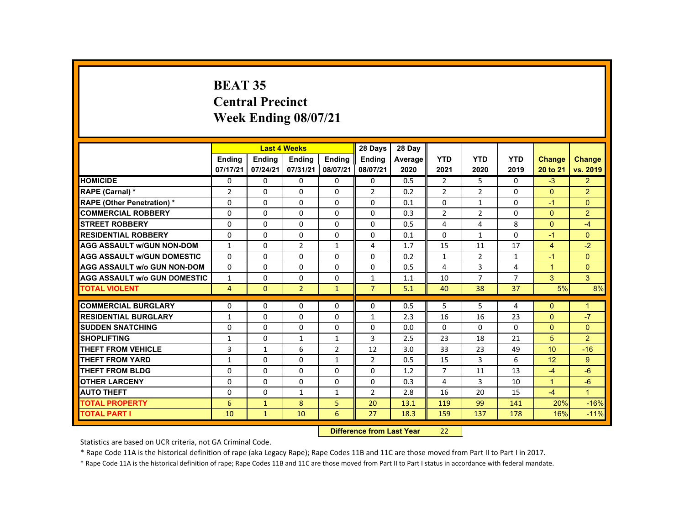# **BEAT 35 Central Precinct Week Ending 08/07/21**

|                                     |                |               | <b>Last 4 Weeks</b> |                | 28 Days                   | 28 Day  |                |                |                |                |                      |
|-------------------------------------|----------------|---------------|---------------------|----------------|---------------------------|---------|----------------|----------------|----------------|----------------|----------------------|
|                                     | <b>Endina</b>  | <b>Ending</b> | <b>Ending</b>       | <b>Ending</b>  | <b>Endina</b>             | Average | <b>YTD</b>     | <b>YTD</b>     | <b>YTD</b>     | <b>Change</b>  | <b>Change</b>        |
|                                     | 07/17/21       | 07/24/21      | 07/31/21            | 08/07/21       | 08/07/21                  | 2020    | 2021           | 2020           | 2019           | 20 to 21       | vs. 2019             |
| <b>HOMICIDE</b>                     | 0              | $\Omega$      | $\Omega$            | $\Omega$       | $\Omega$                  | 0.5     | $\overline{2}$ | 5              | 0              | $-3$           | 2 <sup>1</sup>       |
| RAPE (Carnal) *                     | $\overline{2}$ | $\Omega$      | $\Omega$            | $\Omega$       | $\overline{2}$            | 0.2     | $\overline{2}$ | $\overline{2}$ | $\Omega$       | $\mathbf{0}$   | $\overline{2}$       |
| <b>RAPE (Other Penetration) *</b>   | $\Omega$       | $\Omega$      | $\Omega$            | $\Omega$       | $\Omega$                  | 0.1     | $\Omega$       | $\mathbf{1}$   | $\Omega$       | $-1$           | $\Omega$             |
| <b>COMMERCIAL ROBBERY</b>           | $\Omega$       | $\Omega$      | $\Omega$            | $\Omega$       | $\Omega$                  | 0.3     | $\overline{2}$ | $\overline{2}$ | $\mathbf{0}$   | $\Omega$       | $\overline{2}$       |
| <b>STREET ROBBERY</b>               | $\Omega$       | $\Omega$      | $\Omega$            | $\Omega$       | $\Omega$                  | 0.5     | 4              | 4              | 8              | $\Omega$       | $-4$                 |
| <b>RESIDENTIAL ROBBERY</b>          | $\Omega$       | $\mathbf{0}$  | $\mathbf{0}$        | $\mathbf{0}$   | 0                         | 0.1     | 0              | $\mathbf{1}$   | 0              | $-1$           | $\mathbf{0}$         |
| <b>AGG ASSAULT W/GUN NON-DOM</b>    | $\mathbf{1}$   | $\Omega$      | $\overline{2}$      | $\mathbf{1}$   | 4                         | 1.7     | 15             | 11             | 17             | $\overline{4}$ | $-2$                 |
| <b>AGG ASSAULT W/GUN DOMESTIC</b>   | $\Omega$       | $\Omega$      | $\Omega$            | $\Omega$       | $\Omega$                  | 0.2     | $\mathbf{1}$   | $\overline{2}$ | $\mathbf{1}$   | $-1$           | $\overline{0}$       |
| <b>AGG ASSAULT w/o GUN NON-DOM</b>  | $\Omega$       | $\Omega$      | $\Omega$            | $\Omega$       | $\Omega$                  | 0.5     | 4              | $\overline{3}$ | 4              | $\overline{1}$ | $\Omega$             |
| <b>AGG ASSAULT w/o GUN DOMESTIC</b> | $\mathbf{1}$   | $\Omega$      | $\Omega$            | $\Omega$       | 1                         | 1.1     | 10             | $\overline{7}$ | $\overline{7}$ | $\mathbf{3}$   | 3 <sup>1</sup>       |
| <b>TOTAL VIOLENT</b>                | $\overline{4}$ | $\mathbf{0}$  | $\overline{2}$      | $\mathbf{1}$   | $\overline{7}$            | 5.1     | 40             | 38             | 37             | 5%             | 8%                   |
| <b>COMMERCIAL BURGLARY</b>          | $\Omega$       | $\Omega$      | $\Omega$            | $\Omega$       | 0                         | 0.5     | 5              | 5              | 4              | $\Omega$       | $\mathbf{1}$         |
| <b>RESIDENTIAL BURGLARY</b>         | $\mathbf{1}$   | $\Omega$      | $\Omega$            | $\Omega$       | 1                         | 2.3     | 16             | 16             | 23             | $\Omega$       | $-7$                 |
| <b>SUDDEN SNATCHING</b>             | $\Omega$       | $\Omega$      | $\Omega$            | $\Omega$       | $\Omega$                  | 0.0     | $\Omega$       | $\Omega$       | $\Omega$       | $\Omega$       | $\mathbf{0}$         |
| <b>SHOPLIFTING</b>                  | $\mathbf{1}$   | $\Omega$      | $\mathbf{1}$        | $\mathbf{1}$   | 3                         | 2.5     | 23             | 18             | 21             | 5              | $\overline{2}$       |
| THEFT FROM VEHICLE                  | 3              | $\mathbf{1}$  | 6                   | $\overline{2}$ | 12                        | 3.0     | 33             | 23             | 49             | 10             | $-16$                |
| <b>THEFT FROM YARD</b>              | $\mathbf{1}$   | $\mathbf{0}$  | $\mathbf{0}$        | $\mathbf{1}$   | 2                         | 0.5     | 15             | 3              | 6              | 12             | 9                    |
| <b>THEFT FROM BLDG</b>              | $\Omega$       | $\Omega$      | $\Omega$            | $\Omega$       | $\Omega$                  | 1.2     | 7              | 11             | 13             | $-4$           | $-6$                 |
| <b>OTHER LARCENY</b>                | $\Omega$       | $\Omega$      | $\Omega$            | $\Omega$       | 0                         | 0.3     | 4              | 3              | 10             | $\overline{1}$ | $-6$                 |
| <b>AUTO THEFT</b>                   | $\Omega$       | $\Omega$      | $\mathbf{1}$        | $\mathbf{1}$   | $\overline{2}$            | 2.8     | 16             | 20             | 15             | $-4$           | $\blacktriangleleft$ |
| <b>TOTAL PROPERTY</b>               | 6              | $\mathbf{1}$  | 8                   | 5              | 20                        | 13.1    | 119            | 99             | 141            | 20%            | $-16%$               |
| <b>TOTAL PART I</b>                 | 10             | $\mathbf{1}$  | 10                  | 6              | 27                        | 18.3    | 159            | 137            | 178            | 16%            | $-11%$               |
|                                     |                |               |                     |                | Difference from Lost Voor |         | າາ             |                |                |                |                      |

 **Difference from Last Year**22

Statistics are based on UCR criteria, not GA Criminal Code.

\* Rape Code 11A is the historical definition of rape (aka Legacy Rape); Rape Codes 11B and 11C are those moved from Part II to Part I in 2017.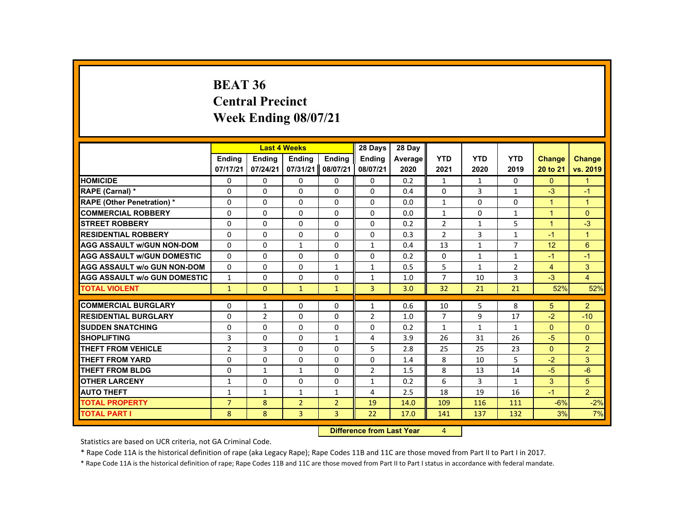#### **BEAT 36 Central PrecinctWeek Ending 08/07/21**

|                                     |                |                | <b>Last 4 Weeks</b>              |                | 28 Days        | 28 Day  |                |              |                |                |                |
|-------------------------------------|----------------|----------------|----------------------------------|----------------|----------------|---------|----------------|--------------|----------------|----------------|----------------|
|                                     | <b>Endina</b>  | <b>Ending</b>  | Ending                           | Ending         | <b>Ending</b>  | Average | <b>YTD</b>     | <b>YTD</b>   | <b>YTD</b>     | <b>Change</b>  | <b>Change</b>  |
|                                     | 07/17/21       | 07/24/21       | 07/31/21                         | 08/07/21       | 08/07/21       | 2020    | 2021           | 2020         | 2019           | 20 to 21       | vs. 2019       |
| <b>HOMICIDE</b>                     | 0              | 0              | 0                                | 0              | 0              | 0.2     | $\mathbf{1}$   | $\mathbf{1}$ | $\mathbf{0}$   | $\mathbf{0}$   | $\mathbf{1}$   |
| RAPE (Carnal) *                     | 0              | $\Omega$       | $\Omega$                         | $\Omega$       | $\Omega$       | 0.4     | $\Omega$       | 3            | $\mathbf{1}$   | $-3$           | $-1$           |
| <b>RAPE (Other Penetration) *</b>   | 0              | 0              | $\Omega$                         | $\Omega$       | $\Omega$       | 0.0     | $\mathbf{1}$   | $\Omega$     | $\Omega$       | $\mathbf{1}$   | $\mathbf{1}$   |
| <b>COMMERCIAL ROBBERY</b>           | $\Omega$       | $\Omega$       | $\Omega$                         | $\Omega$       | $\Omega$       | 0.0     | $\mathbf{1}$   | $\Omega$     | $\mathbf{1}$   | $\overline{1}$ | $\Omega$       |
| <b>STREET ROBBERY</b>               | $\Omega$       | $\Omega$       | $\Omega$                         | $\Omega$       | $\Omega$       | 0.2     | $\overline{2}$ | $\mathbf{1}$ | 5              | $\mathbf{1}$   | $-3$           |
| <b>RESIDENTIAL ROBBERY</b>          | 0              | 0              | 0                                | 0              | 0              | 0.3     | $\overline{2}$ | 3            | $\mathbf{1}$   | $-1$           | $\mathbf{1}$   |
| <b>AGG ASSAULT W/GUN NON-DOM</b>    | $\Omega$       | $\Omega$       | $\mathbf{1}$                     | $\Omega$       | $\mathbf{1}$   | 0.4     | 13             | $\mathbf{1}$ | $\overline{7}$ | 12             | 6              |
| <b>AGG ASSAULT W/GUN DOMESTIC</b>   | $\Omega$       | $\Omega$       | $\Omega$                         | $\Omega$       | $\Omega$       | 0.2     | $\Omega$       | $\mathbf{1}$ | $\mathbf{1}$   | $-1$           | $-1$           |
| <b>AGG ASSAULT w/o GUN NON-DOM</b>  | $\Omega$       | $\Omega$       | $\Omega$                         | $\mathbf{1}$   | $\mathbf{1}$   | 0.5     | 5              | $\mathbf{1}$ | $\overline{2}$ | $\overline{4}$ | 3              |
| <b>AGG ASSAULT W/o GUN DOMESTIC</b> | $\mathbf{1}$   | 0              | $\Omega$                         | 0              | $\mathbf{1}$   | 1.0     | $\overline{7}$ | 10           | 3              | $-3$           | $\overline{4}$ |
| <b>TOTAL VIOLENT</b>                | $\mathbf{1}$   | $\mathbf{0}$   | $\mathbf{1}$                     | $\mathbf{1}$   | 3              | 3.0     | 32             | 21           | 21             | 52%            | 52%            |
| <b>COMMERCIAL BURGLARY</b>          | 0              | $\mathbf{1}$   | $\Omega$                         | 0              | $\mathbf{1}$   | 0.6     | 10             | 5            | 8              | 5 <sup>5</sup> | 2 <sup>1</sup> |
| <b>RESIDENTIAL BURGLARY</b>         | 0              | $\overline{2}$ | 0                                | $\Omega$       | $\overline{2}$ | 1.0     | $\overline{7}$ | 9            | 17             | $-2$           | $-10$          |
| <b>SUDDEN SNATCHING</b>             | $\Omega$       | $\Omega$       | $\Omega$                         | $\Omega$       | $\Omega$       | 0.2     | $\mathbf{1}$   | $\mathbf{1}$ | $\mathbf{1}$   | $\Omega$       | $\Omega$       |
| <b>SHOPLIFTING</b>                  | 3              | $\Omega$       | $\Omega$                         | $\mathbf{1}$   | 4              | 3.9     | 26             | 31           | 26             | $-5$           | $\Omega$       |
| <b>THEFT FROM VEHICLE</b>           | $\overline{2}$ | 3              | $\Omega$                         | $\Omega$       | 5              | 2.8     | 25             | 25           | 23             | $\Omega$       | $\overline{2}$ |
| <b>THEFT FROM YARD</b>              | 0              | 0              | $\Omega$                         | $\Omega$       | 0              | 1.4     | 8              | 10           | 5              | $-2$           | 3              |
| <b>THEFT FROM BLDG</b>              | $\Omega$       | $\mathbf{1}$   | $\mathbf{1}$                     | $\Omega$       | $\overline{2}$ | 1.5     | 8              | 13           | 14             | $-5$           | $-6$           |
| <b>OTHER LARCENY</b>                | $\mathbf{1}$   | $\Omega$       | $\Omega$                         | $\Omega$       | $\mathbf{1}$   | 0.2     | 6              | 3            | $\mathbf{1}$   | 3              | 5 <sup>5</sup> |
| <b>AUTO THEFT</b>                   | $\mathbf{1}$   | $\mathbf{1}$   | $\mathbf{1}$                     | $\mathbf{1}$   | 4              | 2.5     | 18             | 19           | 16             | $-1$           | 2 <sup>1</sup> |
| <b>TOTAL PROPERTY</b>               | $\overline{7}$ | 8              | $\overline{2}$                   | $\overline{2}$ | 19             | 14.0    | 109            | 116          | 111            | $-6%$          | $-2%$          |
| <b>TOTAL PART I</b>                 | 8              | 8              | $\overline{3}$                   | 3              | 22             | 17.0    | 141            | 137          | 132            | 3%             | 7%             |
|                                     |                |                | <b>Difference from Last Year</b> |                | 4              |         |                |              |                |                |                |

**Difference from Last Year** 4

Statistics are based on UCR criteria, not GA Criminal Code.

\* Rape Code 11A is the historical definition of rape (aka Legacy Rape); Rape Codes 11B and 11C are those moved from Part II to Part I in 2017.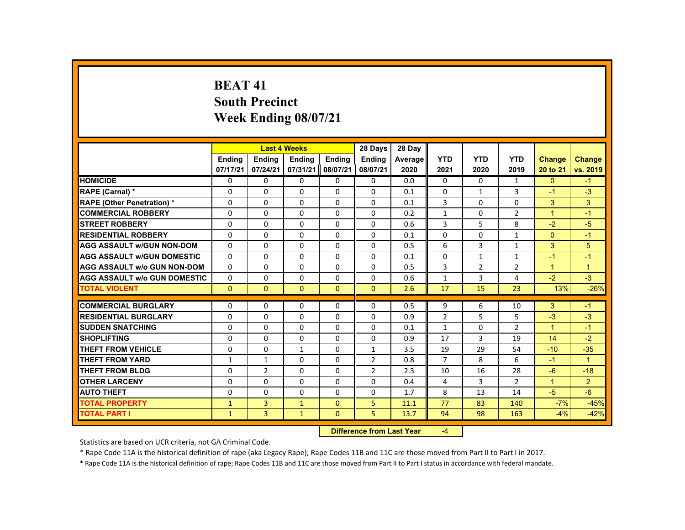# **BEAT 41South Precinct Week Ending 08/07/21**

|                                     |               |                | <b>Last 4 Weeks</b> |                   | 28 Days        | 28 Day  |                |                |                |                |                |
|-------------------------------------|---------------|----------------|---------------------|-------------------|----------------|---------|----------------|----------------|----------------|----------------|----------------|
|                                     | <b>Ending</b> | <b>Ending</b>  | <b>Ending</b>       | Ending            | <b>Endina</b>  | Average | <b>YTD</b>     | <b>YTD</b>     | <b>YTD</b>     | <b>Change</b>  | <b>Change</b>  |
|                                     | 07/17/21      | 07/24/21       | 07/31/21            | 08/07/21          | 08/07/21       | 2020    | 2021           | 2020           | 2019           | 20 to 21       | vs. 2019       |
| <b>HOMICIDE</b>                     | $\Omega$      | $\Omega$       | $\Omega$            | $\Omega$          | 0              | 0.0     | $\Omega$       | $\Omega$       | $\mathbf{1}$   | $\Omega$       | $-1$           |
| RAPE (Carnal) *                     | $\Omega$      | $\Omega$       | $\Omega$            | $\Omega$          | 0              | 0.1     | $\Omega$       | $\mathbf{1}$   | 3              | $-1$           | $-3$           |
| <b>RAPE (Other Penetration) *</b>   | $\Omega$      | $\Omega$       | $\Omega$            | $\Omega$          | $\Omega$       | 0.1     | 3              | $\Omega$       | $\Omega$       | 3              | 3              |
| <b>COMMERCIAL ROBBERY</b>           | $\Omega$      | $\Omega$       | $\Omega$            | $\Omega$          | $\Omega$       | 0.2     | $\mathbf{1}$   | $\Omega$       | $\overline{2}$ | $\overline{1}$ | $-1$           |
| <b>STREET ROBBERY</b>               | $\Omega$      | $\Omega$       | $\Omega$            | $\Omega$          | $\Omega$       | 0.6     | $\overline{3}$ | 5              | 8              | $-2$           | $-5$           |
| <b>RESIDENTIAL ROBBERY</b>          | $\Omega$      | $\Omega$       | $\Omega$            | $\Omega$          | 0              | 0.1     | $\Omega$       | 0              | $\mathbf{1}$   | $\Omega$       | $-1$           |
| <b>AGG ASSAULT W/GUN NON-DOM</b>    | $\Omega$      | $\Omega$       | $\Omega$            | $\Omega$          | $\Omega$       | 0.5     | 6              | $\overline{3}$ | $\mathbf{1}$   | 3              | 5              |
| <b>AGG ASSAULT W/GUN DOMESTIC</b>   | $\Omega$      | $\Omega$       | $\Omega$            | $\Omega$          | $\Omega$       | 0.1     | $\Omega$       | $\mathbf{1}$   | $\mathbf{1}$   | $-1$           | $-1$           |
| <b>AGG ASSAULT w/o GUN NON-DOM</b>  | $\mathbf{0}$  | $\Omega$       | $\Omega$            | $\Omega$          | $\Omega$       | 0.5     | 3              | $\overline{2}$ | $\overline{2}$ | $\mathbf{1}$   | $\mathbf{1}$   |
| <b>AGG ASSAULT w/o GUN DOMESTIC</b> | $\Omega$      | $\Omega$       | $\Omega$            | $\Omega$          | $\Omega$       | 0.6     | $\mathbf{1}$   | $\overline{3}$ | 4              | $-2$           | $-3$           |
| <b>TOTAL VIOLENT</b>                | $\mathbf{0}$  | $\mathbf{0}$   | $\mathbf{0}$        | $\mathbf{0}$      | $\mathbf{0}$   | 2.6     | 17             | 15             | 23             | 13%            | $-26%$         |
| <b>COMMERCIAL BURGLARY</b>          |               |                |                     |                   |                |         |                |                |                |                |                |
|                                     | $\Omega$      | $\Omega$       | $\Omega$            | $\Omega$          | 0              | 0.5     | 9              | 6              | 10             | 3              | $-1$           |
| <b>RESIDENTIAL BURGLARY</b>         | $\Omega$      | $\Omega$       | $\Omega$            | $\Omega$          | $\Omega$       | 0.9     | $\overline{2}$ | 5              | 5              | $-3$           | $-3$           |
| <b>SUDDEN SNATCHING</b>             | 0             | $\mathbf{0}$   | $\Omega$            | 0                 | 0              | 0.1     | $\mathbf{1}$   | 0              | $\overline{2}$ | $\mathbf{1}$   | -1             |
| <b>SHOPLIFTING</b>                  | $\Omega$      | $\Omega$       | $\Omega$            | $\Omega$          | $\Omega$       | 0.9     | 17             | $\mathbf{3}$   | 19             | 14             | $-2$           |
| <b>THEFT FROM VEHICLE</b>           | $\Omega$      | $\Omega$       | $\mathbf{1}$        | $\Omega$          | $\mathbf{1}$   | 3.5     | 19             | 29             | 54             | $-10$          | $-35$          |
| <b>THEFT FROM YARD</b>              | $\mathbf{1}$  | $\mathbf{1}$   | $\Omega$            | $\Omega$          | $\overline{2}$ | 0.8     | $\overline{7}$ | 8              | 6              | $-1$           | $\mathbf{1}$   |
| <b>THEFT FROM BLDG</b>              | $\Omega$      | $\overline{2}$ | $\Omega$            | $\Omega$          | $\overline{2}$ | 2.3     | 10             | 16             | 28             | $-6$           | $-18$          |
| <b>OTHER LARCENY</b>                | $\mathbf 0$   | $\Omega$       | $\Omega$            | $\Omega$          | 0              | 0.4     | 4              | 3              | $\overline{2}$ | $\mathbf{1}$   | 2 <sup>1</sup> |
| <b>AUTO THEFT</b>                   | $\Omega$      | $\Omega$       | $\Omega$            | $\Omega$          | $\Omega$       | 1.7     | 8              | 13             | 14             | $-5$           | $-6$           |
| <b>TOTAL PROPERTY</b>               | $\mathbf{1}$  | 3              | $\mathbf{1}$        | $\mathbf{0}$      | 5              | 11.1    | 77             | 83             | 140            | $-7%$          | $-45%$         |
| <b>TOTAL PART I</b>                 | $\mathbf{1}$  | $\overline{3}$ | $\mathbf{1}$        | $\mathbf{0}$      | 5              | 13.7    | 94             | 98             | 163            | $-4%$          | $-42%$         |
|                                     |               |                |                     | <b>STATISTICS</b> |                |         |                |                |                |                |                |

 **Difference from Last Year**‐4

Statistics are based on UCR criteria, not GA Criminal Code.

\* Rape Code 11A is the historical definition of rape (aka Legacy Rape); Rape Codes 11B and 11C are those moved from Part II to Part I in 2017.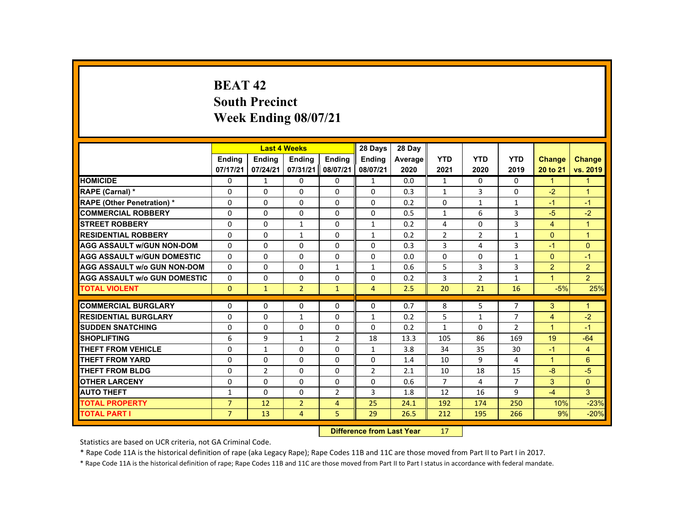# **BEAT 42South Precinct Week Ending 08/07/21**

|                                     |                |                                   | <b>Last 4 Weeks</b> |                | 28 Days        | 28 Day  |                |                |                |                      |                |
|-------------------------------------|----------------|-----------------------------------|---------------------|----------------|----------------|---------|----------------|----------------|----------------|----------------------|----------------|
|                                     | <b>Endina</b>  | <b>Endina</b>                     | <b>Endina</b>       | <b>Endina</b>  | <b>Endina</b>  | Average | <b>YTD</b>     | <b>YTD</b>     | <b>YTD</b>     | Change               | <b>Change</b>  |
|                                     | 07/17/21       | 07/24/21                          | 07/31/21            | 08/07/21       | 08/07/21       | 2020    | 2021           | 2020           | 2019           | 20 to 21             | vs. 2019       |
| <b>HOMICIDE</b>                     | 0              | $\mathbf{1}$                      | $\Omega$            | $\Omega$       | $\mathbf{1}$   | 0.0     | $\mathbf{1}$   | $\mathbf{0}$   | $\mathbf{0}$   | $\mathbf{1}$         | 1              |
| <b>RAPE (Carnal) *</b>              | $\Omega$       | $\Omega$                          | $\Omega$            | $\Omega$       | $\Omega$       | 0.3     | $\mathbf{1}$   | 3              | $\Omega$       | $-2$                 | $\overline{1}$ |
| <b>RAPE (Other Penetration) *</b>   | 0              | $\Omega$                          | $\Omega$            | $\Omega$       | $\Omega$       | 0.2     | 0              | $\mathbf{1}$   | $\mathbf{1}$   | $-1$                 | $-1$           |
| <b>COMMERCIAL ROBBERY</b>           | $\Omega$       | $\Omega$                          | $\Omega$            | $\Omega$       | $\Omega$       | 0.5     | $\mathbf{1}$   | 6              | $\overline{3}$ | $-5$                 | $-2$           |
| <b>STREET ROBBERY</b>               | $\Omega$       | $\Omega$                          | $\mathbf{1}$        | $\Omega$       | $\mathbf{1}$   | 0.2     | 4              | $\Omega$       | $\overline{3}$ | $\overline{4}$       | $\mathbf{1}$   |
| <b>RESIDENTIAL ROBBERY</b>          | $\Omega$       | $\Omega$                          | 1                   | $\mathbf{0}$   | 1              | 0.2     | $\overline{2}$ | $\overline{2}$ | $\mathbf{1}$   | $\mathbf{0}$         | $\mathbf{1}$   |
| <b>AGG ASSAULT W/GUN NON-DOM</b>    | $\Omega$       | $\Omega$                          | $\Omega$            | $\Omega$       | $\Omega$       | 0.3     | 3              | 4              | 3              | $-1$                 | $\Omega$       |
| <b>AGG ASSAULT W/GUN DOMESTIC</b>   | $\Omega$       | $\Omega$                          | $\Omega$            | $\Omega$       | $\Omega$       | 0.0     | $\Omega$       | $\Omega$       | $\mathbf{1}$   | $\Omega$             | $-1$           |
| <b>AGG ASSAULT w/o GUN NON-DOM</b>  | $\Omega$       | $\Omega$                          | $\Omega$            | $\mathbf{1}$   | $\mathbf{1}$   | 0.6     | 5              | 3              | 3              | $\overline{2}$       | $\overline{2}$ |
| <b>AGG ASSAULT w/o GUN DOMESTIC</b> | 0              | 0                                 | 0                   | 0              | 0              | 0.2     | 3              | 2              | $\mathbf{1}$   | $\blacktriangleleft$ | $\overline{2}$ |
| <b>TOTAL VIOLENT</b>                | $\mathbf{0}$   | $\mathbf{1}$                      | $\overline{2}$      | $\mathbf{1}$   | $\overline{4}$ | 2.5     | 20             | 21             | 16             | $-5%$                | 25%            |
| <b>COMMERCIAL BURGLARY</b>          | $\Omega$       | $\Omega$                          | $\Omega$            | $\Omega$       | $\Omega$       | 0.7     | 8              | 5              | $\overline{7}$ | 3                    | $\mathbf{1}$   |
| <b>RESIDENTIAL BURGLARY</b>         | 0              | $\Omega$                          | $\mathbf{1}$        | $\Omega$       | $\mathbf{1}$   | 0.2     | 5              | $\mathbf{1}$   | $\overline{7}$ | 4                    | $-2$           |
| <b>SUDDEN SNATCHING</b>             | $\Omega$       | $\Omega$                          | $\Omega$            | $\Omega$       | $\Omega$       | 0.2     | $\mathbf{1}$   | 0              | $\overline{2}$ | $\mathbf{1}$         | $-1$           |
| <b>SHOPLIFTING</b>                  | 6              | 9                                 | $\mathbf{1}$        | $\overline{2}$ | 18             | 13.3    | 105            | 86             | 169            | 19                   | $-64$          |
| <b>THEFT FROM VEHICLE</b>           | $\Omega$       | $\mathbf{1}$                      | $\Omega$            | $\Omega$       | $\mathbf{1}$   | 3.8     | 34             | 35             | 30             | $-1$                 | $\overline{4}$ |
| <b>THEFT FROM YARD</b>              | $\Omega$       | $\Omega$                          | $\Omega$            | $\Omega$       | $\Omega$       | 1.4     | 10             | 9              | 4              | $\mathbf{1}$         | 6              |
| <b>THEFT FROM BLDG</b>              | $\Omega$       | $\overline{2}$                    | $\Omega$            | $\Omega$       | $\overline{2}$ | 2.1     | 10             | 18             | 15             | $-8$                 | $-5$           |
| <b>OTHER LARCENY</b>                | $\Omega$       | $\Omega$                          | $\Omega$            | $\Omega$       | $\Omega$       | 0.6     | $\overline{7}$ | 4              | $\overline{7}$ | 3                    | $\Omega$       |
| <b>AUTO THEFT</b>                   | $\mathbf{1}$   | $\Omega$                          | $\Omega$            | $\overline{2}$ | 3              | 1.8     | 12             | 16             | 9              | $-4$                 | 3              |
| <b>TOTAL PROPERTY</b>               | $\overline{7}$ | 12                                | $\overline{2}$      | $\overline{4}$ | 25             | 24.1    | 192            | 174            | 250            | 10%                  | $-23%$         |
| <b>TOTAL PART I</b>                 | $\overline{7}$ | 13                                | 4                   | 5.             | 29             | 26.5    | 212            | 195            | 266            | 9%                   | $-20%$         |
|                                     |                | <b>Difference from Least Vanc</b> |                     | $4 - 7$        |                |         |                |                |                |                      |                |

 **Difference from Last Year**r 17

Statistics are based on UCR criteria, not GA Criminal Code.

\* Rape Code 11A is the historical definition of rape (aka Legacy Rape); Rape Codes 11B and 11C are those moved from Part II to Part I in 2017.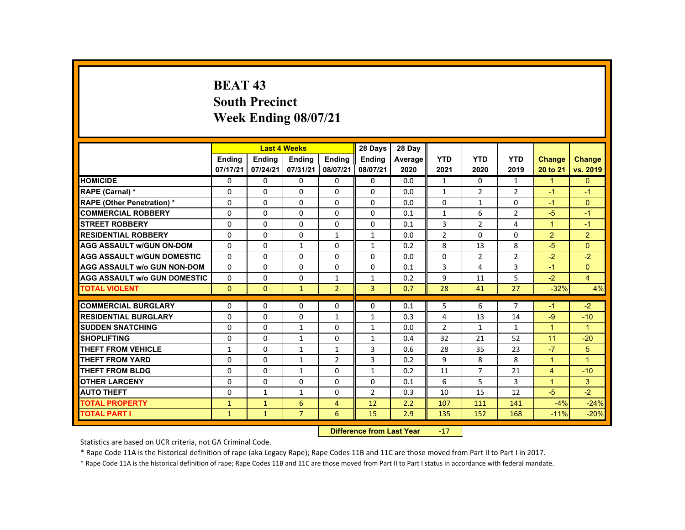### **BEAT 43 South Precinct Week Ending 08/07/21**

|                                     |               |                           | <b>Last 4 Weeks</b> |                | 28 Days        | 28 Day  |                |                |                |                      |                      |
|-------------------------------------|---------------|---------------------------|---------------------|----------------|----------------|---------|----------------|----------------|----------------|----------------------|----------------------|
|                                     | <b>Endina</b> | <b>Ending</b>             | <b>Ending</b>       | <b>Ending</b>  | <b>Endina</b>  | Average | <b>YTD</b>     | <b>YTD</b>     | <b>YTD</b>     | Change               | <b>Change</b>        |
|                                     | 07/17/21      | 07/24/21                  | 07/31/21            | 08/07/21       | 08/07/21       | 2020    | 2021           | 2020           | 2019           | 20 to 21             | vs. 2019             |
| <b>HOMICIDE</b>                     | $\Omega$      | $\Omega$                  | $\Omega$            | $\Omega$       | 0              | 0.0     | $\mathbf{1}$   | $\Omega$       | $\mathbf{1}$   | $\blacktriangleleft$ | $\mathbf{0}$         |
| RAPE (Carnal) *                     | $\mathbf{0}$  | $\Omega$                  | $\Omega$            | $\mathbf{0}$   | $\Omega$       | 0.0     | $\mathbf{1}$   | $\overline{2}$ | $\overline{2}$ | $-1$                 | $-1$                 |
| <b>RAPE (Other Penetration) *</b>   | $\Omega$      | $\Omega$                  | $\Omega$            | $\Omega$       | $\Omega$       | 0.0     | $\Omega$       | 1              | $\Omega$       | $-1$                 | $\Omega$             |
| <b>COMMERCIAL ROBBERY</b>           | $\mathbf{0}$  | $\Omega$                  | $\Omega$            | $\Omega$       | $\Omega$       | 0.1     | $\mathbf{1}$   | 6              | $\overline{2}$ | $-5$                 | $-1$                 |
| <b>STREET ROBBERY</b>               | $\Omega$      | $\Omega$                  | $\Omega$            | $\Omega$       | $\Omega$       | 0.1     | 3              | $\overline{2}$ | 4              | $\blacktriangleleft$ | $-1$                 |
| <b>RESIDENTIAL ROBBERY</b>          | 0             | $\mathbf{0}$              | $\mathbf{0}$        | $\mathbf{1}$   | 1              | 0.0     | $\overline{2}$ | 0              | 0              | $\overline{2}$       | $\overline{2}$       |
| <b>AGG ASSAULT w/GUN ON-DOM</b>     | $\Omega$      | $\Omega$                  | $\mathbf{1}$        | $\Omega$       | $\mathbf{1}$   | 0.2     | 8              | 13             | 8              | $-5$                 | $\Omega$             |
| <b>AGG ASSAULT W/GUN DOMESTIC</b>   | $\Omega$      | $\Omega$                  | $\Omega$            | $\Omega$       | $\Omega$       | 0.0     | $\Omega$       | $\overline{2}$ | $\overline{2}$ | $-2$                 | $-2$                 |
| <b>AGG ASSAULT w/o GUN NON-DOM</b>  | $\Omega$      | $\Omega$                  | $\Omega$            | $\Omega$       | $\Omega$       | 0.1     | 3              | 4              | $\overline{3}$ | $-1$                 | $\Omega$             |
| <b>AGG ASSAULT W/o GUN DOMESTIC</b> | $\Omega$      | $\Omega$                  | $\mathbf{0}$        | $\mathbf{1}$   | $\mathbf{1}$   | 0.2     | 9              | 11             | 5              | $-2$                 | $\overline{4}$       |
| <b>TOTAL VIOLENT</b>                | $\mathbf{0}$  | $\mathbf{0}$              | $\mathbf{1}$        | $\overline{2}$ | $\overline{3}$ | 0.7     | 28             | 41             | 27             | $-32%$               | 4%                   |
| <b>COMMERCIAL BURGLARY</b>          | $\Omega$      | $\Omega$                  | $\Omega$            | $\Omega$       | $\Omega$       | 0.1     | 5              | 6              | $\overline{7}$ | $-1$                 | $-2$                 |
| <b>RESIDENTIAL BURGLARY</b>         | 0             | $\Omega$                  | $\mathbf{0}$        | $\mathbf{1}$   | $\mathbf{1}$   | 0.3     | 4              | 13             | 14             | $-9$                 | $-10$                |
| <b>SUDDEN SNATCHING</b>             | $\Omega$      | $\Omega$                  | $\mathbf{1}$        | $\Omega$       | $\mathbf{1}$   | 0.0     | $\overline{2}$ | 1              | $\mathbf{1}$   | $\mathbf{1}$         | $\blacktriangleleft$ |
| <b>SHOPLIFTING</b>                  | $\Omega$      | $\Omega$                  | $\mathbf{1}$        | $\Omega$       | $\mathbf{1}$   | 0.4     | 32             | 21             | 52             | 11                   | $-20$                |
| <b>THEFT FROM VEHICLE</b>           | $\mathbf{1}$  | $\Omega$                  | $\mathbf{1}$        | $\mathbf{1}$   | 3              | 0.6     | 28             | 35             | 23             | $-7$                 | 5                    |
| <b>THEFT FROM YARD</b>              | $\Omega$      | $\mathbf{0}$              | $\mathbf{1}$        | $\overline{2}$ | 3              | 0.2     | 9              | 8              | 8              | $\blacktriangleleft$ | $\blacktriangleleft$ |
| <b>THEFT FROM BLDG</b>              | $\mathbf{0}$  | $\Omega$                  | $\mathbf{1}$        | $\mathbf{0}$   | $\mathbf{1}$   | 0.2     | 11             | $\overline{7}$ | 21             | $\overline{4}$       | $-10$                |
| <b>OTHER LARCENY</b>                | $\Omega$      | $\Omega$                  | $\Omega$            | $\Omega$       | 0              | 0.1     | 6              | 5              | 3              | $\blacktriangleleft$ | $\mathbf{3}$         |
| <b>AUTO THEFT</b>                   | $\Omega$      | $\mathbf{1}$              | $\mathbf{1}$        | $\Omega$       | $\overline{2}$ | 0.3     | 10             | 15             | 12             | $-5$                 | $-2$                 |
| <b>TOTAL PROPERTY</b>               | $\mathbf{1}$  | $\mathbf{1}$              | 6                   | $\overline{4}$ | 12             | 2.2     | 107            | 111            | 141            | $-4%$                | $-24%$               |
| <b>TOTAL PART I</b>                 | $\mathbf{1}$  | $\mathbf{1}$              | $\overline{7}$      | 6              | 15             | 2.9     | 135            | 152            | 168            | $-11%$               | $-20%$               |
|                                     |               | Difference from Loot Voor |                     | 17             |                |         |                |                |                |                      |                      |

 **Difference from Last Year**‐17

Statistics are based on UCR criteria, not GA Criminal Code.

\* Rape Code 11A is the historical definition of rape (aka Legacy Rape); Rape Codes 11B and 11C are those moved from Part II to Part I in 2017.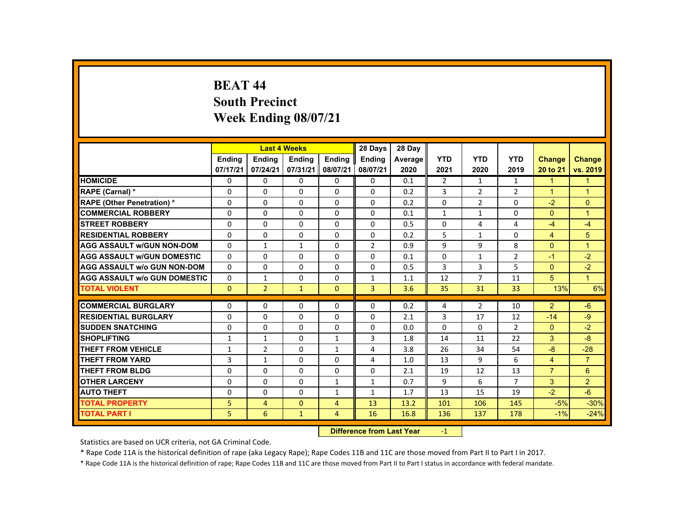#### **BEAT 44 South Precinct Week Ending 08/07/21**

|                                     |                                   | <b>Last 4 Weeks</b> |              |                | 28 Days        | 28 Day  |                |                |                |                      |                      |
|-------------------------------------|-----------------------------------|---------------------|--------------|----------------|----------------|---------|----------------|----------------|----------------|----------------------|----------------------|
|                                     | Ending                            | Ending              | Ending       | Ending         | <b>Endina</b>  | Average | <b>YTD</b>     | <b>YTD</b>     | <b>YTD</b>     | <b>Change</b>        | <b>Change</b>        |
|                                     | 07/17/21                          | 07/24/21            | 07/31/21     | 08/07/21       | 08/07/21       | 2020    | 2021           | 2020           | 2019           | 20 to 21             | vs. 2019             |
| <b>HOMICIDE</b>                     | $\Omega$                          | $\Omega$            | $\Omega$     | $\Omega$       | $\Omega$       | 0.1     | $\overline{2}$ | $\mathbf{1}$   | $\mathbf{1}$   | $\mathbf{1}$         | $\mathbf{1}$         |
| RAPE (Carnal) *                     | $\Omega$                          | $\Omega$            | $\Omega$     | $\Omega$       | $\Omega$       | 0.2     | 3              | $\overline{2}$ | $\overline{2}$ | $\blacktriangleleft$ | $\blacktriangleleft$ |
| <b>RAPE (Other Penetration) *</b>   | $\Omega$                          | $\Omega$            | $\Omega$     | $\Omega$       | $\Omega$       | 0.2     | 0              | $\overline{2}$ | $\Omega$       | $-2$                 | $\mathbf{0}$         |
| <b>COMMERCIAL ROBBERY</b>           | $\Omega$                          | $\Omega$            | $\Omega$     | $\Omega$       | $\Omega$       | 0.1     | $\mathbf{1}$   | $\mathbf{1}$   | $\Omega$       | $\Omega$             | $\overline{1}$       |
| <b>STREET ROBBERY</b>               | $\Omega$                          | $\Omega$            | $\Omega$     | $\Omega$       | $\Omega$       | 0.5     | $\Omega$       | 4              | 4              | $-4$                 | $-4$                 |
| <b>RESIDENTIAL ROBBERY</b>          | $\mathbf{0}$                      | $\Omega$            | $\mathbf{0}$ | $\mathbf{0}$   | 0              | 0.2     | 5              | $\mathbf{1}$   | 0              | $\overline{4}$       | 5                    |
| <b>AGG ASSAULT W/GUN NON-DOM</b>    | $\Omega$                          | $\mathbf{1}$        | $\mathbf{1}$ | $\Omega$       | $\overline{2}$ | 0.9     | 9              | 9              | 8              | $\Omega$             | $\blacktriangleleft$ |
| <b>AGG ASSAULT W/GUN DOMESTIC</b>   | $\Omega$                          | $\Omega$            | $\Omega$     | $\Omega$       | $\Omega$       | 0.1     | $\Omega$       | $\mathbf{1}$   | $\overline{2}$ | $-1$                 | $-2$                 |
| <b>AGG ASSAULT w/o GUN NON-DOM</b>  | $\Omega$                          | $\Omega$            | $\Omega$     | $\Omega$       | $\Omega$       | 0.5     | 3              | $\overline{3}$ | 5              | $\Omega$             | $-2$                 |
| <b>AGG ASSAULT W/o GUN DOMESTIC</b> | 0                                 | $\mathbf{1}$        | $\Omega$     | $\Omega$       | $\mathbf{1}$   | 1.1     | 12             | $\overline{7}$ | 11             | 5                    | $\blacksquare$       |
| <b>TOTAL VIOLENT</b>                | $\Omega$                          | 2 <sup>1</sup>      | $\mathbf{1}$ | $\Omega$       | $\overline{3}$ | 3.6     | 35             | 31             | 33             | 13%                  | 6%                   |
| <b>COMMERCIAL BURGLARY</b>          | $\Omega$                          | $\Omega$            | $\Omega$     | $\Omega$       | $\Omega$       | 0.2     | 4              | $\overline{2}$ | 10             | $\overline{2}$       | $-6$                 |
| <b>RESIDENTIAL BURGLARY</b>         | $\Omega$                          | $\Omega$            | $\Omega$     | $\Omega$       | $\Omega$       | 2.1     | 3              | 17             | 12             | $-14$                | $-9$                 |
| <b>SUDDEN SNATCHING</b>             | $\mathbf{0}$                      | $\Omega$            | $\Omega$     | $\Omega$       | $\Omega$       | 0.0     | $\Omega$       | $\Omega$       | $\overline{2}$ | $\mathbf{0}$         | $-2$                 |
| <b>SHOPLIFTING</b>                  | $\mathbf{1}$                      | $\mathbf{1}$        | $\Omega$     | $\mathbf{1}$   | 3              | 1.8     | 14             | 11             | 22             | 3                    | $-8$                 |
| <b>THEFT FROM VEHICLE</b>           | $\mathbf{1}$                      | $\overline{2}$      | $\Omega$     | $\mathbf{1}$   | 4              | 3.8     | 26             | 34             | 54             | $-8$                 | $-28$                |
| <b>THEFT FROM YARD</b>              | 3                                 | $\mathbf{1}$        | $\Omega$     | $\Omega$       | 4              | 1.0     | 13             | 9              | 6              | $\overline{4}$       | $\overline{7}$       |
| <b>THEFT FROM BLDG</b>              | $\Omega$                          | $\Omega$            | $\Omega$     | $\Omega$       | 0              | 2.1     | 19             | 12             | 13             | $\overline{7}$       | 6                    |
| <b>OTHER LARCENY</b>                | $\Omega$                          | $\Omega$            | $\Omega$     | $\mathbf{1}$   | 1              | 0.7     | 9              | 6              | $\overline{7}$ | 3                    | $\overline{2}$       |
| <b>AUTO THEFT</b>                   | $\mathbf{0}$                      | $\Omega$            | $\Omega$     | $\mathbf{1}$   | $\mathbf{1}$   | 1.7     | 13             | 15             | 19             | $-2$                 | $-6$                 |
| <b>TOTAL PROPERTY</b>               | 5.                                | $\overline{4}$      | $\Omega$     | $\overline{4}$ | 13             | 13.2    | 101            | 106            | 145            | $-5%$                | $-30%$               |
| <b>TOTAL PART I</b>                 | 5.                                | 6                   | $\mathbf{1}$ | $\overline{4}$ | 16             | 16.8    | 136            | 137            | 178            | $-1%$                | $-24%$               |
|                                     | <b>Difference from Least Vanc</b> |                     |              |                |                |         | $\sim$         |                |                |                      |                      |

 **Difference from Last Year**r -1

Statistics are based on UCR criteria, not GA Criminal Code.

\* Rape Code 11A is the historical definition of rape (aka Legacy Rape); Rape Codes 11B and 11C are those moved from Part II to Part I in 2017.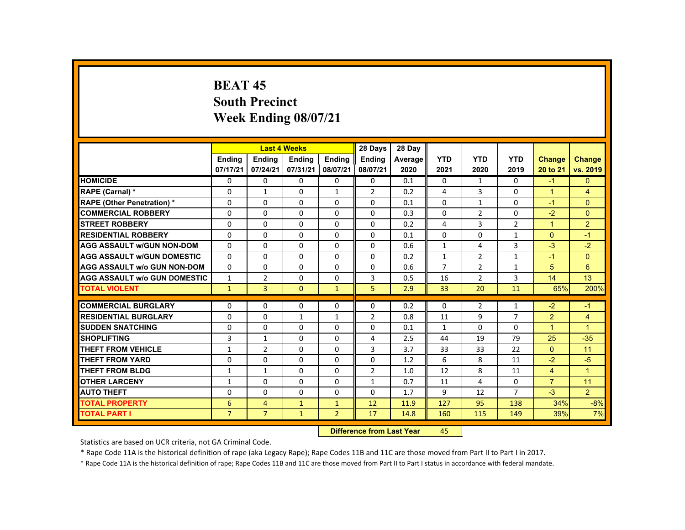### **BEAT 45 South Precinct Week Ending 08/07/21**

|                                     |                |                                   | <b>Last 4 Weeks</b> |                    | 28 Days        | 28 Day  |                |                |                |                      |                      |
|-------------------------------------|----------------|-----------------------------------|---------------------|--------------------|----------------|---------|----------------|----------------|----------------|----------------------|----------------------|
|                                     | <b>Ending</b>  | <b>Ending</b>                     | <b>Ending</b>       | <b>Ending</b>      | Ending         | Average | <b>YTD</b>     | <b>YTD</b>     | <b>YTD</b>     | <b>Change</b>        | <b>Change</b>        |
|                                     | 07/17/21       | 07/24/21                          | 07/31/21            | 08/07/21           | 08/07/21       | 2020    | 2021           | 2020           | 2019           | 20 to 21             | vs. 2019             |
| <b>HOMICIDE</b>                     | $\Omega$       | $\Omega$                          | $\Omega$            | $\Omega$           | 0              | 0.1     | 0              | 1              | $\Omega$       | $-1$                 | $\mathbf{0}$         |
| RAPE (Carnal) *                     | 0              | $\mathbf{1}$                      | $\Omega$            | $\mathbf{1}$       | $\overline{2}$ | 0.2     | 4              | 3              | $\Omega$       | $\blacktriangleleft$ | $\overline{4}$       |
| <b>RAPE (Other Penetration) *</b>   | $\Omega$       | $\Omega$                          | $\Omega$            | $\Omega$           | $\Omega$       | 0.1     | $\Omega$       | 1              | $\Omega$       | $-1$                 | $\Omega$             |
| <b>COMMERCIAL ROBBERY</b>           | $\Omega$       | $\Omega$                          | $\Omega$            | $\Omega$           | $\Omega$       | 0.3     | $\Omega$       | 2              | $\Omega$       | $-2$                 | $\Omega$             |
| <b>STREET ROBBERY</b>               | $\Omega$       | $\Omega$                          | $\Omega$            | $\Omega$           | $\Omega$       | 0.2     | 4              | $\overline{3}$ | $\overline{2}$ | $\overline{1}$       | $\overline{2}$       |
| <b>RESIDENTIAL ROBBERY</b>          | $\mathbf{0}$   | $\Omega$                          | $\Omega$            | 0                  | 0              | 0.1     | $\Omega$       | $\Omega$       | $\mathbf{1}$   | $\Omega$             | $-1$                 |
| <b>AGG ASSAULT W/GUN NON-DOM</b>    | $\mathbf{0}$   | $\Omega$                          | $\Omega$            | $\Omega$           | $\Omega$       | 0.6     | $\mathbf{1}$   | 4              | $\overline{3}$ | $-3$                 | $-2$                 |
| <b>AGG ASSAULT W/GUN DOMESTIC</b>   | $\Omega$       | $\Omega$                          | $\Omega$            | $\Omega$           | $\Omega$       | 0.2     | $\mathbf{1}$   | $\overline{2}$ | $\mathbf{1}$   | $-1$                 | $\Omega$             |
| <b>AGG ASSAULT w/o GUN NON-DOM</b>  | $\Omega$       | $\Omega$                          | $\Omega$            | $\Omega$           | $\Omega$       | 0.6     | $\overline{7}$ | $\overline{2}$ | $\mathbf{1}$   | 5                    | 6                    |
| <b>AGG ASSAULT W/o GUN DOMESTIC</b> | $\mathbf{1}$   | $\overline{2}$                    | $\Omega$            | $\Omega$           | 3              | 0.5     | 16             | $\overline{2}$ | 3              | 14                   | 13                   |
| <b>TOTAL VIOLENT</b>                | $\mathbf{1}$   | $\overline{3}$                    | $\mathbf{0}$        | $\mathbf{1}$       | 5              | 2.9     | 33             | 20             | 11             | 65%                  | 200%                 |
|                                     |                |                                   |                     |                    |                |         |                |                |                |                      |                      |
| <b>COMMERCIAL BURGLARY</b>          | $\Omega$       | $\Omega$                          | $\Omega$            | 0                  | 0              | 0.2     | 0              | $\overline{2}$ | $\mathbf{1}$   | $-2$                 | $-1$                 |
| <b>RESIDENTIAL BURGLARY</b>         | $\Omega$       | $\Omega$                          | $\mathbf{1}$        | $\mathbf{1}$       | 2              | 0.8     | 11             | 9              | $\overline{7}$ | 2                    | $\overline{4}$       |
| <b>SUDDEN SNATCHING</b>             | $\mathbf{0}$   | $\Omega$                          | $\mathbf{0}$        | $\mathbf{0}$       | 0              | 0.1     | $\mathbf{1}$   | 0              | $\Omega$       | $\mathbf{1}$         | $\mathbf{1}$         |
| <b>SHOPLIFTING</b>                  | 3              | $\mathbf{1}$                      | $\Omega$            | $\Omega$           | 4              | 2.5     | 44             | 19             | 79             | 25                   | $-35$                |
| <b>THEFT FROM VEHICLE</b>           | $\mathbf{1}$   | $\overline{2}$                    | $\Omega$            | $\Omega$           | 3              | 3.7     | 33             | 33             | 22             | $\mathbf{0}$         | 11                   |
| <b>THEFT FROM YARD</b>              | $\Omega$       | $\Omega$                          | $\Omega$            | $\Omega$           | $\Omega$       | 1.2     | 6              | 8              | 11             | $-2$                 | $-5$                 |
| <b>THEFT FROM BLDG</b>              | $\mathbf{1}$   | $\mathbf{1}$                      | $\mathbf{0}$        | 0                  | $\overline{2}$ | 1.0     | 12             | 8              | 11             | $\overline{4}$       | $\blacktriangleleft$ |
| <b>OTHER LARCENY</b>                | 1              | $\Omega$                          | $\Omega$            | $\Omega$           | $\mathbf{1}$   | 0.7     | 11             | 4              | $\Omega$       | $\overline{7}$       | 11                   |
| <b>AUTO THEFT</b>                   | $\Omega$       | $\Omega$                          | $\Omega$            | $\Omega$           | 0              | 1.7     | 9              | 12             | $\overline{7}$ | $-3$                 | $\overline{2}$       |
| <b>TOTAL PROPERTY</b>               | 6              | $\overline{4}$                    | $\mathbf{1}$        | $\mathbf{1}$       | 12             | 11.9    | 127            | 95             | 138            | 34%                  | $-8%$                |
| <b>TOTAL PART I</b>                 | $\overline{7}$ | $\overline{7}$                    | $\mathbf{1}$        | $\overline{2}$     | 17             | 14.8    | 160            | 115            | 149            | 39%                  | 7%                   |
|                                     |                | <b>Difference from Least Vanc</b> |                     | $\Lambda$ $\Gamma$ |                |         |                |                |                |                      |                      |

 **Difference from Last Year**45

Statistics are based on UCR criteria, not GA Criminal Code.

\* Rape Code 11A is the historical definition of rape (aka Legacy Rape); Rape Codes 11B and 11C are those moved from Part II to Part I in 2017.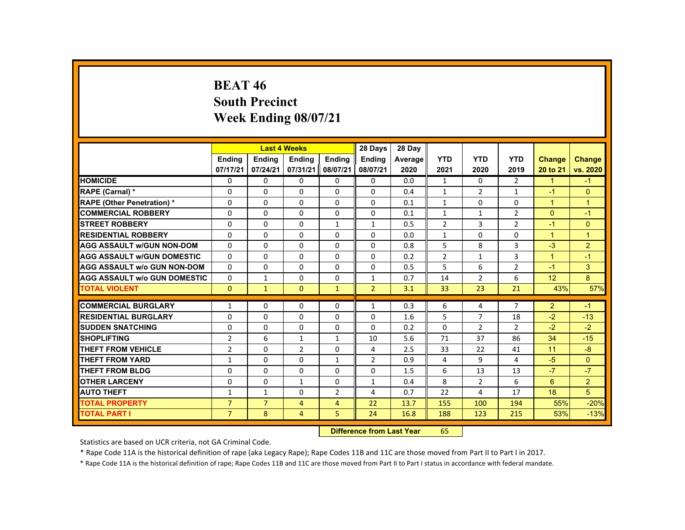# **BEAT 46 South Precinct Week Ending 08/07/21**

|                                     |                |                                                                                                                                                                                                                                | <b>Last 4 Weeks</b> |                | 28 Days        | 28 Day  |                |                |                |                |                |
|-------------------------------------|----------------|--------------------------------------------------------------------------------------------------------------------------------------------------------------------------------------------------------------------------------|---------------------|----------------|----------------|---------|----------------|----------------|----------------|----------------|----------------|
|                                     | Ending         | <b>Ending</b>                                                                                                                                                                                                                  | <b>Ending</b>       | <b>Endina</b>  | <b>Endina</b>  | Average | <b>YTD</b>     | <b>YTD</b>     | <b>YTD</b>     | Change         | <b>Change</b>  |
|                                     | 07/17/21       | 07/24/21                                                                                                                                                                                                                       | 07/31/21            | 08/07/21       | 08/07/21       | 2020    | 2021           | 2020           | 2019           | 20 to 21       | vs. 2020       |
| <b>HOMICIDE</b>                     | $\mathbf{0}$   | $\Omega$                                                                                                                                                                                                                       | 0                   | $\Omega$       | 0              | 0.0     | $\mathbf{1}$   | 0              | $\overline{2}$ | $\mathbf{1}$   | $-1$           |
| RAPE (Carnal) *                     | $\Omega$       | $\Omega$                                                                                                                                                                                                                       | $\Omega$            | $\Omega$       | $\Omega$       | 0.4     | $\mathbf{1}$   | $\overline{2}$ | $\mathbf{1}$   | $-1$           | $\Omega$       |
| <b>RAPE (Other Penetration) *</b>   | 0              | $\mathbf{0}$                                                                                                                                                                                                                   | $\Omega$            | $\Omega$       | $\Omega$       | 0.1     | $\mathbf{1}$   | 0              | 0              | $\mathbf{1}$   | $\overline{1}$ |
| <b>COMMERCIAL ROBBERY</b>           | $\Omega$       | $\Omega$                                                                                                                                                                                                                       | $\Omega$            | $\Omega$       | $\Omega$       | 0.1     | $\mathbf{1}$   | $\mathbf{1}$   | $\overline{2}$ | $\mathbf{0}$   | $-1$           |
| <b>STREET ROBBERY</b>               | $\Omega$       | $\Omega$                                                                                                                                                                                                                       | $\Omega$            | $\mathbf{1}$   | $\mathbf{1}$   | 0.5     | $\overline{2}$ | 3              | $\overline{2}$ | $-1$           | $\mathbf{0}$   |
| <b>RESIDENTIAL ROBBERY</b>          | 0              | $\mathbf{0}$                                                                                                                                                                                                                   | 0                   | 0              | $\Omega$       | 0.0     | $\mathbf{1}$   | 0              | 0              | $\mathbf{1}$   | $\overline{1}$ |
| <b>AGG ASSAULT W/GUN NON-DOM</b>    | $\Omega$       | $\Omega$                                                                                                                                                                                                                       | $\Omega$            | $\Omega$       | $\Omega$       | 0.8     | 5              | 8              | 3              | $-3$           | $\overline{2}$ |
| <b>AGG ASSAULT W/GUN DOMESTIC</b>   | $\Omega$       | $\Omega$                                                                                                                                                                                                                       | $\Omega$            | $\Omega$       | $\Omega$       | 0.2     | $\overline{2}$ | $\mathbf{1}$   | 3              | $\mathbf{1}$   | $-1$           |
| <b>AGG ASSAULT W/o GUN NON-DOM</b>  | $\Omega$       | $\Omega$                                                                                                                                                                                                                       | $\Omega$            | $\Omega$       | $\Omega$       | 0.5     | 5              | 6              | $\overline{2}$ | $-1$           | 3              |
| <b>AGG ASSAULT W/o GUN DOMESTIC</b> | $\Omega$       | $\mathbf{1}$                                                                                                                                                                                                                   | $\Omega$            | $\Omega$       | $\mathbf{1}$   | 0.7     | 14             | $\overline{2}$ | 6              | 12             | 8              |
| <b>TOTAL VIOLENT</b>                | $\Omega$       | $\mathbf{1}$                                                                                                                                                                                                                   | $\Omega$            | $\mathbf{1}$   | $\overline{2}$ | 3.1     | 33             | 23             | 21             | 43%            | 57%            |
| <b>COMMERCIAL BURGLARY</b>          | $\mathbf{1}$   | $\Omega$                                                                                                                                                                                                                       | $\Omega$            | $\Omega$       | $\mathbf{1}$   | 0.3     | 6              | 4              | $\overline{7}$ | $\overline{2}$ | $-1$           |
| <b>RESIDENTIAL BURGLARY</b>         |                | $\Omega$                                                                                                                                                                                                                       |                     |                |                |         | 5              | $\overline{7}$ |                |                |                |
|                                     | $\Omega$       |                                                                                                                                                                                                                                | $\Omega$            | $\Omega$       | $\Omega$       | 1.6     |                |                | 18             | $-2$<br>$-2$   | $-13$<br>$-2$  |
| <b>SUDDEN SNATCHING</b>             | $\Omega$       | $\mathbf{0}$                                                                                                                                                                                                                   | $\Omega$            | $\Omega$       | $\Omega$       | 0.2     | $\Omega$       | $\overline{2}$ | 2              |                |                |
| <b>SHOPLIFTING</b>                  | $\overline{2}$ | 6                                                                                                                                                                                                                              | $\mathbf{1}$        | 1              | 10             | 5.6     | 71             | 37             | 86             | 34             | $-15$          |
| <b>THEFT FROM VEHICLE</b>           | $\overline{2}$ | $\Omega$                                                                                                                                                                                                                       | $\overline{2}$      | $\Omega$       | 4              | 2.5     | 33             | 22             | 41             | 11             | $-8$           |
| <b>THEFT FROM YARD</b>              | $\mathbf{1}$   | $\Omega$                                                                                                                                                                                                                       | $\Omega$            | $\mathbf{1}$   | $\overline{2}$ | 0.9     | 4              | 9              | 4              | $-5$           | $\Omega$       |
| <b>THEFT FROM BLDG</b>              | $\Omega$       | $\Omega$                                                                                                                                                                                                                       | $\Omega$            | 0              | $\Omega$       | 1.5     | 6              | 13             | 13             | $-7$           | $-7$           |
| <b>OTHER LARCENY</b>                | 0              | $\mathbf{0}$                                                                                                                                                                                                                   | 1                   | 0              | 1              | 0.4     | 8              | 2              | 6              | $6^{\circ}$    | $\overline{2}$ |
| <b>AUTO THEFT</b>                   | 1              | $\mathbf{1}$                                                                                                                                                                                                                   | $\Omega$            | $\overline{2}$ | 4              | 0.7     | 22             | 4              | 17             | 18             | 5              |
| <b>TOTAL PROPERTY</b>               | $\overline{7}$ | $\overline{7}$                                                                                                                                                                                                                 | $\overline{4}$      | $\overline{4}$ | 22             | 13.7    | 155            | 100            | 194            | 55%            | $-20%$         |
| <b>TOTAL PART I</b>                 | $\overline{7}$ | 8                                                                                                                                                                                                                              | $\overline{4}$      | 5              | 24             | 16.8    | 188            | 123            | 215            | 53%            | $-13%$         |
|                                     | <b>CARLES</b>  | and the second control of the second second second to the second second second the second second second second second second second second second second second second second second second second second second second second |                     | $-$            |                |         |                |                |                |                |                |

 **Difference from Last Year**r 65

Statistics are based on UCR criteria, not GA Criminal Code.

\* Rape Code 11A is the historical definition of rape (aka Legacy Rape); Rape Codes 11B and 11C are those moved from Part II to Part I in 2017.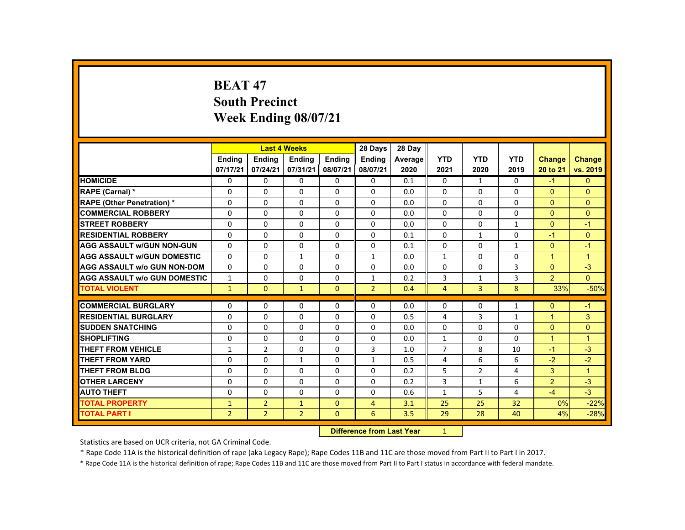## **BEAT 47 South Precinct Week Ending 08/07/21**

|                                     |                |                | <b>Last 4 Weeks</b>              |               | 28 Days        | 28 Day  |                |                |              |                |                |
|-------------------------------------|----------------|----------------|----------------------------------|---------------|----------------|---------|----------------|----------------|--------------|----------------|----------------|
|                                     | <b>Ending</b>  | <b>Ending</b>  | <b>Ending</b>                    | <b>Ending</b> | <b>Ending</b>  | Average | <b>YTD</b>     | <b>YTD</b>     | <b>YTD</b>   | Change         | <b>Change</b>  |
|                                     | 07/17/21       | 07/24/21       | 07/31/21                         | 08/07/21      | 08/07/21       | 2020    | 2021           | 2020           | 2019         | 20 to 21       | vs. 2019       |
| <b>HOMICIDE</b>                     | 0              | $\Omega$       | $\Omega$                         | $\mathbf 0$   | 0              | 0.1     | 0              | $\mathbf{1}$   | 0            | $-1$           | $\mathbf{0}$   |
| <b>RAPE (Carnal) *</b>              | $\Omega$       | $\Omega$       | $\Omega$                         | $\Omega$      | $\Omega$       | 0.0     | $\Omega$       | $\Omega$       | $\Omega$     | $\Omega$       | $\Omega$       |
| <b>RAPE (Other Penetration) *</b>   | 0              | $\Omega$       | $\Omega$                         | $\Omega$      | $\Omega$       | 0.0     | $\Omega$       | $\Omega$       | $\Omega$     | $\overline{0}$ | $\overline{0}$ |
| <b>COMMERCIAL ROBBERY</b>           | $\Omega$       | $\Omega$       | $\Omega$                         | $\Omega$      | $\Omega$       | 0.0     | $\Omega$       | $\Omega$       | $\Omega$     | $\Omega$       | $\mathbf{0}$   |
| <b>STREET ROBBERY</b>               | $\mathbf{0}$   | $\mathbf{0}$   | $\Omega$                         | $\Omega$      | 0              | 0.0     | $\Omega$       | 0              | $\mathbf{1}$ | $\Omega$       | $-1$           |
| <b>RESIDENTIAL ROBBERY</b>          | $\Omega$       | $\Omega$       | $\Omega$                         | $\Omega$      | $\Omega$       | 0.1     | $\Omega$       | $\mathbf{1}$   | $\Omega$     | $-1$           | $\mathbf{0}$   |
| <b>AGG ASSAULT w/GUN NON-GUN</b>    | $\Omega$       | $\Omega$       | $\Omega$                         | $\Omega$      | $\Omega$       | 0.1     | $\Omega$       | $\Omega$       | $\mathbf{1}$ | $\Omega$       | $-1$           |
| <b>AGG ASSAULT W/GUN DOMESTIC</b>   | $\Omega$       | $\Omega$       | $\mathbf{1}$                     | $\Omega$      | $\mathbf{1}$   | 0.0     | $\mathbf{1}$   | $\Omega$       | $\Omega$     | $\mathbf{1}$   | $\overline{1}$ |
| <b>AGG ASSAULT w/o GUN NON-DOM</b>  | $\Omega$       | $\mathbf{0}$   | $\mathbf{0}$                     | $\mathbf{0}$  | 0              | 0.0     | 0              | 0              | 3            | $\Omega$       | $-3$           |
| <b>AGG ASSAULT W/o GUN DOMESTIC</b> | $\mathbf{1}$   | $\Omega$       | $\Omega$                         | $\Omega$      | $\mathbf{1}$   | 0.2     | 3              | $\mathbf{1}$   | 3            | $\overline{2}$ | $\Omega$       |
| <b>TOTAL VIOLENT</b>                | $\mathbf{1}$   | $\overline{0}$ | $\mathbf{1}$                     | $\mathbf{0}$  | $\overline{2}$ | 0.4     | $\overline{4}$ | 3              | 8            | 33%            | $-50%$         |
| <b>COMMERCIAL BURGLARY</b>          | 0              | $\mathbf{0}$   | $\mathbf{0}$                     | $\mathbf{0}$  | 0              | 0.0     | 0              | 0              | $\mathbf{1}$ | $\Omega$       | $-1$           |
| <b>RESIDENTIAL BURGLARY</b>         | $\Omega$       | $\Omega$       | $\Omega$                         | $\Omega$      | $\Omega$       | 0.5     | 4              | 3              | $\mathbf{1}$ | $\mathbf{1}$   | 3              |
| <b>SUDDEN SNATCHING</b>             | $\Omega$       | $\Omega$       | $\Omega$                         | $\Omega$      | $\Omega$       | 0.0     | $\Omega$       | $\Omega$       | $\Omega$     | $\Omega$       | $\mathbf{0}$   |
| <b>SHOPLIFTING</b>                  | $\Omega$       | $\Omega$       | $\mathbf{0}$                     | $\mathbf{0}$  | 0              | 0.0     | $\mathbf{1}$   | 0              | $\Omega$     | $\mathbf{1}$   | $\overline{1}$ |
| <b>THEFT FROM VEHICLE</b>           | $\mathbf{1}$   | $\overline{2}$ | $\Omega$                         | $\Omega$      | 3              | 1.0     | $\overline{7}$ | 8              | 10           | $-1$           | $-3$           |
| <b>THEFT FROM YARD</b>              | $\Omega$       | $\Omega$       | $\mathbf{1}$                     | $\Omega$      | $\mathbf{1}$   | 0.5     | 4              | 6              | 6            | $-2$           | $-2$           |
| <b>THEFT FROM BLDG</b>              | $\Omega$       | $\Omega$       | $\Omega$                         | $\Omega$      | $\Omega$       | 0.2     | 5              | $\overline{2}$ | 4            | 3              | $\overline{1}$ |
| <b>OTHER LARCENY</b>                | 0              | $\Omega$       | $\Omega$                         | $\Omega$      | $\Omega$       | 0.2     | 3              | $\mathbf{1}$   | 6            | $\overline{2}$ | $-3$           |
| <b>AUTO THEFT</b>                   | $\Omega$       | $\Omega$       | $\Omega$                         | $\Omega$      | $\Omega$       | 0.6     | $\mathbf{1}$   | 5              | 4            | $-4$           | $-3$           |
| <b>TOTAL PROPERTY</b>               | $\mathbf{1}$   | $\overline{2}$ | $\mathbf{1}$                     | $\mathbf{0}$  | $\overline{4}$ | 3.1     | 25             | 25             | 32           | 0%             | $-22%$         |
| <b>TOTAL PART I</b>                 | $\overline{2}$ | 2 <sup>1</sup> | $\overline{2}$                   | $\mathbf{0}$  | 6              | 3.5     | 29             | 28             | 40           | 4%             | $-28%$         |
|                                     |                |                | <b>Difference from Last Year</b> |               | 1              |         |                |                |              |                |                |

 **Difference from Last Year**

Statistics are based on UCR criteria, not GA Criminal Code.

\* Rape Code 11A is the historical definition of rape (aka Legacy Rape); Rape Codes 11B and 11C are those moved from Part II to Part I in 2017.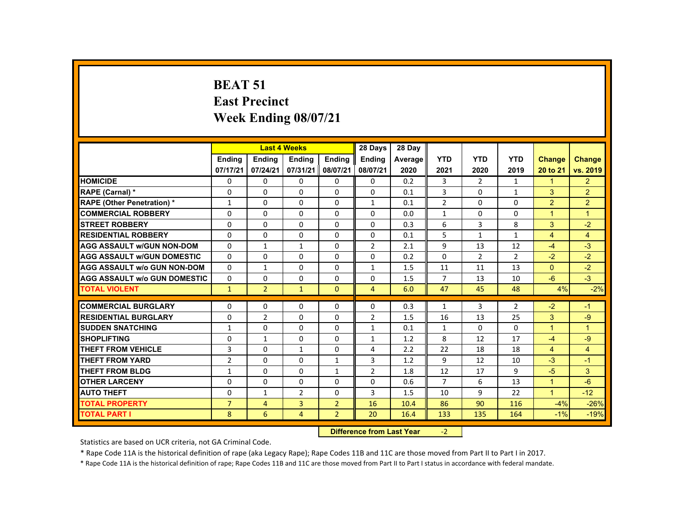# **BEAT 51 East Precinct Week Ending 08/07/21**

|                                     |                | <b>Last 4 Weeks</b>              |                |                | 28 Days        | 28 Day  |                |                |                |                      |                      |
|-------------------------------------|----------------|----------------------------------|----------------|----------------|----------------|---------|----------------|----------------|----------------|----------------------|----------------------|
|                                     | <b>Endina</b>  | Ending                           | <b>Ending</b>  | Ending         | <b>Ending</b>  | Average | <b>YTD</b>     | <b>YTD</b>     | <b>YTD</b>     | <b>Change</b>        | <b>Change</b>        |
|                                     | 07/17/21       | 07/24/21                         | 07/31/21       | 08/07/21       | 08/07/21       | 2020    | 2021           | 2020           | 2019           | 20 to 21             | vs. 2019             |
| <b>HOMICIDE</b>                     | $\Omega$       | $\Omega$                         | $\Omega$       | $\Omega$       | $\Omega$       | 0.2     | 3              | $\overline{2}$ | $\mathbf{1}$   | $\blacktriangleleft$ | 2 <sup>1</sup>       |
| RAPE (Carnal) *                     | $\Omega$       | $\Omega$                         | $\Omega$       | $\Omega$       | $\Omega$       | 0.1     | $\overline{3}$ | $\Omega$       | $\mathbf{1}$   | 3                    | $\overline{2}$       |
| <b>RAPE (Other Penetration) *</b>   | $\mathbf{1}$   | $\Omega$                         | $\Omega$       | $\Omega$       | $\mathbf{1}$   | 0.1     | $\overline{2}$ | $\Omega$       | $\Omega$       | $\overline{2}$       | $\overline{2}$       |
| <b>COMMERCIAL ROBBERY</b>           | $\Omega$       | $\Omega$                         | $\Omega$       | $\Omega$       | $\Omega$       | 0.0     | $\mathbf{1}$   | $\Omega$       | $\Omega$       | $\overline{1}$       | $\blacktriangleleft$ |
| <b>STREET ROBBERY</b>               | $\Omega$       | $\Omega$                         | $\Omega$       | $\Omega$       | $\Omega$       | 0.3     | 6              | $\overline{3}$ | 8              | 3                    | $-2$                 |
| <b>RESIDENTIAL ROBBERY</b>          | $\Omega$       | $\Omega$                         | $\Omega$       | 0              | 0              | 0.1     | 5              | $\mathbf{1}$   | $\mathbf{1}$   | $\overline{4}$       | $\overline{4}$       |
| <b>AGG ASSAULT w/GUN NON-DOM</b>    | $\Omega$       | $\mathbf{1}$                     | $\mathbf{1}$   | $\Omega$       | $\overline{2}$ | 2.1     | 9              | 13             | 12             | $-4$                 | $-3$                 |
| <b>AGG ASSAULT w/GUN DOMESTIC</b>   | $\Omega$       | $\Omega$                         | $\Omega$       | $\Omega$       | $\Omega$       | 0.2     | $\Omega$       | 2              | $\overline{2}$ | $-2$                 | $-2$                 |
| <b>AGG ASSAULT w/o GUN NON-DOM</b>  | $\Omega$       | $\mathbf{1}$                     | $\Omega$       | $\Omega$       | $\mathbf{1}$   | 1.5     | 11             | 11             | 13             | $\Omega$             | $-2$                 |
| <b>AGG ASSAULT w/o GUN DOMESTIC</b> | $\mathbf{0}$   | 0                                | 0              | 0              | 0              | 1.5     | $\overline{7}$ | 13             | 10             | $-6$                 | $-3$                 |
| <b>TOTAL VIOLENT</b>                | $\mathbf{1}$   | $\overline{2}$                   | $\mathbf{1}$   | $\Omega$       | $\overline{4}$ | 6.0     | 47             | 45             | 48             | 4%                   | $-2%$                |
| <b>COMMERCIAL BURGLARY</b>          | 0              | 0                                | 0              | 0              | 0              | 0.3     | 1              | 3              | $\overline{2}$ | $-2$                 | $-1$                 |
| <b>RESIDENTIAL BURGLARY</b>         | $\Omega$       | $\overline{2}$                   | $\Omega$       | $\Omega$       | $\overline{2}$ | 1.5     | 16             | 13             | 25             | 3                    | $-9$                 |
| <b>SUDDEN SNATCHING</b>             | $\mathbf{1}$   | 0                                | $\Omega$       | 0              | $\mathbf{1}$   | 0.1     | $\mathbf{1}$   | 0              | 0              | $\overline{1}$       | $\overline{1}$       |
| <b>SHOPLIFTING</b>                  | 0              | $\mathbf{1}$                     | $\Omega$       | $\Omega$       | $\mathbf{1}$   | 1.2     | 8              | 12             | 17             | $-4$                 | $-9$                 |
| <b>THEFT FROM VEHICLE</b>           | 3              | $\Omega$                         | $\mathbf{1}$   | $\Omega$       | 4              | 2.2     | 22             | 18             | 18             | $\overline{4}$       | $\overline{4}$       |
| <b>THEFT FROM YARD</b>              | $\overline{2}$ | $\Omega$                         | $\Omega$       | $\mathbf{1}$   | 3              | 1.2     | 9              | 12             | 10             | $-3$                 | $-1$                 |
| <b>THEFT FROM BLDG</b>              | $\mathbf{1}$   | $\Omega$                         | $\Omega$       | $\mathbf{1}$   | $\overline{2}$ | 1.8     | 12             | 17             | 9              | $-5$                 | 3                    |
| <b>OTHER LARCENY</b>                | $\Omega$       | $\Omega$                         | $\Omega$       | $\Omega$       | $\Omega$       | 0.6     | $\overline{7}$ | 6              | 13             | $\blacktriangleleft$ | $-6$                 |
| <b>AUTO THEFT</b>                   | 0              | $\mathbf{1}$                     | $\overline{2}$ | $\Omega$       | 3              | 1.5     | 10             | 9              | 22             | $\blacktriangleleft$ | $-12$                |
| <b>TOTAL PROPERTY</b>               | $\overline{7}$ | $\overline{4}$                   | 3              | $\overline{2}$ | 16             | 10.4    | 86             | 90             | 116            | $-4%$                | $-26%$               |
| <b>TOTAL PART I</b>                 | 8              | 6                                | $\overline{4}$ | $\overline{2}$ | 20             | 16.4    | 133            | 135            | 164            | $-1%$                | $-19%$               |
|                                     |                | <b>Difference from Last Year</b> |                | $-2$           |                |         |                |                |                |                      |                      |

Statistics are based on UCR criteria, not GA Criminal Code.

\* Rape Code 11A is the historical definition of rape (aka Legacy Rape); Rape Codes 11B and 11C are those moved from Part II to Part I in 2017.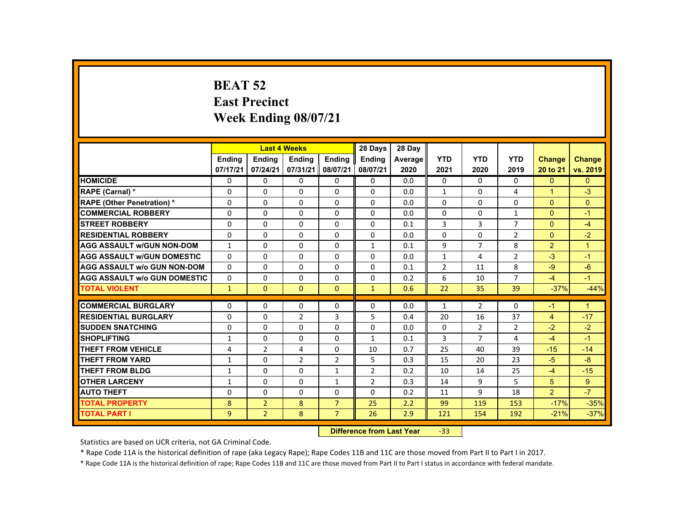## **BEAT 52 East Precinct Week Ending 08/07/21**

|                                     |                    |                                  | <b>Last 4 Weeks</b> |                | 28 Days        | 28 Day  |                |                |                |                |                      |
|-------------------------------------|--------------------|----------------------------------|---------------------|----------------|----------------|---------|----------------|----------------|----------------|----------------|----------------------|
|                                     | <b>Endina</b>      | <b>Endina</b>                    | <b>Endina</b>       | Ending         | Ending         | Average | <b>YTD</b>     | <b>YTD</b>     | <b>YTD</b>     | <b>Change</b>  | <b>Change</b>        |
|                                     | 07/17/21           | 07/24/21                         | 07/31/21            | 08/07/21       | 08/07/21       | 2020    | 2021           | 2020           | 2019           | 20 to 21       | vs. 2019             |
| <b>HOMICIDE</b>                     | 0                  | 0                                | 0                   | 0              | 0              | 0.0     | 0              | $\Omega$       | $\Omega$       | $\mathbf{0}$   | $\mathbf{0}$         |
| RAPE (Carnal) *                     | 0                  | 0                                | 0                   | $\Omega$       | 0              | 0.0     | $\mathbf{1}$   | 0              | 4              | 1              | $-3$                 |
| <b>RAPE (Other Penetration) *</b>   | $\Omega$           | $\Omega$                         | $\Omega$            | $\Omega$       | $\Omega$       | 0.0     | $\Omega$       | $\Omega$       | $\Omega$       | $\Omega$       | $\Omega$             |
| <b>COMMERCIAL ROBBERY</b>           | $\Omega$           | 0                                | $\Omega$            | $\Omega$       | $\Omega$       | 0.0     | 0              | 0              | $\mathbf{1}$   | $\Omega$       | $-1$                 |
| <b>STREET ROBBERY</b>               | $\Omega$           | $\Omega$                         | $\Omega$            | $\Omega$       | $\Omega$       | 0.1     | 3              | 3              | $\overline{7}$ | $\Omega$       | $-4$                 |
| <b>RESIDENTIAL ROBBERY</b>          | $\Omega$           | $\Omega$                         | $\Omega$            | $\Omega$       | $\Omega$       | 0.0     | $\Omega$       | $\Omega$       | $\overline{2}$ | $\Omega$       | $-2$                 |
| <b>AGG ASSAULT W/GUN NON-DOM</b>    | $\mathbf{1}$       | $\Omega$                         | $\Omega$            | $\Omega$       | $\mathbf{1}$   | 0.1     | 9              | $\overline{7}$ | 8              | 2              | $\blacktriangleleft$ |
| <b>AGG ASSAULT W/GUN DOMESTIC</b>   | $\Omega$           | $\Omega$                         | $\Omega$            | $\Omega$       | $\Omega$       | 0.0     | $\mathbf{1}$   | 4              | $\overline{2}$ | $-3$           | $-1$                 |
| <b>AGG ASSAULT w/o GUN NON-DOM</b>  | $\Omega$           | $\Omega$                         | $\Omega$            | $\Omega$       | $\Omega$       | 0.1     | $\overline{2}$ | 11             | 8              | $-9$           | $-6$                 |
| <b>AGG ASSAULT W/o GUN DOMESTIC</b> | $\Omega$           | $\Omega$                         | $\Omega$            | $\Omega$       | $\Omega$       | 0.2     | 6              | 10             | $\overline{7}$ | $-4$           | $-1$                 |
| <b>TOTAL VIOLENT</b>                | $\mathbf{1}$       | $\mathbf{0}$                     | $\Omega$            | $\Omega$       | $\mathbf{1}$   | 0.6     | 22             | 35             | 39             | $-37%$         | $-44%$               |
|                                     |                    |                                  |                     |                |                |         |                |                |                |                |                      |
| <b>COMMERCIAL BURGLARY</b>          | $\Omega$           | $\Omega$                         | $\Omega$            | $\Omega$       | $\Omega$       | 0.0     | $\mathbf{1}$   | $\overline{2}$ | $\Omega$       | $-1$           | $\mathbf{1}$         |
| <b>RESIDENTIAL BURGLARY</b>         | $\Omega$           | $\Omega$                         | $\overline{2}$      | 3              | 5              | 0.4     | 20             | 16             | 37             | $\overline{4}$ | $-17$                |
| <b>SUDDEN SNATCHING</b>             | $\Omega$           | 0                                | $\Omega$            | 0              | $\Omega$       | 0.0     | 0              | $\overline{2}$ | $\overline{2}$ | $-2$           | $-2$                 |
| <b>SHOPLIFTING</b>                  | $\mathbf{1}$       | $\Omega$                         | $\Omega$            | $\Omega$       | $\mathbf{1}$   | 0.1     | 3              | $\overline{7}$ | 4              | $-4$           | $-1$                 |
| <b>THEFT FROM VEHICLE</b>           | 4                  | $\overline{2}$                   | 4                   | $\Omega$       | 10             | 0.7     | 25             | 40             | 39             | $-15$          | $-14$                |
| <b>THEFT FROM YARD</b>              | $\mathbf{1}$       | $\Omega$                         | $\overline{2}$      | $\overline{2}$ | 5              | 0.3     | 15             | 20             | 23             | $-5$           | $-8$                 |
| <b>THEFT FROM BLDG</b>              | $\mathbf{1}$       | $\Omega$                         | $\Omega$            | $\mathbf{1}$   | 2              | 0.2     | 10             | 14             | 25             | $-4$           | $-15$                |
| <b>OTHER LARCENY</b>                | $\mathbf{1}$       | 0                                | $\Omega$            | $\mathbf{1}$   | $\overline{2}$ | 0.3     | 14             | 9              | 5              | 5              | 9                    |
| <b>AUTO THEFT</b>                   | $\Omega$           | $\Omega$                         | $\Omega$            | $\Omega$       | $\Omega$       | 0.2     | 11             | 9              | 18             | 2              | $-7$                 |
| <b>TOTAL PROPERTY</b>               | 8                  | $\overline{2}$                   | 8                   | $\overline{7}$ | 25             | 2.2     | 99             | 119            | 153            | $-17%$         | $-35%$               |
| <b>TOTAL PART I</b>                 | $\overline{9}$     | $\overline{2}$                   | 8                   | $\overline{7}$ | 26             | 2.9     | 121            | 154            | 192            | $-21%$         | $-37%$               |
|                                     | <b>Publication</b> | المتحالة فتحتمل المتحدثة المتحدد |                     | $\sim$         |                |         |                |                |                |                |                      |

 **Difference from Last Year**‐33

Statistics are based on UCR criteria, not GA Criminal Code.

\* Rape Code 11A is the historical definition of rape (aka Legacy Rape); Rape Codes 11B and 11C are those moved from Part II to Part I in 2017.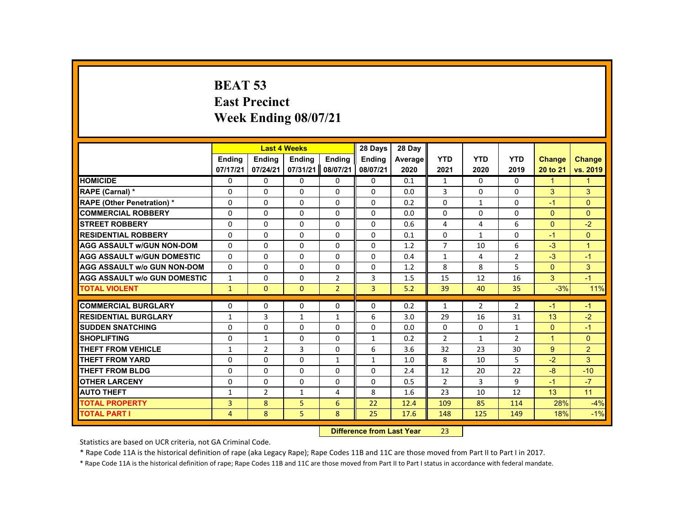## **BEAT 53 East Precinct Week Ending 08/07/21**

|                                     |                |                | <b>Last 4 Weeks</b> |                | 28 Days                   | 28 Day  |                |                |                |                |                      |
|-------------------------------------|----------------|----------------|---------------------|----------------|---------------------------|---------|----------------|----------------|----------------|----------------|----------------------|
|                                     | <b>Ending</b>  | <b>Ending</b>  | <b>Ending</b>       | <b>Ending</b>  | <b>Endina</b>             | Average | <b>YTD</b>     | <b>YTD</b>     | <b>YTD</b>     | <b>Change</b>  | <b>Change</b>        |
|                                     | 07/17/21       | 07/24/21       | 07/31/21            | 08/07/21       | 08/07/21                  | 2020    | 2021           | 2020           | 2019           | 20 to 21       | vs. 2019             |
| <b>HOMICIDE</b>                     | $\Omega$       | $\Omega$       | $\Omega$            | $\Omega$       | 0                         | 0.1     | $\mathbf{1}$   | $\Omega$       | $\Omega$       | $\mathbf{1}$   | $\mathbf{1}$         |
| RAPE (Carnal) *                     | $\Omega$       | $\Omega$       | $\Omega$            | $\mathbf{0}$   | $\Omega$                  | 0.0     | 3              | 0              | $\Omega$       | $\mathbf{3}$   | 3                    |
| <b>RAPE (Other Penetration) *</b>   | $\mathbf{0}$   | $\Omega$       | $\Omega$            | $\Omega$       | $\Omega$                  | 0.2     | $\Omega$       | 1              | $\Omega$       | $-1$           | $\Omega$             |
| <b>COMMERCIAL ROBBERY</b>           | $\mathbf{0}$   | $\Omega$       | $\Omega$            | $\Omega$       | $\Omega$                  | 0.0     | 0              | $\Omega$       | 0              | $\Omega$       | $\Omega$             |
| <b>STREET ROBBERY</b>               | $\Omega$       | $\Omega$       | $\Omega$            | $\Omega$       | $\Omega$                  | 0.6     | 4              | 4              | 6              | $\Omega$       | $-2$                 |
| <b>RESIDENTIAL ROBBERY</b>          | $\mathbf{0}$   | $\mathbf{0}$   | $\mathbf{0}$        | 0              | 0                         | 0.1     | 0              | 1              | 0              | $-1$           | $\overline{0}$       |
| <b>AGG ASSAULT W/GUN NON-DOM</b>    | $\mathbf{0}$   | $\Omega$       | $\Omega$            | $\Omega$       | $\Omega$                  | 1.2     | $\overline{7}$ | 10             | 6              | $-3$           | $\blacktriangleleft$ |
| <b>AGG ASSAULT W/GUN DOMESTIC</b>   | $\Omega$       | $\Omega$       | $\Omega$            | $\Omega$       | $\Omega$                  | 0.4     | $\mathbf{1}$   | 4              | $\overline{2}$ | $-3$           | $-1$                 |
| <b>AGG ASSAULT w/o GUN NON-DOM</b>  | $\Omega$       | $\Omega$       | $\Omega$            | $\Omega$       | $\Omega$                  | 1.2     | 8              | 8              | 5              | $\overline{0}$ | 3                    |
| <b>AGG ASSAULT W/o GUN DOMESTIC</b> | $\mathbf{1}$   | $\mathbf{0}$   | $\mathbf{0}$        | $\overline{2}$ | 3                         | 1.5     | 15             | 12             | 16             | 3              | $-1$                 |
| <b>TOTAL VIOLENT</b>                | $\mathbf{1}$   | $\mathbf{0}$   | $\mathbf{0}$        | 2 <sup>1</sup> | $\overline{3}$            | 5.2     | 39             | 40             | 35             | $-3%$          | 11%                  |
| <b>COMMERCIAL BURGLARY</b>          | $\mathbf{0}$   | $\Omega$       | $\Omega$            | $\Omega$       | $\Omega$                  | 0.2     | $\mathbf{1}$   | $\overline{2}$ | $\overline{2}$ | $-1$           | $-1$                 |
| <b>RESIDENTIAL BURGLARY</b>         | $\mathbf{1}$   | 3              | $\mathbf{1}$        | $\mathbf{1}$   | 6                         | 3.0     | 29             | 16             | 31             | 13             | $-2$                 |
| <b>SUDDEN SNATCHING</b>             | $\Omega$       | $\Omega$       | $\Omega$            | $\Omega$       | $\Omega$                  | 0.0     | $\Omega$       | $\Omega$       | $\mathbf{1}$   | $\mathbf{0}$   | $-1$                 |
| <b>SHOPLIFTING</b>                  | $\Omega$       | $\mathbf{1}$   | $\Omega$            | $\Omega$       | $\mathbf{1}$              | 0.2     | $\overline{2}$ | $\mathbf{1}$   | $\overline{2}$ | $\mathbf{1}$   | $\Omega$             |
| <b>THEFT FROM VEHICLE</b>           | $\mathbf{1}$   | $\overline{2}$ | 3                   | $\Omega$       | 6                         | 3.6     | 32             | 23             | 30             | 9 <sup>°</sup> | $\overline{2}$       |
| <b>THEFT FROM YARD</b>              | $\Omega$       | $\Omega$       | $\Omega$            | $\mathbf{1}$   | $\mathbf{1}$              | 1.0     | 8              | 10             | 5              | $-2$           | 3                    |
| <b>THEFT FROM BLDG</b>              | $\Omega$       | $\Omega$       | $\mathbf{0}$        | $\mathbf{0}$   | 0                         | 2.4     | 12             | 20             | 22             | $-8$           | $-10$                |
| <b>OTHER LARCENY</b>                | $\mathbf{0}$   | $\Omega$       | $\Omega$            | $\Omega$       | $\Omega$                  | 0.5     | $\overline{2}$ | 3              | 9              | $-1$           | $-7$                 |
| <b>AUTO THEFT</b>                   | $\mathbf{1}$   | $\overline{2}$ | $\mathbf{1}$        | 4              | 8                         | 1.6     | 23             | 10             | 12             | 13             | 11                   |
| <b>TOTAL PROPERTY</b>               | 3              | 8              | 5                   | 6              | 22                        | 12.4    | 109            | 85             | 114            | 28%            | $-4%$                |
| <b>TOTAL PART I</b>                 | $\overline{4}$ | 8              | 5                   | 8              | 25                        | 17.6    | 148            | 125            | 149            | 18%            | $-1%$                |
|                                     |                |                |                     |                | Difference from Loot Voor |         | າາ             |                |                |                |                      |

 **Difference from Last Year**r 23

Statistics are based on UCR criteria, not GA Criminal Code.

\* Rape Code 11A is the historical definition of rape (aka Legacy Rape); Rape Codes 11B and 11C are those moved from Part II to Part I in 2017.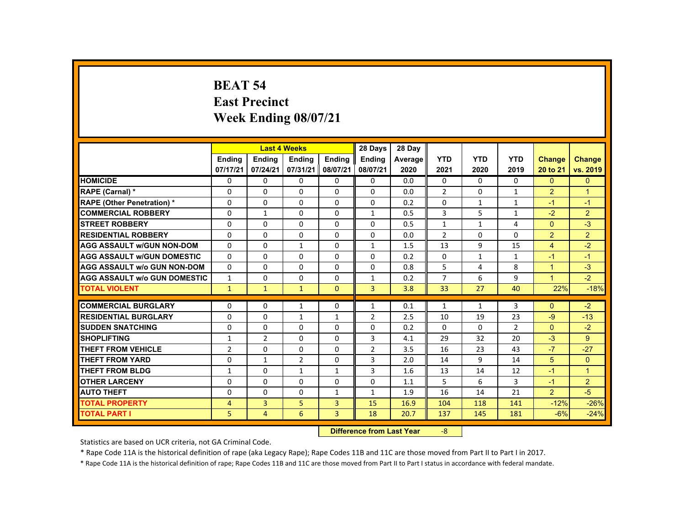#### **BEAT 54 East Precinct Week Ending 08/07/21**

|                                     |                |                                   | <b>Last 4 Weeks</b> |                | 28 Days        | 28 Day  |                |              |                |                      |                      |
|-------------------------------------|----------------|-----------------------------------|---------------------|----------------|----------------|---------|----------------|--------------|----------------|----------------------|----------------------|
|                                     | <b>Endina</b>  | Ending                            | <b>Endina</b>       | <b>Endina</b>  | Ending         | Average | <b>YTD</b>     | <b>YTD</b>   | <b>YTD</b>     | <b>Change</b>        | <b>Change</b>        |
|                                     | 07/17/21       | 07/24/21                          | 07/31/21            | 08/07/21       | 08/07/21       | 2020    | 2021           | 2020         | 2019           | 20 to 21             | vs. 2019             |
| <b>HOMICIDE</b>                     | $\Omega$       | $\Omega$                          | 0                   | $\Omega$       | 0              | 0.0     | 0              | $\Omega$     | $\Omega$       | $\Omega$             | $\mathbf{0}$         |
| RAPE (Carnal) *                     | 0              | $\Omega$                          | $\Omega$            | $\Omega$       | $\Omega$       | 0.0     | $\overline{2}$ | 0            | $\mathbf{1}$   | $\overline{2}$       | $\overline{1}$       |
| <b>RAPE (Other Penetration) *</b>   | $\Omega$       | $\Omega$                          | $\Omega$            | $\Omega$       | $\Omega$       | 0.2     | $\Omega$       | $\mathbf{1}$ | $\mathbf{1}$   | $-1$                 | $-1$                 |
| <b>COMMERCIAL ROBBERY</b>           | $\Omega$       | $\mathbf{1}$                      | $\Omega$            | $\Omega$       | $\mathbf{1}$   | 0.5     | 3              | 5            | $\mathbf{1}$   | $-2$                 | 2                    |
| <b>STREET ROBBERY</b>               | $\Omega$       | $\Omega$                          | $\Omega$            | $\Omega$       | $\Omega$       | 0.5     | $\mathbf{1}$   | $\mathbf{1}$ | 4              | $\Omega$             | $-3$                 |
| <b>RESIDENTIAL ROBBERY</b>          | 0              | 0                                 | 0                   | 0              | 0              | 0.0     | $\overline{2}$ | 0            | 0              | 2                    | $\overline{2}$       |
| <b>AGG ASSAULT W/GUN NON-DOM</b>    | $\Omega$       | $\Omega$                          | $\mathbf{1}$        | $\Omega$       | $\mathbf{1}$   | 1.5     | 13             | 9            | 15             | $\overline{4}$       | $-2$                 |
| <b>AGG ASSAULT W/GUN DOMESTIC</b>   | $\Omega$       | $\Omega$                          | $\Omega$            | $\Omega$       | $\Omega$       | 0.2     | $\Omega$       | $\mathbf{1}$ | $\mathbf{1}$   | $-1$                 | $-1$                 |
| <b>AGG ASSAULT w/o GUN NON-DOM</b>  | $\Omega$       | $\Omega$                          | $\Omega$            | $\Omega$       | $\Omega$       | 0.8     | 5              | 4            | 8              | $\blacktriangleleft$ | $-3$                 |
| <b>AGG ASSAULT W/o GUN DOMESTIC</b> | $\mathbf{1}$   | $\Omega$                          | $\Omega$            | $\Omega$       | $\mathbf{1}$   | 0.2     | $\overline{7}$ | 6            | 9              | $\mathbf{1}$         | $-2$                 |
| <b>TOTAL VIOLENT</b>                | $\mathbf{1}$   | $\mathbf{1}$                      | $\mathbf{1}$        | $\mathbf{0}$   | 3              | 3.8     | 33             | 27           | 40             | 22%                  | $-18%$               |
| <b>COMMERCIAL BURGLARY</b>          |                | $\Omega$                          |                     | $\Omega$       |                |         |                |              | 3              |                      | $-2$                 |
|                                     | 0              |                                   | $\mathbf{1}$        |                | 1              | 0.1     | $\mathbf{1}$   | $\mathbf{1}$ |                | $\mathbf{0}$         |                      |
| <b>RESIDENTIAL BURGLARY</b>         | $\Omega$       | $\Omega$                          | $\mathbf{1}$        | $\mathbf{1}$   | $\overline{2}$ | 2.5     | 10             | 19           | 23             | $-9$                 | $-13$                |
| <b>SUDDEN SNATCHING</b>             | 0              | 0                                 | 0                   | 0              | 0              | 0.2     | 0              | 0            | $\overline{2}$ | $\mathbf{0}$         | $-2$                 |
| <b>SHOPLIFTING</b>                  | $\mathbf{1}$   | $\overline{2}$                    | $\Omega$            | $\Omega$       | 3              | 4.1     | 29             | 32           | 20             | $-3$                 | 9                    |
| <b>THEFT FROM VEHICLE</b>           | $\overline{2}$ | $\Omega$                          | $\Omega$            | $\Omega$       | $\overline{2}$ | 3.5     | 16             | 23           | 43             | $-7$                 | $-27$                |
| <b>THEFT FROM YARD</b>              | $\Omega$       | $\mathbf{1}$                      | $\overline{2}$      | $\Omega$       | 3              | 2.0     | 14             | 9            | 14             | 5                    | $\Omega$             |
| <b>THEFT FROM BLDG</b>              | $\mathbf{1}$   | $\Omega$                          | $\mathbf{1}$        | $\mathbf{1}$   | 3              | 1.6     | 13             | 14           | 12             | $-1$                 | $\blacktriangleleft$ |
| <b>OTHER LARCENY</b>                | $\Omega$       | $\Omega$                          | $\Omega$            | $\Omega$       | $\Omega$       | 1.1     | 5              | 6            | 3              | $-1$                 | $\overline{2}$       |
| <b>AUTO THEFT</b>                   | $\Omega$       | $\Omega$                          | $\Omega$            | $\mathbf{1}$   | $\mathbf{1}$   | 1.9     | 16             | 14           | 21             | 2                    | $-5$                 |
| <b>TOTAL PROPERTY</b>               | 4              | $\overline{3}$                    | 5                   | 3              | 15             | 16.9    | 104            | 118          | 141            | $-12%$               | $-26%$               |
| <b>TOTAL PART I</b>                 | 5.             | 4                                 | 6                   | $\overline{3}$ | 18             | 20.7    | 137            | 145          | 181            | $-6%$                | $-24%$               |
|                                     |                | <b>Difference from Least Vanc</b> |                     | $\Omega$       |                |         |                |              |                |                      |                      |

 **Difference from Last Year**‐8

Statistics are based on UCR criteria, not GA Criminal Code.

\* Rape Code 11A is the historical definition of rape (aka Legacy Rape); Rape Codes 11B and 11C are those moved from Part II to Part I in 2017.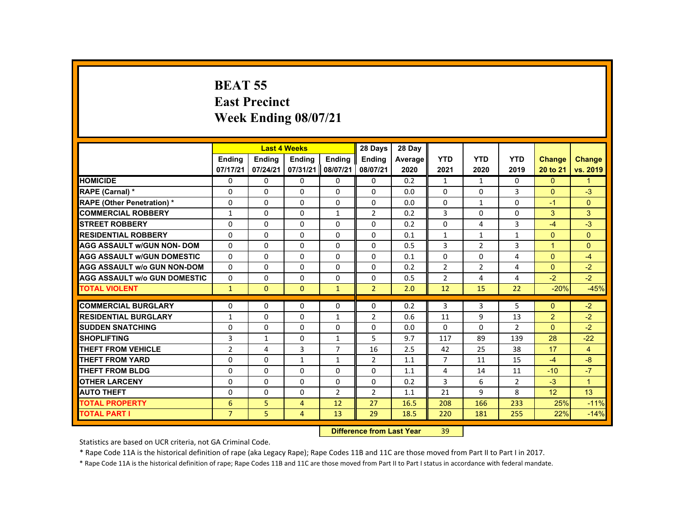## **BEAT 55 East Precinct Week Ending 08/07/21**

|                                     |                |                           | <b>Last 4 Weeks</b> |                | 28 Days        | 28 Day  |                |              |                |                |                |
|-------------------------------------|----------------|---------------------------|---------------------|----------------|----------------|---------|----------------|--------------|----------------|----------------|----------------|
|                                     | <b>Endina</b>  | Ending                    | <b>Endina</b>       | <b>Endina</b>  | <b>Endina</b>  | Average | <b>YTD</b>     | <b>YTD</b>   | <b>YTD</b>     | Change         | <b>Change</b>  |
|                                     | 07/17/21       | 07/24/21                  | 07/31/21            | 08/07/21       | 08/07/21       | 2020    | 2021           | 2020         | 2019           | 20 to 21       | vs. 2019       |
| <b>HOMICIDE</b>                     | $\Omega$       | $\Omega$                  | 0                   | $\Omega$       | 0              | 0.2     | $\mathbf{1}$   | $\mathbf{1}$ | $\mathbf{0}$   | $\mathbf{0}$   | $\mathbf{1}$   |
| RAPE (Carnal) *                     | $\Omega$       | $\Omega$                  | $\Omega$            | $\Omega$       | $\Omega$       | 0.0     | $\Omega$       | 0            | 3              | $\Omega$       | $-3$           |
| <b>RAPE (Other Penetration) *</b>   | $\Omega$       | $\Omega$                  | $\Omega$            | $\Omega$       | $\Omega$       | 0.0     | $\Omega$       | $\mathbf{1}$ | $\Omega$       | $-1$           | $\mathbf{0}$   |
| <b>COMMERCIAL ROBBERY</b>           | $\mathbf{1}$   | $\Omega$                  | $\Omega$            | $\mathbf{1}$   | $\overline{2}$ | 0.2     | $\overline{3}$ | $\Omega$     | $\Omega$       | 3              | 3              |
| <b>STREET ROBBERY</b>               | $\Omega$       | $\Omega$                  | $\Omega$            | $\Omega$       | $\Omega$       | 0.2     | $\Omega$       | 4            | $\overline{3}$ | $-4$           | $-3$           |
| <b>RESIDENTIAL ROBBERY</b>          | 0              | $\mathbf{0}$              | $\Omega$            | $\Omega$       | $\Omega$       | 0.1     | $\mathbf{1}$   | $\mathbf{1}$ | $\mathbf{1}$   | $\Omega$       | $\Omega$       |
| <b>AGG ASSAULT w/GUN NON- DOM</b>   | $\Omega$       | $\Omega$                  | $\Omega$            | $\Omega$       | $\Omega$       | 0.5     | 3              | 2            | 3              | $\mathbf{1}$   | $\Omega$       |
| <b>AGG ASSAULT w/GUN DOMESTIC</b>   | $\Omega$       | $\Omega$                  | $\Omega$            | $\Omega$       | $\Omega$       | 0.1     | $\Omega$       | $\Omega$     | 4              | $\Omega$       | $-4$           |
| AGG ASSAULT w/o GUN NON-DOM         | $\Omega$       | $\Omega$                  | $\Omega$            | $\Omega$       | $\Omega$       | 0.2     | $\overline{2}$ | 2            | 4              | $\Omega$       | $-2$           |
| <b>AGG ASSAULT W/o GUN DOMESTIC</b> | $\Omega$       | $\Omega$                  | $\Omega$            | $\Omega$       | $\Omega$       | 0.5     | $\overline{2}$ | 4            | 4              | $-2$           | $-2$           |
| <b>TOTAL VIOLENT</b>                | $\mathbf{1}$   | $\mathbf{0}$              | $\mathbf{0}$        | $\mathbf{1}$   | $\overline{2}$ | 2.0     | 12             | 15           | 22             | $-20%$         | $-45%$         |
|                                     |                |                           |                     |                |                |         |                |              |                |                |                |
| <b>COMMERCIAL BURGLARY</b>          | 0              | $\mathbf{0}$              | 0                   | $\Omega$       | 0              | 0.2     | 3              | 3            | 5              | $\Omega$       | $-2$           |
| <b>RESIDENTIAL BURGLARY</b>         | $\mathbf{1}$   | $\Omega$                  | $\Omega$            | $\mathbf{1}$   | $\overline{2}$ | 0.6     | 11             | 9            | 13             | $\overline{2}$ | $-2$           |
| <b>SUDDEN SNATCHING</b>             | 0              | $\mathbf{0}$              | 0                   | $\Omega$       | 0              | 0.0     | $\Omega$       | 0            | 2              | $\mathbf{0}$   | $-2$           |
| <b>SHOPLIFTING</b>                  | 3              | $\mathbf{1}$              | $\Omega$            | $\mathbf{1}$   | 5              | 9.7     | 117            | 89           | 139            | 28             | $-22$          |
| <b>THEFT FROM VEHICLE</b>           | $\overline{2}$ | 4                         | $\overline{3}$      | $\overline{7}$ | 16             | 2.5     | 42             | 25           | 38             | 17             | $\overline{4}$ |
| <b>THEFT FROM YARD</b>              | $\Omega$       | $\Omega$                  | $\mathbf{1}$        | $\mathbf{1}$   | $\overline{2}$ | 1.1     | $\overline{7}$ | 11           | 15             | $-4$           | $-8$           |
| <b>THEFT FROM BLDG</b>              | 0              | $\Omega$                  | 0                   | $\Omega$       | 0              | 1.1     | 4              | 14           | 11             | $-10$          | $-7$           |
| <b>OTHER LARCENY</b>                | $\Omega$       | $\Omega$                  | $\Omega$            | $\Omega$       | $\Omega$       | 0.2     | 3              | 6            | $\overline{2}$ | $-3$           | $\mathbf{1}$   |
| <b>AUTO THEFT</b>                   | 0              | $\Omega$                  | 0                   | $\overline{2}$ | $\overline{2}$ | 1.1     | 21             | 9            | 8              | 12             | 13             |
| <b>TOTAL PROPERTY</b>               | 6              | 5                         | $\overline{4}$      | 12             | 27             | 16.5    | 208            | 166          | 233            | 25%            | $-11%$         |
| <b>TOTAL PART I</b>                 | $\overline{7}$ | 5.                        | $\overline{4}$      | 13             | 29             | 18.5    | 220            | 181          | 255            | 22%            | $-14%$         |
|                                     |                | Difference from Look Vaca |                     | $20^{\circ}$   |                |         |                |              |                |                |                |

 **Difference from Last Year**r 39

Statistics are based on UCR criteria, not GA Criminal Code.

\* Rape Code 11A is the historical definition of rape (aka Legacy Rape); Rape Codes 11B and 11C are those moved from Part II to Part I in 2017.